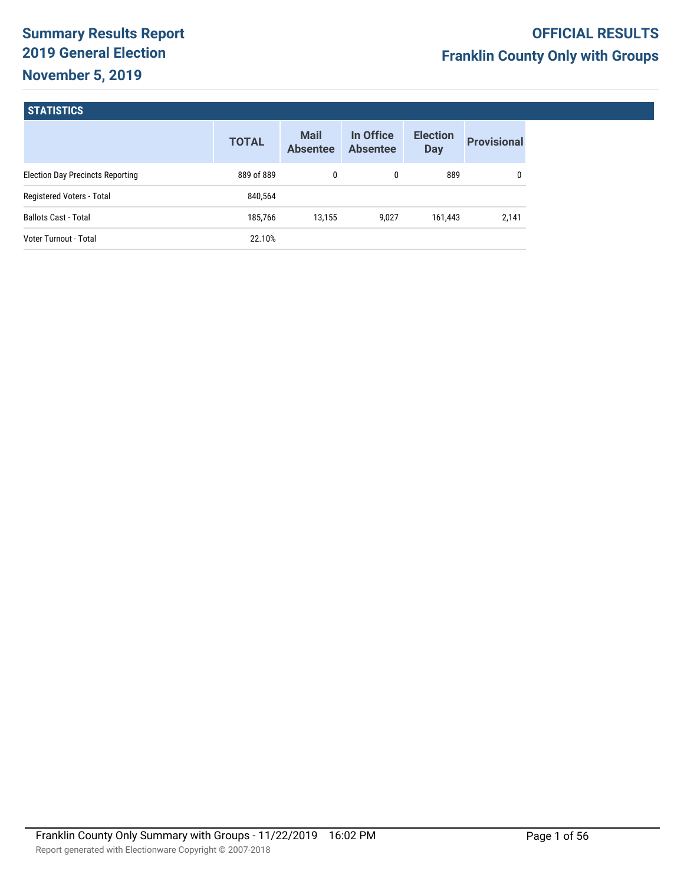# **Summary Results Report 2019 General Election November 5, 2019**

## **STATISTICS**

|                                         | <b>TOTAL</b> | <b>Mail</b><br><b>Absentee</b> | In Office<br><b>Absentee</b> | <b>Election</b><br><b>Day</b> | <b>Provisional</b> |
|-----------------------------------------|--------------|--------------------------------|------------------------------|-------------------------------|--------------------|
| <b>Election Day Precincts Reporting</b> | 889 of 889   | 0                              | 0                            | 889                           |                    |
| Registered Voters - Total               | 840,564      |                                |                              |                               |                    |
| <b>Ballots Cast - Total</b>             | 185.766      | 13.155                         | 9.027                        | 161,443                       | 2,141              |
| Voter Turnout - Total                   | 22.10%       |                                |                              |                               |                    |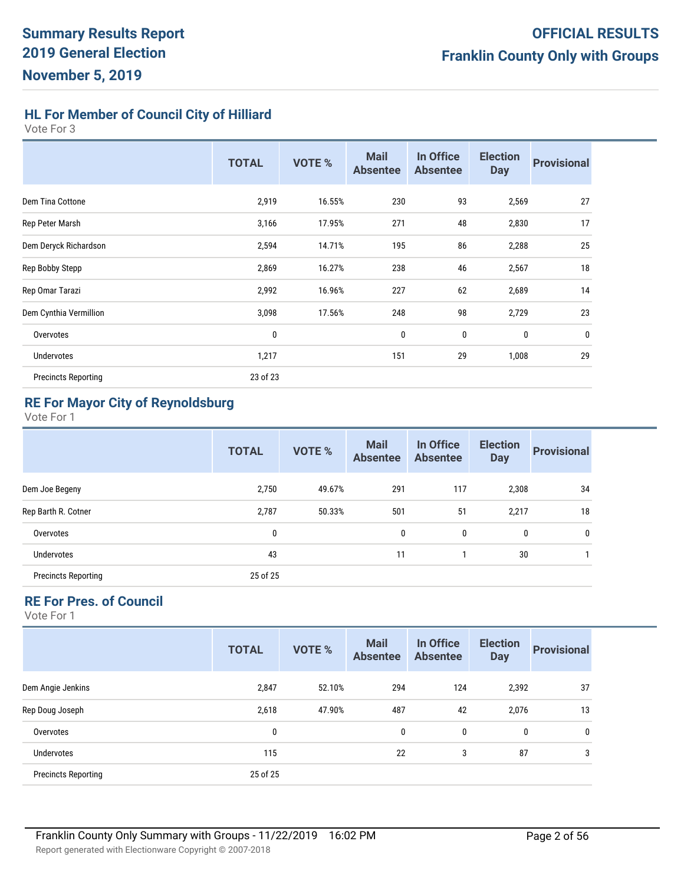**HL For Member of Council City of Hilliard**

Vote For 3

|                            | <b>TOTAL</b> | <b>VOTE %</b> | <b>Mail</b><br><b>Absentee</b> | In Office<br><b>Absentee</b> | <b>Election</b><br><b>Day</b> | <b>Provisional</b> |
|----------------------------|--------------|---------------|--------------------------------|------------------------------|-------------------------------|--------------------|
| Dem Tina Cottone           | 2,919        | 16.55%        | 230                            | 93                           | 2,569                         | 27                 |
| Rep Peter Marsh            | 3,166        | 17.95%        | 271                            | 48                           | 2,830                         | 17                 |
| Dem Deryck Richardson      | 2,594        | 14.71%        | 195                            | 86                           | 2,288                         | 25                 |
| Rep Bobby Stepp            | 2,869        | 16.27%        | 238                            | 46                           | 2,567                         | 18                 |
| Rep Omar Tarazi            | 2,992        | 16.96%        | 227                            | 62                           | 2,689                         | 14                 |
| Dem Cynthia Vermillion     | 3,098        | 17.56%        | 248                            | 98                           | 2,729                         | 23                 |
| Overvotes                  | 0            |               | 0                              | 0                            | 0                             | 0                  |
| <b>Undervotes</b>          | 1,217        |               | 151                            | 29                           | 1,008                         | 29                 |
| <b>Precincts Reporting</b> | 23 of 23     |               |                                |                              |                               |                    |

# **RE For Mayor City of Reynoldsburg**

Vote For 1

|                            | <b>TOTAL</b> | <b>VOTE %</b> | <b>Mail</b><br><b>Absentee</b> | In Office<br><b>Absentee</b> | <b>Election</b><br><b>Day</b> | <b>Provisional</b> |
|----------------------------|--------------|---------------|--------------------------------|------------------------------|-------------------------------|--------------------|
| Dem Joe Begeny             | 2,750        | 49.67%        | 291                            | 117                          | 2,308                         | 34                 |
| Rep Barth R. Cotner        | 2,787        | 50.33%        | 501                            | 51                           | 2,217                         | 18                 |
| Overvotes                  | 0            |               | $\mathbf{0}$                   | 0                            | 0                             | 0                  |
| <b>Undervotes</b>          | 43           |               | 11                             |                              | 30                            |                    |
| <b>Precincts Reporting</b> | 25 of 25     |               |                                |                              |                               |                    |

# **RE For Pres. of Council**

| <b>TOTAL</b> | <b>VOTE %</b> | <b>Mail</b><br><b>Absentee</b> | In Office<br><b>Absentee</b> | <b>Election</b><br><b>Day</b> | <b>Provisional</b>  |
|--------------|---------------|--------------------------------|------------------------------|-------------------------------|---------------------|
| 2,847        | 52.10%        | 294                            | 124                          |                               | 37                  |
| 2,618        | 47.90%        | 487                            | 42                           |                               | 13                  |
| 0            |               | $\mathbf{0}$                   | 0                            |                               | 0                   |
| 115          |               | 22                             | 3                            | 87                            | 3                   |
| 25 of 25     |               |                                |                              |                               |                     |
|              |               |                                |                              |                               | 2,392<br>2,076<br>0 |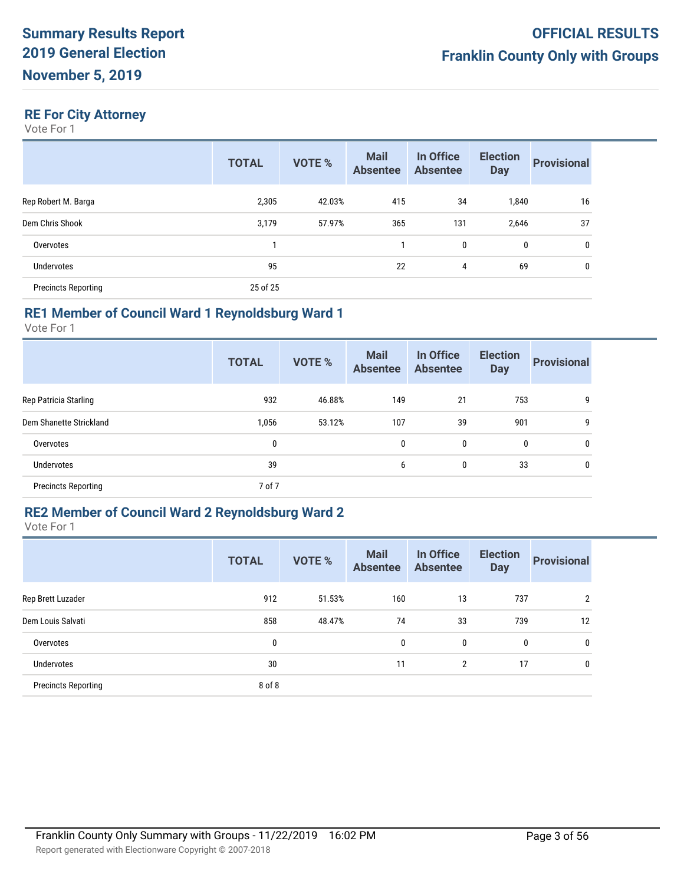# **RE For City Attorney**

Vote For 1

|                            | <b>TOTAL</b> | <b>VOTE %</b> | <b>Mail</b><br><b>Absentee</b> | In Office<br><b>Absentee</b> | <b>Election</b><br><b>Day</b> | <b>Provisional</b> |
|----------------------------|--------------|---------------|--------------------------------|------------------------------|-------------------------------|--------------------|
| Rep Robert M. Barga        | 2,305        | 42.03%        | 415                            | 34                           | 1,840                         | 16                 |
| Dem Chris Shook            | 3,179        | 57.97%        | 365                            | 131                          | 2,646                         | 37                 |
| Overvotes                  |              |               |                                | 0                            | 0                             | 0                  |
| <b>Undervotes</b>          | 95           |               | 22                             | 4                            | 69                            | 0                  |
| <b>Precincts Reporting</b> | 25 of 25     |               |                                |                              |                               |                    |

#### **RE1 Member of Council Ward 1 Reynoldsburg Ward 1**

Vote For 1

|                            | <b>TOTAL</b> | <b>VOTE %</b> | <b>Mail</b><br><b>Absentee</b> | In Office<br><b>Absentee</b> | <b>Election</b><br><b>Day</b> | <b>Provisional</b> |
|----------------------------|--------------|---------------|--------------------------------|------------------------------|-------------------------------|--------------------|
| Rep Patricia Starling      | 932          | 46.88%        | 149                            | 21                           | 753                           | 9                  |
| Dem Shanette Strickland    | 1,056        | 53.12%        | 107                            | 39                           | 901                           | 9                  |
| Overvotes                  | 0            |               | 0                              | 0                            | 0                             | 0                  |
| Undervotes                 | 39           |               | 6                              | 0                            | 33                            | 0                  |
| <b>Precincts Reporting</b> | 7 of 7       |               |                                |                              |                               |                    |

## **RE2 Member of Council Ward 2 Reynoldsburg Ward 2**

|                            | <b>TOTAL</b> | <b>VOTE %</b> | <b>Mail</b><br><b>Absentee</b> | In Office<br><b>Absentee</b> | <b>Election</b><br><b>Day</b> | <b>Provisional</b> |
|----------------------------|--------------|---------------|--------------------------------|------------------------------|-------------------------------|--------------------|
| Rep Brett Luzader          | 912          | 51.53%        | 160                            | 13                           | 737                           | $\overline{2}$     |
| Dem Louis Salvati          | 858          | 48.47%        | 74                             | 33                           | 739                           | 12                 |
| Overvotes                  | 0            |               | 0                              | 0                            | 0                             | 0                  |
| <b>Undervotes</b>          | 30           |               | 11                             | 2                            | 17                            | 0                  |
| <b>Precincts Reporting</b> | 8 of 8       |               |                                |                              |                               |                    |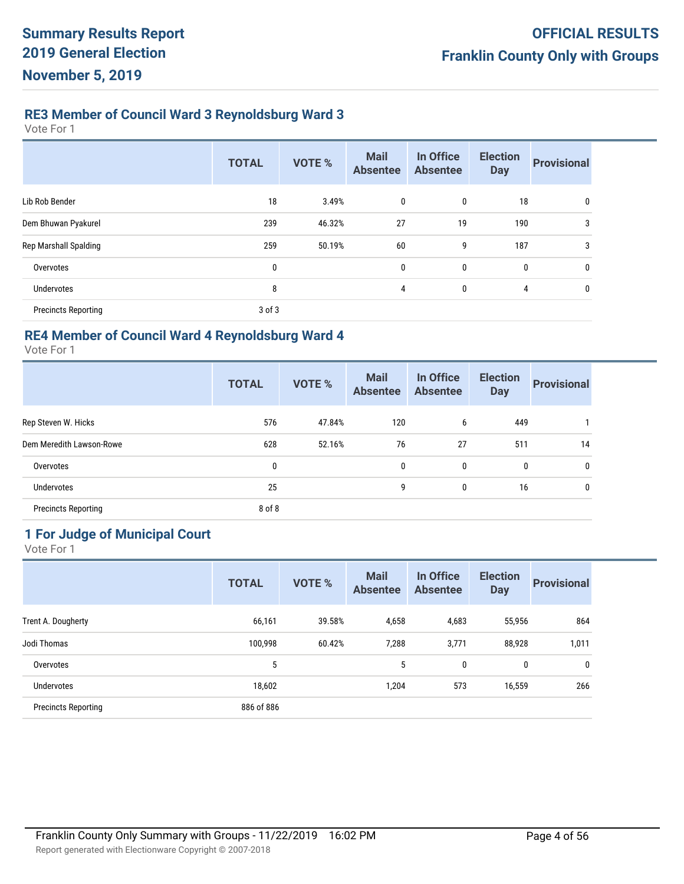# **RE3 Member of Council Ward 3 Reynoldsburg Ward 3**

Vote For 1

|                            | <b>TOTAL</b> | VOTE % | <b>Mail</b><br><b>Absentee</b> | In Office<br><b>Absentee</b> | <b>Election</b><br><b>Day</b> | <b>Provisional</b> |
|----------------------------|--------------|--------|--------------------------------|------------------------------|-------------------------------|--------------------|
| Lib Rob Bender             | 18           | 3.49%  | $\mathbf 0$                    | $\mathbf 0$                  | 18                            | $\mathbf 0$        |
| Dem Bhuwan Pyakurel        | 239          | 46.32% | 27                             | 19                           | 190                           | 3                  |
| Rep Marshall Spalding      | 259          | 50.19% | 60                             | 9                            | 187                           | 3                  |
| Overvotes                  | 0            |        | 0                              | 0                            | $\mathbf 0$                   | 0                  |
| <b>Undervotes</b>          | 8            |        | $\overline{4}$                 | $\mathbf 0$                  | 4                             | 0                  |
| <b>Precincts Reporting</b> | $3$ of $3$   |        |                                |                              |                               |                    |

# **RE4 Member of Council Ward 4 Reynoldsburg Ward 4**

Vote For 1

|                            | <b>TOTAL</b> | VOTE % | <b>Mail</b><br><b>Absentee</b> | In Office<br><b>Absentee</b> | <b>Election</b><br><b>Day</b> | <b>Provisional</b> |
|----------------------------|--------------|--------|--------------------------------|------------------------------|-------------------------------|--------------------|
| Rep Steven W. Hicks        | 576          | 47.84% | 120                            | 6                            | 449                           |                    |
| Dem Meredith Lawson-Rowe   | 628          | 52.16% | 76                             | 27                           | 511                           | 14                 |
| Overvotes                  | 0            |        | $\mathbf{0}$                   | 0                            | 0                             | 0                  |
| <b>Undervotes</b>          | 25           |        | 9                              | 0                            | 16                            | 0                  |
| <b>Precincts Reporting</b> | 8 of 8       |        |                                |                              |                               |                    |

# **1 For Judge of Municipal Court**

|                            | <b>TOTAL</b> | <b>VOTE %</b> | <b>Mail</b><br><b>Absentee</b> | In Office<br><b>Absentee</b> | <b>Election</b><br><b>Day</b> | <b>Provisional</b> |
|----------------------------|--------------|---------------|--------------------------------|------------------------------|-------------------------------|--------------------|
| Trent A. Dougherty         | 66,161       | 39.58%        | 4,658                          | 4,683                        | 55,956                        | 864                |
| Jodi Thomas                | 100,998      | 60.42%        | 7,288                          | 3,771                        | 88,928                        | 1,011              |
| Overvotes                  | 5            |               | 5                              | 0                            | $\mathbf{0}$                  | $\mathbf{0}$       |
| Undervotes                 | 18,602       |               | 1,204                          | 573                          | 16,559                        | 266                |
| <b>Precincts Reporting</b> | 886 of 886   |               |                                |                              |                               |                    |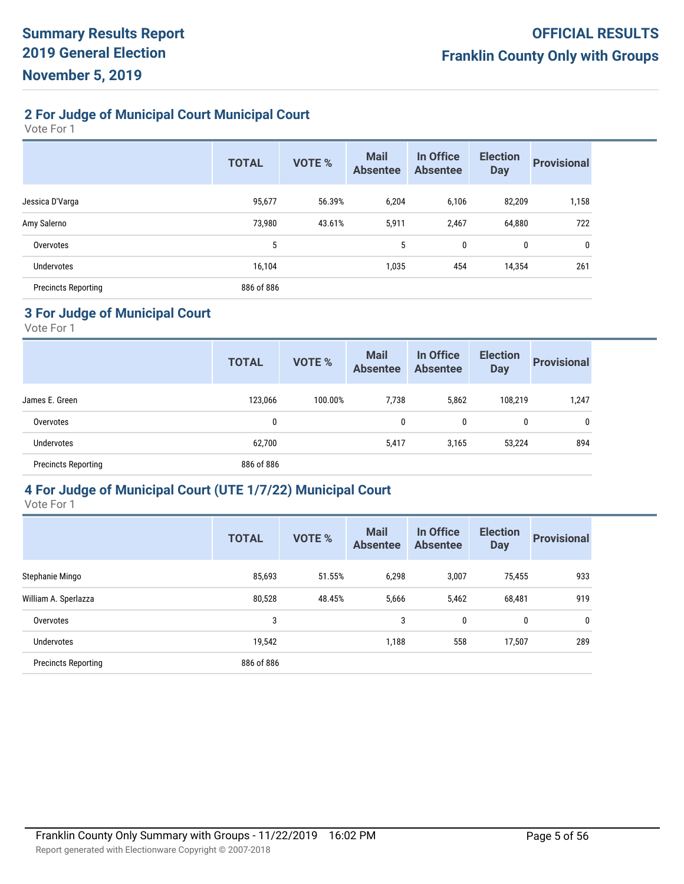# **2 For Judge of Municipal Court Municipal Court**

Vote For 1

|                            | <b>TOTAL</b> | <b>VOTE %</b> | <b>Mail</b><br><b>Absentee</b> | In Office<br><b>Absentee</b> | <b>Election</b><br><b>Day</b> | <b>Provisional</b> |
|----------------------------|--------------|---------------|--------------------------------|------------------------------|-------------------------------|--------------------|
| Jessica D'Varga            | 95,677       | 56.39%        | 6,204                          | 6,106                        | 82,209                        | 1,158              |
| Amy Salerno                | 73,980       | 43.61%        | 5,911                          | 2,467                        | 64,880                        | 722                |
| Overvotes                  | 5            |               | 5                              | 0                            | 0                             | 0                  |
| Undervotes                 | 16,104       |               | 1,035                          | 454                          | 14,354                        | 261                |
| <b>Precincts Reporting</b> | 886 of 886   |               |                                |                              |                               |                    |

#### **3 For Judge of Municipal Court**

Vote For 1

|                            | <b>TOTAL</b> | <b>VOTE %</b> | <b>Mail</b><br><b>Absentee</b> | In Office<br><b>Absentee</b> | <b>Election</b><br><b>Day</b> | <b>Provisional</b> |
|----------------------------|--------------|---------------|--------------------------------|------------------------------|-------------------------------|--------------------|
| James E. Green             | 123,066      | 100.00%       | 7,738                          | 5,862                        | 108,219                       | 1,247              |
| Overvotes                  | 0            |               | 0                              | 0                            | $\mathbf{0}$                  | 0                  |
| <b>Undervotes</b>          | 62,700       |               | 5,417                          | 3,165                        | 53,224                        | 894                |
| <b>Precincts Reporting</b> | 886 of 886   |               |                                |                              |                               |                    |

#### **4 For Judge of Municipal Court (UTE 1/7/22) Municipal Court**

|                            | <b>TOTAL</b> | <b>VOTE %</b> | <b>Mail</b><br><b>Absentee</b> | In Office<br><b>Absentee</b> | <b>Election</b><br><b>Day</b> | <b>Provisional</b> |
|----------------------------|--------------|---------------|--------------------------------|------------------------------|-------------------------------|--------------------|
| Stephanie Mingo            | 85,693       | 51.55%        | 6,298                          | 3,007                        | 75,455                        | 933                |
| William A. Sperlazza       | 80,528       | 48.45%        | 5,666                          | 5,462                        | 68,481                        | 919                |
| Overvotes                  | 3            |               | 3                              | 0                            | 0                             | 0                  |
| Undervotes                 | 19,542       |               | 1,188                          | 558                          | 17,507                        | 289                |
| <b>Precincts Reporting</b> | 886 of 886   |               |                                |                              |                               |                    |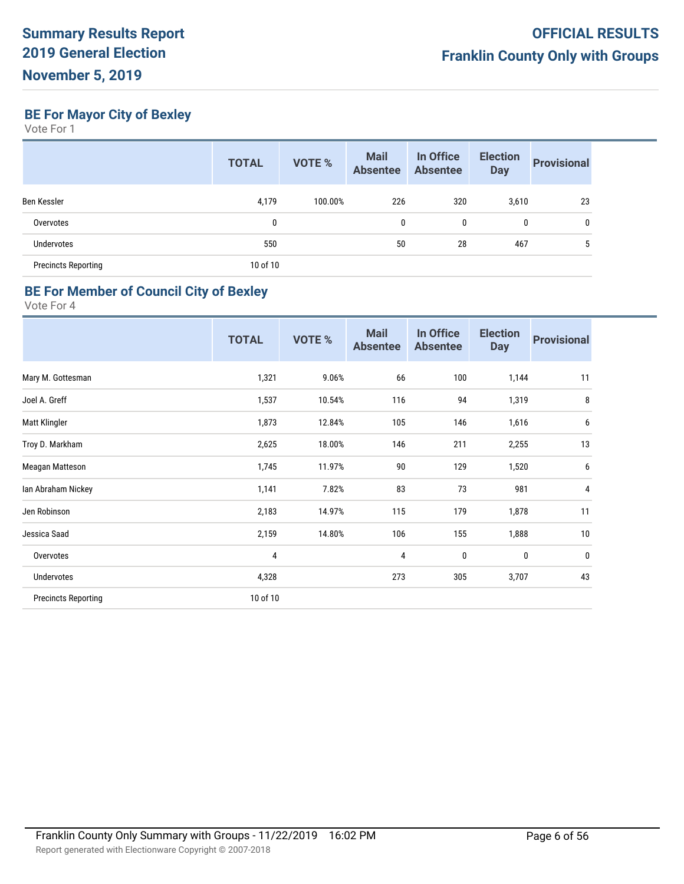**BE For Mayor City of Bexley**

Vote For 1

|                            | <b>TOTAL</b> | <b>VOTE %</b> | <b>Mail</b><br><b>Absentee</b> | In Office<br><b>Absentee</b> | <b>Election</b><br><b>Day</b> | <b>Provisional</b> |
|----------------------------|--------------|---------------|--------------------------------|------------------------------|-------------------------------|--------------------|
| Ben Kessler                | 4,179        | 100.00%       | 226                            | 320                          | 3,610                         | 23                 |
| Overvotes                  | 0            |               | 0                              | 0                            | 0                             | 0                  |
| <b>Undervotes</b>          | 550          |               | 50                             | 28                           | 467                           | 5                  |
| <b>Precincts Reporting</b> | 10 of 10     |               |                                |                              |                               |                    |

# **BE For Member of Council City of Bexley**

|                            | <b>TOTAL</b> | <b>VOTE %</b> | <b>Mail</b><br><b>Absentee</b> | In Office<br><b>Absentee</b> | <b>Election</b><br><b>Day</b> | <b>Provisional</b> |
|----------------------------|--------------|---------------|--------------------------------|------------------------------|-------------------------------|--------------------|
| Mary M. Gottesman          | 1,321        | 9.06%         | 66                             | 100                          | 1,144                         | 11                 |
| Joel A. Greff              | 1,537        | 10.54%        | 116                            | 94                           | 1,319                         | 8                  |
| Matt Klingler              | 1,873        | 12.84%        | 105                            | 146                          | 1,616                         | 6                  |
| Troy D. Markham            | 2,625        | 18.00%        | 146                            | 211                          | 2,255                         | 13                 |
| Meagan Matteson            | 1,745        | 11.97%        | 90                             | 129                          | 1,520                         | 6                  |
| Ian Abraham Nickey         | 1,141        | 7.82%         | 83                             | 73                           | 981                           | 4                  |
| Jen Robinson               | 2,183        | 14.97%        | 115                            | 179                          | 1,878                         | 11                 |
| Jessica Saad               | 2,159        | 14.80%        | 106                            | 155                          | 1,888                         | 10                 |
| Overvotes                  | 4            |               | 4                              | $\pmb{0}$                    | $\bf{0}$                      | 0                  |
| Undervotes                 | 4,328        |               | 273                            | 305                          | 3,707                         | 43                 |
| <b>Precincts Reporting</b> | 10 of 10     |               |                                |                              |                               |                    |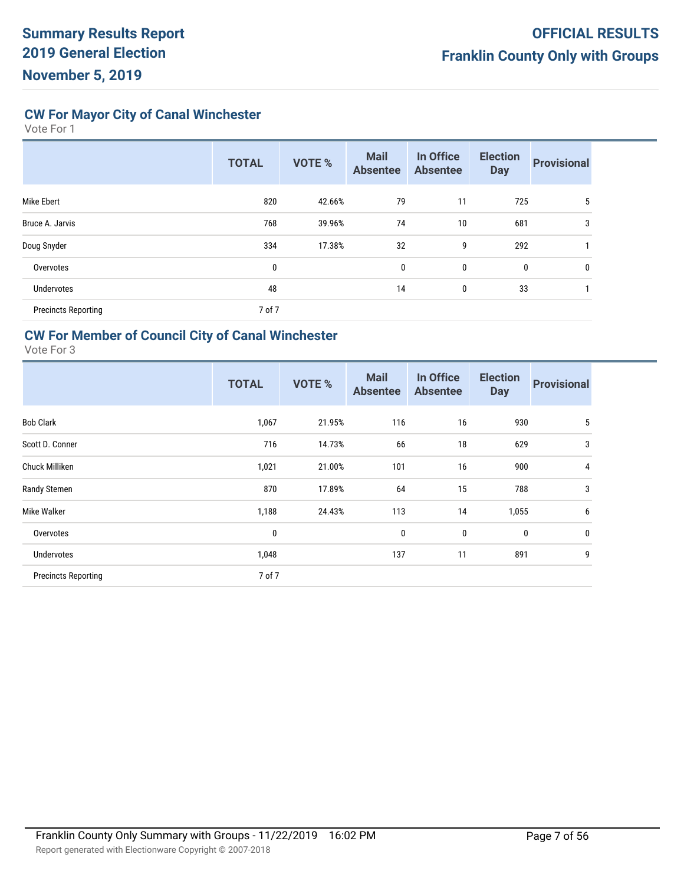**CW For Mayor City of Canal Winchester**

Vote For 1

|                            | <b>TOTAL</b> | <b>VOTE %</b> | <b>Mail</b><br><b>Absentee</b> | In Office<br><b>Absentee</b> | <b>Election</b><br><b>Day</b> | <b>Provisional</b> |
|----------------------------|--------------|---------------|--------------------------------|------------------------------|-------------------------------|--------------------|
| Mike Ebert                 | 820          | 42.66%        | 79                             | 11                           | 725                           | 5                  |
| Bruce A. Jarvis            | 768          | 39.96%        | 74                             | 10                           | 681                           | 3                  |
| Doug Snyder                | 334          | 17.38%        | 32                             | 9                            | 292                           |                    |
| Overvotes                  | 0            |               | 0                              | 0                            | 0                             | 0                  |
| Undervotes                 | 48           |               | 14                             | 0                            | 33                            |                    |
| <b>Precincts Reporting</b> | 7 of 7       |               |                                |                              |                               |                    |

# **CW For Member of Council City of Canal Winchester**

|                            | <b>TOTAL</b> | <b>VOTE %</b> | <b>Mail</b><br><b>Absentee</b> | In Office<br><b>Absentee</b> | <b>Election</b><br><b>Day</b> | <b>Provisional</b> |
|----------------------------|--------------|---------------|--------------------------------|------------------------------|-------------------------------|--------------------|
| <b>Bob Clark</b>           | 1,067        | 21.95%        | 116                            | 16                           | 930                           | 5                  |
| Scott D. Conner            | 716          | 14.73%        | 66                             | 18                           | 629                           | 3                  |
| Chuck Milliken             | 1,021        | 21.00%        | 101                            | 16                           | 900                           | 4                  |
| Randy Stemen               | 870          | 17.89%        | 64                             | 15                           | 788                           | 3                  |
| Mike Walker                | 1,188        | 24.43%        | 113                            | 14                           | 1,055                         | 6                  |
| Overvotes                  | $\mathbf{0}$ |               | $\mathbf 0$                    | 0                            | $\mathbf 0$                   | 0                  |
| <b>Undervotes</b>          | 1,048        |               | 137                            | 11                           | 891                           | 9                  |
| <b>Precincts Reporting</b> | 7 of 7       |               |                                |                              |                               |                    |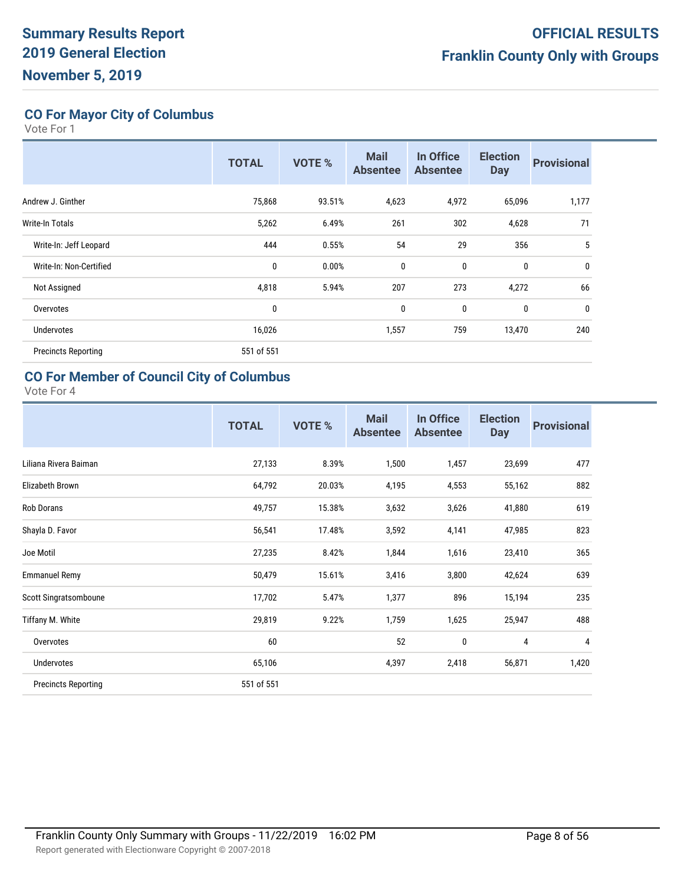# **CO For Mayor City of Columbus**

Vote For 1

|                            | <b>TOTAL</b> | <b>VOTE %</b> | <b>Mail</b><br><b>Absentee</b> | In Office<br><b>Absentee</b> | <b>Election</b><br><b>Day</b> | <b>Provisional</b> |
|----------------------------|--------------|---------------|--------------------------------|------------------------------|-------------------------------|--------------------|
| Andrew J. Ginther          | 75,868       | 93.51%        | 4,623                          | 4,972                        | 65,096                        | 1,177              |
| <b>Write-In Totals</b>     | 5,262        | 6.49%         | 261                            | 302                          | 4,628                         | 71                 |
| Write-In: Jeff Leopard     | 444          | 0.55%         | 54                             | 29                           | 356                           | 5                  |
| Write-In: Non-Certified    | 0            | 0.00%         | $\mathbf{0}$                   | 0                            | 0                             | $\mathbf{0}$       |
| Not Assigned               | 4,818        | 5.94%         | 207                            | 273                          | 4,272                         | 66                 |
| Overvotes                  | 0            |               | 0                              | 0                            | 0                             | $\mathbf{0}$       |
| Undervotes                 | 16,026       |               | 1,557                          | 759                          | 13,470                        | 240                |
| <b>Precincts Reporting</b> | 551 of 551   |               |                                |                              |                               |                    |

# **CO For Member of Council City of Columbus**

|                            | <b>TOTAL</b> | <b>VOTE %</b> | <b>Mail</b><br><b>Absentee</b> | In Office<br><b>Absentee</b> | <b>Election</b><br><b>Day</b> | <b>Provisional</b> |
|----------------------------|--------------|---------------|--------------------------------|------------------------------|-------------------------------|--------------------|
| Liliana Rivera Baiman      | 27,133       | 8.39%         | 1,500                          | 1,457                        | 23,699                        | 477                |
| Elizabeth Brown            | 64,792       | 20.03%        | 4,195                          | 4,553                        | 55,162                        | 882                |
| Rob Dorans                 | 49,757       | 15.38%        | 3,632                          | 3,626                        | 41,880                        | 619                |
| Shayla D. Favor            | 56,541       | 17.48%        | 3,592                          | 4,141                        | 47,985                        | 823                |
| Joe Motil                  | 27,235       | 8.42%         | 1,844                          | 1,616                        | 23,410                        | 365                |
| <b>Emmanuel Remy</b>       | 50,479       | 15.61%        | 3,416                          | 3,800                        | 42,624                        | 639                |
| Scott Singratsomboune      | 17,702       | 5.47%         | 1,377                          | 896                          | 15,194                        | 235                |
| Tiffany M. White           | 29,819       | 9.22%         | 1,759                          | 1,625                        | 25,947                        | 488                |
| Overvotes                  | 60           |               | 52                             | 0                            | 4                             | 4                  |
| Undervotes                 | 65,106       |               | 4,397                          | 2,418                        | 56,871                        | 1,420              |
| <b>Precincts Reporting</b> | 551 of 551   |               |                                |                              |                               |                    |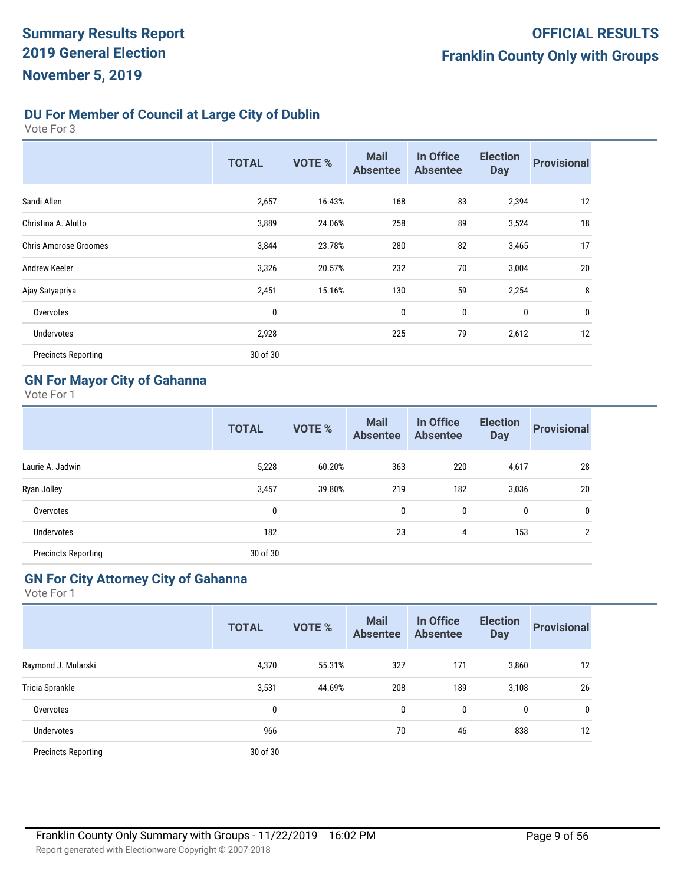# **DU For Member of Council at Large City of Dublin**

Vote For 3

|                              | <b>TOTAL</b> | <b>VOTE %</b> | <b>Mail</b><br><b>Absentee</b> | In Office<br><b>Absentee</b> | <b>Election</b><br><b>Day</b> | <b>Provisional</b> |
|------------------------------|--------------|---------------|--------------------------------|------------------------------|-------------------------------|--------------------|
| Sandi Allen                  | 2,657        | 16.43%        | 168                            | 83                           | 2,394                         | 12                 |
| Christina A. Alutto          | 3,889        | 24.06%        | 258                            | 89                           | 3,524                         | 18                 |
| <b>Chris Amorose Groomes</b> | 3,844        | 23.78%        | 280                            | 82                           | 3,465                         | 17                 |
| Andrew Keeler                | 3,326        | 20.57%        | 232                            | 70                           | 3,004                         | 20                 |
| Ajay Satyapriya              | 2,451        | 15.16%        | 130                            | 59                           | 2,254                         | 8                  |
| Overvotes                    | $\bf{0}$     |               | 0                              | 0                            | $\bf{0}$                      | 0                  |
| Undervotes                   | 2,928        |               | 225                            | 79                           | 2,612                         | 12                 |
| <b>Precincts Reporting</b>   | 30 of 30     |               |                                |                              |                               |                    |

#### **GN For Mayor City of Gahanna**

Vote For 1

|                            | <b>TOTAL</b> | <b>VOTE %</b> | <b>Mail</b><br><b>Absentee</b> | In Office<br><b>Absentee</b> | <b>Election</b><br><b>Day</b> | <b>Provisional</b> |
|----------------------------|--------------|---------------|--------------------------------|------------------------------|-------------------------------|--------------------|
| Laurie A. Jadwin           | 5,228        | 60.20%        | 363                            | 220                          | 4,617                         | 28                 |
| Ryan Jolley                | 3,457        | 39.80%        | 219                            | 182                          | 3,036                         | 20                 |
| Overvotes                  | 0            |               | 0                              | 0                            | 0                             | $\mathbf{0}$       |
| Undervotes                 | 182          |               | 23                             | 4                            | 153                           | 2                  |
| <b>Precincts Reporting</b> | 30 of 30     |               |                                |                              |                               |                    |

### **GN For City Attorney City of Gahanna**

| <b>TOTAL</b> | <b>VOTE %</b> | <b>Mail</b><br><b>Absentee</b> | In Office<br><b>Absentee</b> | <b>Election</b><br><b>Day</b> | <b>Provisional</b>         |
|--------------|---------------|--------------------------------|------------------------------|-------------------------------|----------------------------|
| 4,370        | 55.31%        | 327                            | 171                          |                               | 12                         |
| 3,531        | 44.69%        | 208                            | 189                          |                               | 26                         |
| 0            |               | $\mathbf{0}$                   | 0                            |                               | 0                          |
| 966          |               | 70                             | 46                           |                               | 12                         |
| 30 of 30     |               |                                |                              |                               |                            |
|              |               |                                |                              |                               | 3,860<br>3,108<br>0<br>838 |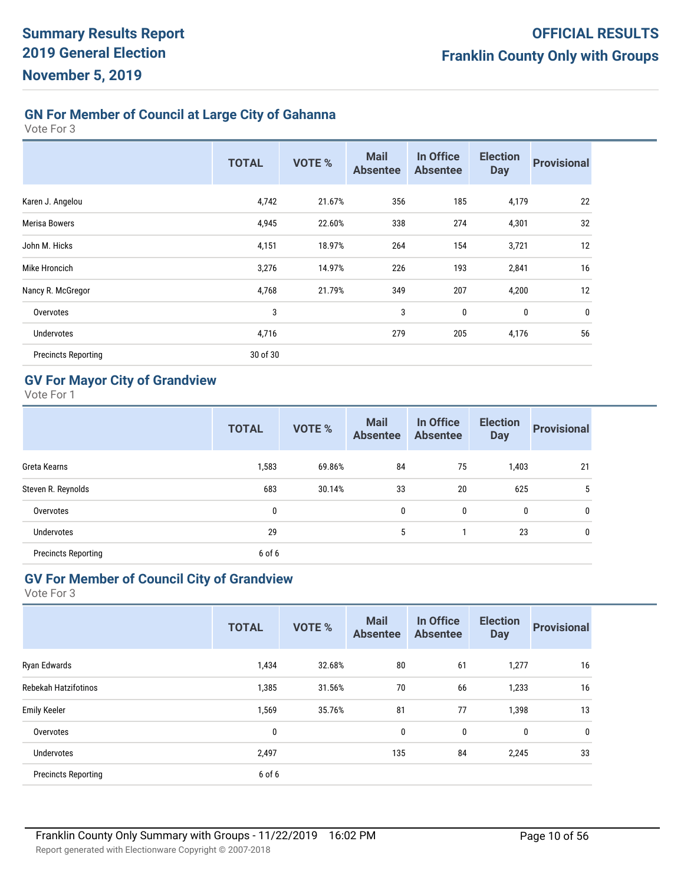# **GN For Member of Council at Large City of Gahanna**

Vote For 3

|                            | <b>TOTAL</b> | <b>VOTE %</b> | <b>Mail</b><br><b>Absentee</b> | In Office<br><b>Absentee</b> | <b>Election</b><br><b>Day</b> | <b>Provisional</b> |
|----------------------------|--------------|---------------|--------------------------------|------------------------------|-------------------------------|--------------------|
| Karen J. Angelou           | 4,742        | 21.67%        | 356                            | 185                          | 4,179                         | 22                 |
| <b>Merisa Bowers</b>       | 4,945        | 22.60%        | 338                            | 274                          | 4,301                         | 32                 |
| John M. Hicks              | 4,151        | 18.97%        | 264                            | 154                          | 3,721                         | 12                 |
| Mike Hroncich              | 3,276        | 14.97%        | 226                            | 193                          | 2,841                         | 16                 |
| Nancy R. McGregor          | 4,768        | 21.79%        | 349                            | 207                          | 4,200                         | 12                 |
| Overvotes                  | 3            |               | 3                              | $\mathbf{0}$                 | 0                             | $\mathbf 0$        |
| Undervotes                 | 4,716        |               | 279                            | 205                          | 4,176                         | 56                 |
| <b>Precincts Reporting</b> | 30 of 30     |               |                                |                              |                               |                    |

# **GV For Mayor City of Grandview**

Vote For 1

|                            | <b>TOTAL</b> | <b>VOTE %</b> | <b>Mail</b><br><b>Absentee</b> | In Office<br><b>Absentee</b> | <b>Election</b><br><b>Day</b> | <b>Provisional</b> |
|----------------------------|--------------|---------------|--------------------------------|------------------------------|-------------------------------|--------------------|
| Greta Kearns               | 1,583        | 69.86%        | 84                             | 75                           | 1,403                         | 21                 |
| Steven R. Reynolds         | 683          | 30.14%        | 33                             | 20                           | 625                           | 5                  |
| Overvotes                  | 0            |               | $\mathbf{0}$                   | 0                            | 0                             | 0                  |
| Undervotes                 | 29           |               | 5                              |                              | 23                            | 0                  |
| <b>Precincts Reporting</b> | 6 of 6       |               |                                |                              |                               |                    |

### **GV For Member of Council City of Grandview**

| <b>TOTAL</b> | <b>VOTE %</b> | <b>Mail</b><br><b>Absentee</b> | In Office<br><b>Absentee</b> | <b>Election</b><br><b>Day</b> | <b>Provisional</b> |
|--------------|---------------|--------------------------------|------------------------------|-------------------------------|--------------------|
| 1,434        | 32.68%        | 80                             | 61                           | 1,277                         | 16                 |
| 1,385        | 31.56%        | 70                             | 66                           | 1,233                         | 16                 |
| 1,569        | 35.76%        | 81                             | 77                           | 1,398                         | 13                 |
| 0            |               | 0                              | $\mathbf 0$                  | $\bf{0}$                      | 0                  |
| 2,497        |               | 135                            | 84                           | 2,245                         | 33                 |
| 6 of 6       |               |                                |                              |                               |                    |
|              |               |                                |                              |                               |                    |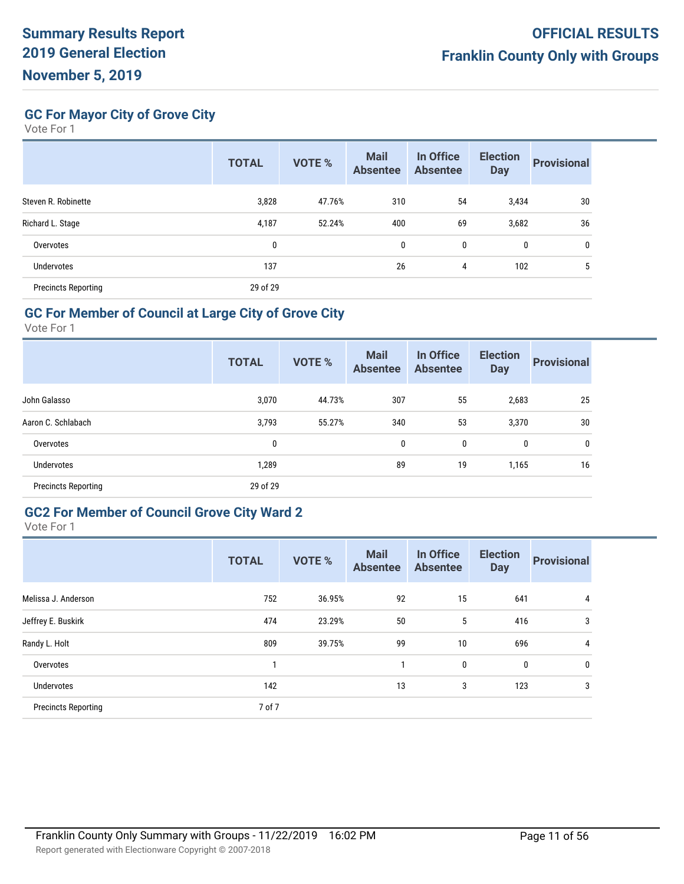**GC For Mayor City of Grove City**

Vote For 1

|                            | <b>TOTAL</b> | <b>VOTE %</b> | <b>Mail</b><br><b>Absentee</b> | In Office<br><b>Absentee</b> | <b>Election</b><br><b>Day</b> | <b>Provisional</b> |
|----------------------------|--------------|---------------|--------------------------------|------------------------------|-------------------------------|--------------------|
| Steven R. Robinette        | 3,828        | 47.76%        | 310                            | 54                           | 3,434                         | 30                 |
| Richard L. Stage           | 4,187        | 52.24%        | 400                            | 69                           | 3,682                         | 36                 |
| Overvotes                  | 0            |               | 0                              | 0                            | 0                             | 0                  |
| Undervotes                 | 137          |               | 26                             | 4                            | 102                           | 5                  |
| <b>Precincts Reporting</b> | 29 of 29     |               |                                |                              |                               |                    |

#### **GC For Member of Council at Large City of Grove City**

Vote For 1

|                            | <b>TOTAL</b> | <b>VOTE %</b> | <b>Mail</b><br><b>Absentee</b> | In Office<br><b>Absentee</b> | <b>Election</b><br><b>Day</b> | <b>Provisional</b> |
|----------------------------|--------------|---------------|--------------------------------|------------------------------|-------------------------------|--------------------|
| John Galasso               | 3,070        | 44.73%        | 307                            | 55                           | 2,683                         | 25                 |
| Aaron C. Schlabach         | 3,793        | 55.27%        | 340                            | 53                           | 3,370                         | 30                 |
| Overvotes                  | 0            |               | 0                              | 0                            | 0                             | 0                  |
| <b>Undervotes</b>          | 1,289        |               | 89                             | 19                           | 1,165                         | 16                 |
| <b>Precincts Reporting</b> | 29 of 29     |               |                                |                              |                               |                    |

#### **GC2 For Member of Council Grove City Ward 2**

|                            | <b>TOTAL</b> | <b>VOTE %</b> | <b>Mail</b><br><b>Absentee</b> | In Office<br><b>Absentee</b> | <b>Election</b><br><b>Day</b> | <b>Provisional</b> |
|----------------------------|--------------|---------------|--------------------------------|------------------------------|-------------------------------|--------------------|
| Melissa J. Anderson        | 752          | 36.95%        | 92                             | 15                           | 641                           | 4                  |
| Jeffrey E. Buskirk         | 474          | 23.29%        | 50                             | 5                            | 416                           | 3                  |
| Randy L. Holt              | 809          | 39.75%        | 99                             | 10                           | 696                           | 4                  |
| Overvotes                  | 1            |               | 1                              | 0                            | $\mathbf 0$                   | $\mathbf{0}$       |
| <b>Undervotes</b>          | 142          |               | 13                             | 3                            | 123                           | 3                  |
| <b>Precincts Reporting</b> | 7 of 7       |               |                                |                              |                               |                    |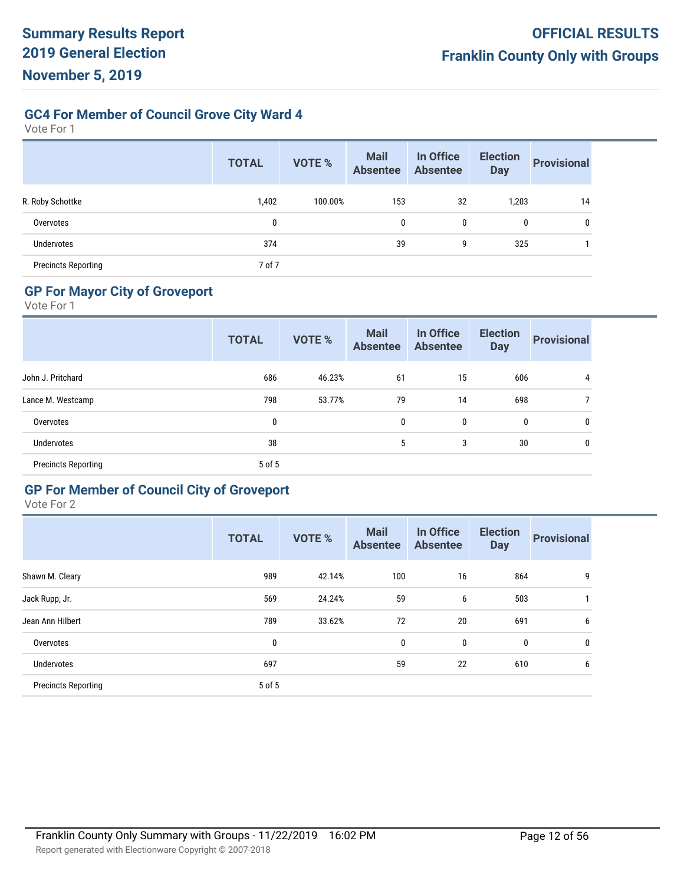**GC4 For Member of Council Grove City Ward 4**

Vote For 1

|                            | <b>TOTAL</b> | <b>VOTE %</b> | <b>Mail</b><br><b>Absentee</b> | In Office<br><b>Absentee</b> | <b>Election</b><br><b>Day</b> | <b>Provisional</b> |
|----------------------------|--------------|---------------|--------------------------------|------------------------------|-------------------------------|--------------------|
| R. Roby Schottke           | 1,402        | 100.00%       | 153                            | 32                           | 1,203                         | 14                 |
| Overvotes                  | 0            |               | 0                              | 0                            | 0                             | 0                  |
| <b>Undervotes</b>          | 374          |               | 39                             | 9                            | 325                           |                    |
| <b>Precincts Reporting</b> | 7 of 7       |               |                                |                              |                               |                    |

# **GP For Mayor City of Groveport**

Vote For 1

|                            | <b>TOTAL</b> | VOTE % | <b>Mail</b><br><b>Absentee</b> | In Office<br><b>Absentee</b> | <b>Election</b><br><b>Day</b> | <b>Provisional</b> |
|----------------------------|--------------|--------|--------------------------------|------------------------------|-------------------------------|--------------------|
| John J. Pritchard          | 686          | 46.23% | 61                             | 15                           | 606                           | 4                  |
| Lance M. Westcamp          | 798          | 53.77% | 79                             | 14                           | 698                           |                    |
| Overvotes                  | 0            |        | 0                              | 0                            | $\mathbf 0$                   | 0                  |
| Undervotes                 | 38           |        | 5                              | 3                            | 30                            | 0                  |
| <b>Precincts Reporting</b> | 5 of 5       |        |                                |                              |                               |                    |
|                            |              |        |                                |                              |                               |                    |

# **GP For Member of Council City of Groveport**

|                            | <b>TOTAL</b> | <b>VOTE %</b> | <b>Mail</b><br><b>Absentee</b> | In Office<br><b>Absentee</b> | <b>Election</b><br><b>Day</b> | <b>Provisional</b> |
|----------------------------|--------------|---------------|--------------------------------|------------------------------|-------------------------------|--------------------|
| Shawn M. Cleary            | 989          | 42.14%        | 100                            | 16                           | 864                           | 9                  |
| Jack Rupp, Jr.             | 569          | 24.24%        | 59                             | 6                            | 503                           |                    |
| Jean Ann Hilbert           | 789          | 33.62%        | 72                             | 20                           | 691                           | 6                  |
| Overvotes                  | 0            |               | $\mathbf{0}$                   | 0                            | 0                             | 0                  |
| Undervotes                 | 697          |               | 59                             | 22                           | 610                           | 6                  |
| <b>Precincts Reporting</b> | 5 of 5       |               |                                |                              |                               |                    |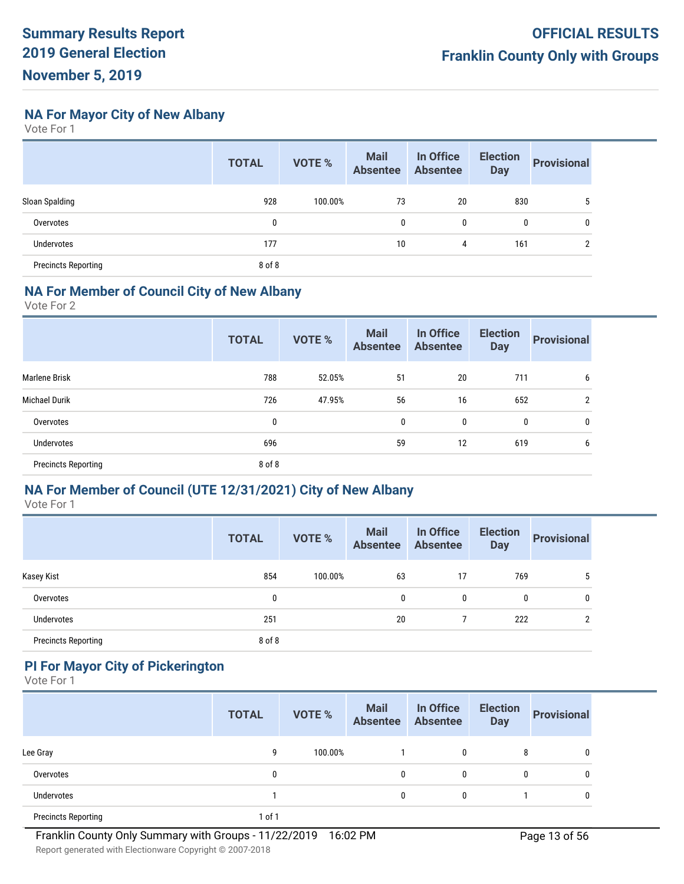**NA For Mayor City of New Albany**

Vote For 1

|                            | <b>TOTAL</b> | <b>VOTE %</b> | <b>Mail</b><br><b>Absentee</b> | In Office<br><b>Absentee</b> | <b>Election</b><br><b>Day</b> | <b>Provisional</b> |
|----------------------------|--------------|---------------|--------------------------------|------------------------------|-------------------------------|--------------------|
| Sloan Spalding             | 928          | 100.00%       | 73                             | 20                           | 830                           | 5                  |
| Overvotes                  | 0            |               | 0                              | 0                            | 0                             | 0                  |
| Undervotes                 | 177          |               | 10                             | 4                            | 161                           | ↑                  |
| <b>Precincts Reporting</b> | 8 of 8       |               |                                |                              |                               |                    |

#### **NA For Member of Council City of New Albany**

Vote For 2

|                            | <b>TOTAL</b> | <b>VOTE %</b> | <b>Mail</b><br><b>Absentee</b> | In Office<br><b>Absentee</b> | <b>Election</b><br><b>Day</b> | <b>Provisional</b> |
|----------------------------|--------------|---------------|--------------------------------|------------------------------|-------------------------------|--------------------|
| <b>Marlene Brisk</b>       | 788          | 52.05%        | 51                             | 20                           | 711                           | 6                  |
| <b>Michael Durik</b>       | 726          | 47.95%        | 56                             | 16                           | 652                           | $\overline{2}$     |
| Overvotes                  | 0            |               | 0                              | 0                            | 0                             | 0                  |
| <b>Undervotes</b>          | 696          |               | 59                             | 12                           | 619                           | 6                  |
| <b>Precincts Reporting</b> | 8 of 8       |               |                                |                              |                               |                    |
|                            |              |               |                                |                              |                               |                    |

#### **NA For Member of Council (UTE 12/31/2021) City of New Albany**

Vote For 1

|                            | <b>TOTAL</b> | <b>VOTE %</b> | <b>Mail</b><br><b>Absentee</b> | In Office<br><b>Absentee</b> | <b>Election</b><br><b>Day</b> | <b>Provisional</b> |
|----------------------------|--------------|---------------|--------------------------------|------------------------------|-------------------------------|--------------------|
| Kasey Kist                 | 854          | 100.00%       | 63                             | 17                           | 769                           | 5                  |
| Overvotes                  | 0            |               | 0                              | 0                            | 0                             | 0                  |
| <b>Undervotes</b>          | 251          |               | 20                             |                              | 222                           | ŋ                  |
| <b>Precincts Reporting</b> | 8 of 8       |               |                                |                              |                               |                    |

# **PI For Mayor City of Pickerington**

|                            | <b>TOTAL</b> | <b>VOTE %</b> | <b>Mail</b><br><b>Absentee</b> | In Office<br><b>Absentee</b> | <b>Election</b><br><b>Day</b> | <b>Provisional</b> |
|----------------------------|--------------|---------------|--------------------------------|------------------------------|-------------------------------|--------------------|
| Lee Gray                   | 9            | 100.00%       |                                | 0                            | 8                             | 0                  |
| Overvotes                  | 0            |               | 0                              | 0                            | 0                             | 0                  |
| <b>Undervotes</b>          |              |               | $\mathbf{0}$                   | $\mathbf{0}$                 |                               | 0                  |
| <b>Precincts Reporting</b> | 1 of 1       |               |                                |                              |                               |                    |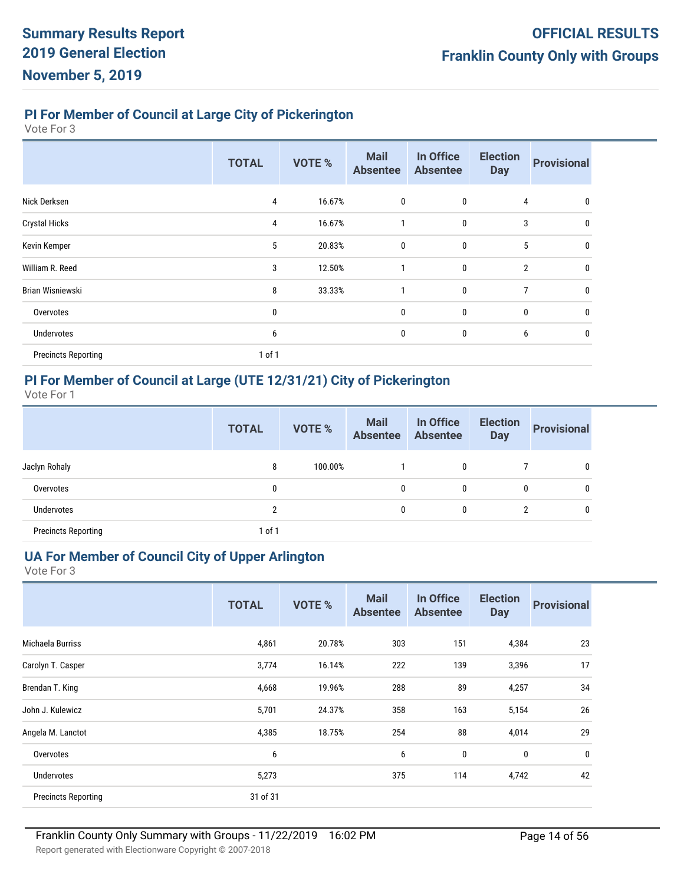# **PI For Member of Council at Large City of Pickerington**

Vote For 3

|                            | <b>TOTAL</b> | <b>VOTE %</b> | <b>Mail</b><br><b>Absentee</b> | In Office<br><b>Absentee</b> | <b>Election</b><br><b>Day</b> | <b>Provisional</b> |
|----------------------------|--------------|---------------|--------------------------------|------------------------------|-------------------------------|--------------------|
| Nick Derksen               | 4            | 16.67%        | 0                              | $\bf{0}$                     | 4                             | 0                  |
| <b>Crystal Hicks</b>       | 4            | 16.67%        |                                | $\pmb{0}$                    | 3                             | 0                  |
| Kevin Kemper               | 5            | 20.83%        | 0                              | 0                            | 5                             | 0                  |
| William R. Reed            | 3            | 12.50%        |                                | 0                            | $\overline{2}$                | 0                  |
| Brian Wisniewski           | 8            | 33.33%        |                                | 0                            | 7                             | 0                  |
| Overvotes                  | 0            |               | 0                              | 0                            | $\mathbf 0$                   |                    |
| Undervotes                 | 6            |               | 0                              | 0                            | 6                             | 0                  |
| <b>Precincts Reporting</b> | 1 of 1       |               |                                |                              |                               |                    |

# **PI For Member of Council at Large (UTE 12/31/21) City of Pickerington**

Vote For 1

|                            | <b>TOTAL</b>   | VOTE %  | <b>Mail</b><br>Absentee | In Office<br><b>Absentee</b> | <b>Election</b><br><b>Day</b> | <b>Provisional</b> |
|----------------------------|----------------|---------|-------------------------|------------------------------|-------------------------------|--------------------|
| Jaclyn Rohaly              | 8              | 100.00% |                         | 0                            |                               | 0                  |
| Overvotes                  | 0              |         | 0                       | 0                            | 0                             | 0                  |
| Undervotes                 | $\overline{2}$ |         | 0                       | 0                            |                               | 0                  |
| <b>Precincts Reporting</b> | 1 of 1         |         |                         |                              |                               |                    |

# **UA For Member of Council City of Upper Arlington**

|                            | <b>TOTAL</b> | <b>VOTE %</b> | <b>Mail</b><br><b>Absentee</b> | In Office<br><b>Absentee</b> | <b>Election</b><br><b>Day</b> | <b>Provisional</b> |
|----------------------------|--------------|---------------|--------------------------------|------------------------------|-------------------------------|--------------------|
| Michaela Burriss           | 4,861        | 20.78%        | 303                            | 151                          | 4,384                         | 23                 |
| Carolyn T. Casper          | 3,774        | 16.14%        | 222                            | 139                          | 3,396                         | 17                 |
| Brendan T. King            | 4,668        | 19.96%        | 288                            | 89                           | 4,257                         | 34                 |
| John J. Kulewicz           | 5,701        | 24.37%        | 358                            | 163                          | 5,154                         | 26                 |
| Angela M. Lanctot          | 4,385        | 18.75%        | 254                            | 88                           | 4,014                         | 29                 |
| Overvotes                  | 6            |               | 6                              | 0                            | 0                             | 0                  |
| <b>Undervotes</b>          | 5,273        |               | 375                            | 114                          | 4,742                         | 42                 |
| <b>Precincts Reporting</b> | 31 of 31     |               |                                |                              |                               |                    |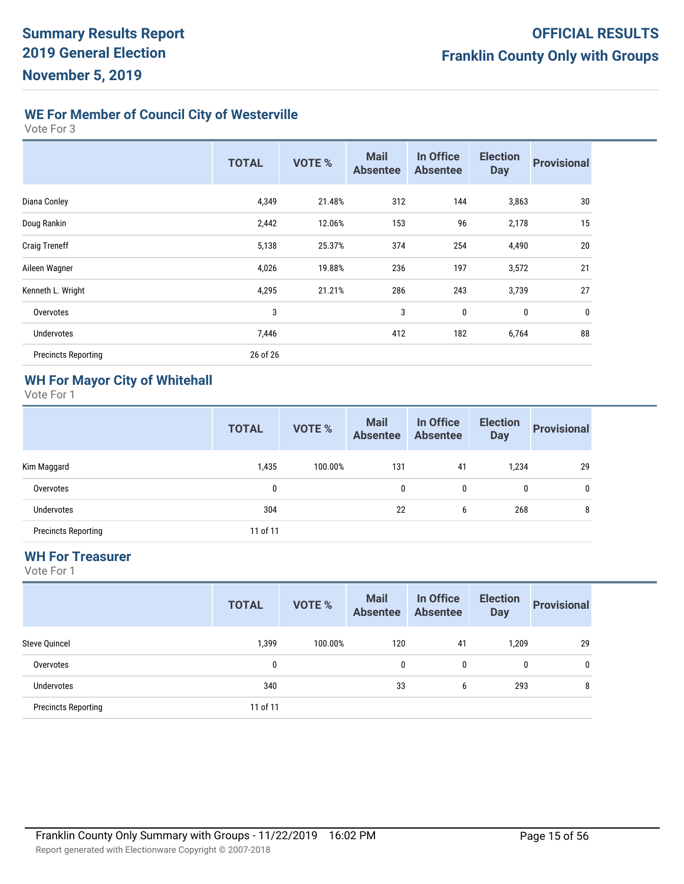# **WE For Member of Council City of Westerville**

Vote For 3

|                            | <b>TOTAL</b> | <b>VOTE %</b> | <b>Mail</b><br><b>Absentee</b> | In Office<br><b>Absentee</b> | <b>Election</b><br><b>Day</b> | <b>Provisional</b> |
|----------------------------|--------------|---------------|--------------------------------|------------------------------|-------------------------------|--------------------|
| Diana Conley               | 4,349        | 21.48%        | 312                            | 144                          | 3,863                         | 30                 |
| Doug Rankin                | 2,442        | 12.06%        | 153                            | 96                           | 2,178                         | 15                 |
| <b>Craig Treneff</b>       | 5,138        | 25.37%        | 374                            | 254                          | 4,490                         | 20                 |
| Aileen Wagner              | 4,026        | 19.88%        | 236                            | 197                          | 3,572                         | 21                 |
| Kenneth L. Wright          | 4,295        | 21.21%        | 286                            | 243                          | 3,739                         | 27                 |
| Overvotes                  | 3            |               | 3                              | 0                            | $\bf{0}$                      | $\bf{0}$           |
| <b>Undervotes</b>          | 7,446        |               | 412                            | 182                          | 6,764                         | 88                 |
| <b>Precincts Reporting</b> | 26 of 26     |               |                                |                              |                               |                    |

#### **WH For Mayor City of Whitehall**

Vote For 1

|                            | <b>TOTAL</b> | <b>VOTE %</b> | <b>Mail</b><br><b>Absentee</b> | In Office<br><b>Absentee</b> | <b>Election</b><br><b>Day</b> | <b>Provisional</b> |
|----------------------------|--------------|---------------|--------------------------------|------------------------------|-------------------------------|--------------------|
| Kim Maggard                | 1,435        | 100.00%       | 131                            | 41                           | 1,234                         | 29                 |
| Overvotes                  | 0            |               | 0                              | 0                            | 0                             | 0                  |
| <b>Undervotes</b>          | 304          |               | 22                             | 6                            | 268                           | 8                  |
| <b>Precincts Reporting</b> | 11 of 11     |               |                                |                              |                               |                    |

#### **WH For Treasurer**

|                            | <b>TOTAL</b> | <b>VOTE %</b> | <b>Mail</b><br><b>Absentee</b> | In Office<br><b>Absentee</b> | <b>Election</b><br><b>Day</b> | <b>Provisional</b> |
|----------------------------|--------------|---------------|--------------------------------|------------------------------|-------------------------------|--------------------|
| <b>Steve Quincel</b>       | 1,399        | 100.00%       | 120                            | 41                           | 1,209                         | 29                 |
| Overvotes                  | 0            |               | 0                              | 0                            | 0                             | 0                  |
| Undervotes                 | 340          |               | 33                             | 6                            | 293                           | 8                  |
| <b>Precincts Reporting</b> | 11 of 11     |               |                                |                              |                               |                    |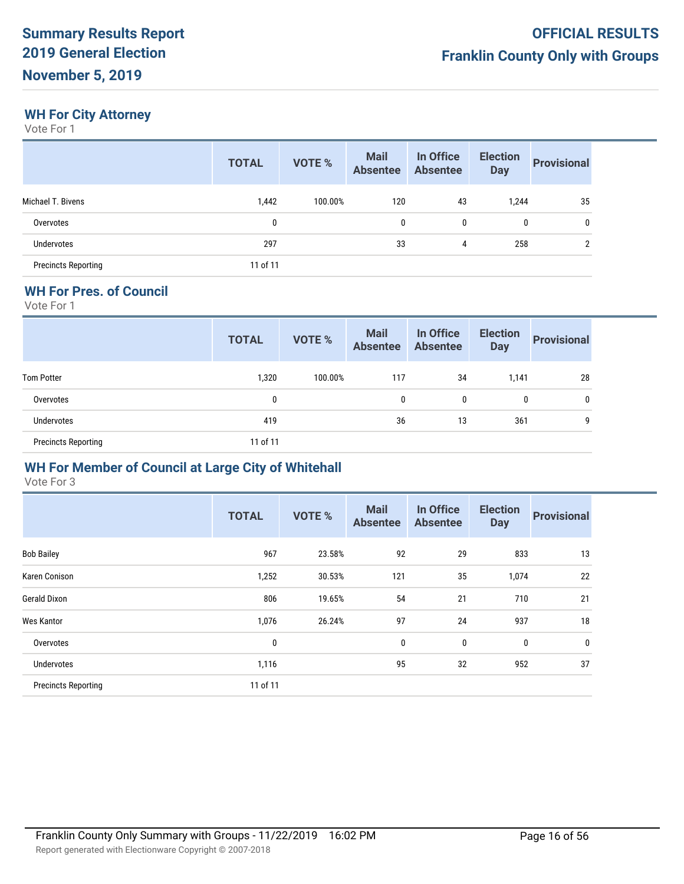# **WH For City Attorney**

Vote For 1

|                            | <b>TOTAL</b> | <b>VOTE %</b> | <b>Mail</b><br><b>Absentee</b> | In Office<br><b>Absentee</b> | <b>Election</b><br><b>Day</b> | <b>Provisional</b> |
|----------------------------|--------------|---------------|--------------------------------|------------------------------|-------------------------------|--------------------|
| Michael T. Bivens          | 1,442        | 100.00%       | 120                            | 43                           | 1,244                         | 35                 |
| Overvotes                  | 0            |               | 0                              | 0                            | 0                             | 0                  |
| <b>Undervotes</b>          | 297          |               | 33                             | 4                            | 258                           | C                  |
| <b>Precincts Reporting</b> | 11 of 11     |               |                                |                              |                               |                    |

# **WH For Pres. of Council**

Vote For 1

|                            | <b>TOTAL</b> | VOTE %  | <b>Mail</b><br>Absentee Absentee | In Office | <b>Election</b><br><b>Day</b> | <b>Provisional</b> |
|----------------------------|--------------|---------|----------------------------------|-----------|-------------------------------|--------------------|
| <b>Tom Potter</b>          | 1,320        | 100.00% | 117                              | 34        | 1,141                         | 28                 |
| Overvotes                  | 0            |         | 0                                | 0         | $\mathbf{0}$                  | 0                  |
| Undervotes                 | 419          |         | 36                               | 13        | 361                           | g                  |
| <b>Precincts Reporting</b> | 11 of 11     |         |                                  |           |                               |                    |

#### **WH For Member of Council at Large City of Whitehall**

|                            | <b>TOTAL</b> | <b>VOTE %</b> | <b>Mail</b><br><b>Absentee</b> | In Office<br><b>Absentee</b> | <b>Election</b><br><b>Day</b> | <b>Provisional</b> |
|----------------------------|--------------|---------------|--------------------------------|------------------------------|-------------------------------|--------------------|
| <b>Bob Bailey</b>          | 967          | 23.58%        | 92                             | 29                           | 833                           | 13                 |
| <b>Karen Conison</b>       | 1,252        | 30.53%        | 121                            | 35                           | 1,074                         | 22                 |
| <b>Gerald Dixon</b>        | 806          | 19.65%        | 54                             | 21                           | 710                           | 21                 |
| <b>Wes Kantor</b>          | 1,076        | 26.24%        | 97                             | 24                           | 937                           | 18                 |
| Overvotes                  | 0            |               | $\mathbf 0$                    | 0                            | 0                             | $\mathbf 0$        |
| Undervotes                 | 1,116        |               | 95                             | 32                           | 952                           | 37                 |
| <b>Precincts Reporting</b> | 11 of 11     |               |                                |                              |                               |                    |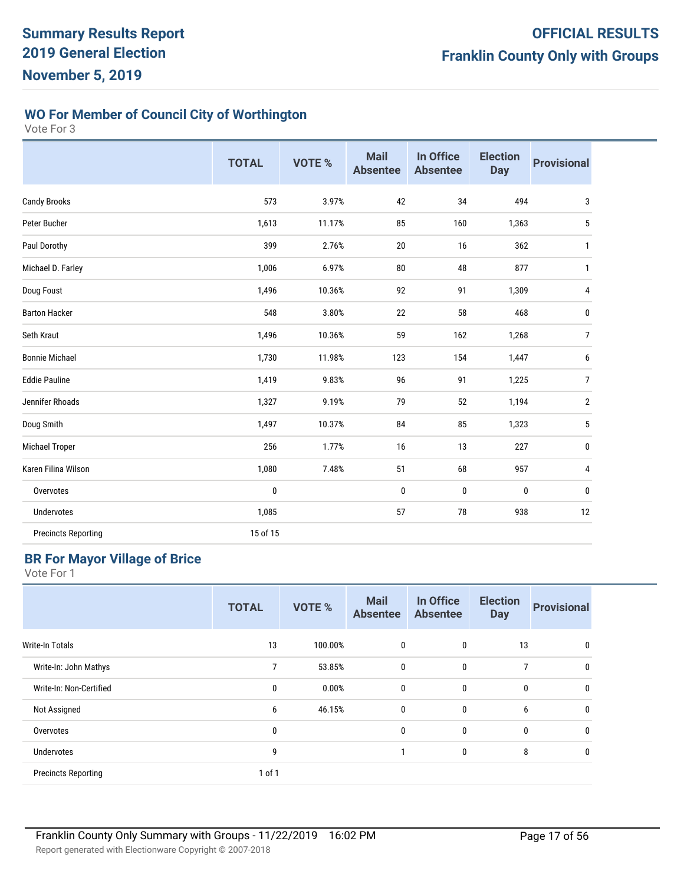# **WO For Member of Council City of Worthington**

Vote For 3

|                            | <b>TOTAL</b> | <b>VOTE %</b> | <b>Mail</b><br><b>Absentee</b> | In Office<br><b>Absentee</b> | <b>Election</b><br><b>Day</b> | <b>Provisional</b> |
|----------------------------|--------------|---------------|--------------------------------|------------------------------|-------------------------------|--------------------|
| <b>Candy Brooks</b>        | 573          | 3.97%         | 42                             | 34                           | 494                           | 3                  |
| Peter Bucher               | 1,613        | 11.17%        | 85                             | 160                          | 1,363                         | 5                  |
| Paul Dorothy               | 399          | 2.76%         | 20                             | 16                           | 362                           | $\mathbf{1}$       |
| Michael D. Farley          | 1,006        | 6.97%         | ${\bf 80}$                     | 48                           | 877                           | 1                  |
| Doug Foust                 | 1,496        | 10.36%        | 92                             | 91                           | 1,309                         | 4                  |
| <b>Barton Hacker</b>       | 548          | 3.80%         | 22                             | 58                           | 468                           | 0                  |
| Seth Kraut                 | 1,496        | 10.36%        | 59                             | 162                          | 1,268                         | $\overline{7}$     |
| <b>Bonnie Michael</b>      | 1,730        | 11.98%        | 123                            | 154                          | 1,447                         | 6                  |
| <b>Eddie Pauline</b>       | 1,419        | 9.83%         | 96                             | 91                           | 1,225                         | 7                  |
| Jennifer Rhoads            | 1,327        | 9.19%         | 79                             | 52                           | 1,194                         | $\overline{2}$     |
| Doug Smith                 | 1,497        | 10.37%        | 84                             | 85                           | 1,323                         | $\mathbf 5$        |
| Michael Troper             | 256          | 1.77%         | 16                             | 13                           | 227                           | 0                  |
| Karen Filina Wilson        | 1,080        | 7.48%         | 51                             | 68                           | 957                           | 4                  |
| Overvotes                  | $\pmb{0}$    |               | 0                              | $\pmb{0}$                    | 0                             | 0                  |
| Undervotes                 | 1,085        |               | 57                             | 78                           | 938                           | 12                 |
| <b>Precincts Reporting</b> | 15 of 15     |               |                                |                              |                               |                    |

#### **BR For Mayor Village of Brice**

|                            | <b>TOTAL</b> | <b>VOTE %</b> | <b>Mail</b><br><b>Absentee</b> | In Office<br><b>Absentee</b> | <b>Election</b><br><b>Day</b> | <b>Provisional</b> |
|----------------------------|--------------|---------------|--------------------------------|------------------------------|-------------------------------|--------------------|
| Write-In Totals            | 13           | 100.00%       | 0                              | $\mathbf{0}$                 | 13                            | 0                  |
| Write-In: John Mathys      | 7            | 53.85%        | $\mathbf 0$                    | $\mathbf{0}$                 | 7                             | $\mathbf{0}$       |
| Write-In: Non-Certified    | 0            | 0.00%         | $\mathbf 0$                    | $\mathbf 0$                  | $\bf{0}$                      | 0                  |
| Not Assigned               | 6            | 46.15%        | $\boldsymbol{0}$               | $\mathbf 0$                  | 6                             | 0                  |
| Overvotes                  | 0            |               | 0                              | $\mathbf 0$                  | $\bf{0}$                      | 0                  |
| Undervotes                 | 9            |               |                                | $\mathbf 0$                  | 8                             | 0                  |
| <b>Precincts Reporting</b> | 1 of 1       |               |                                |                              |                               |                    |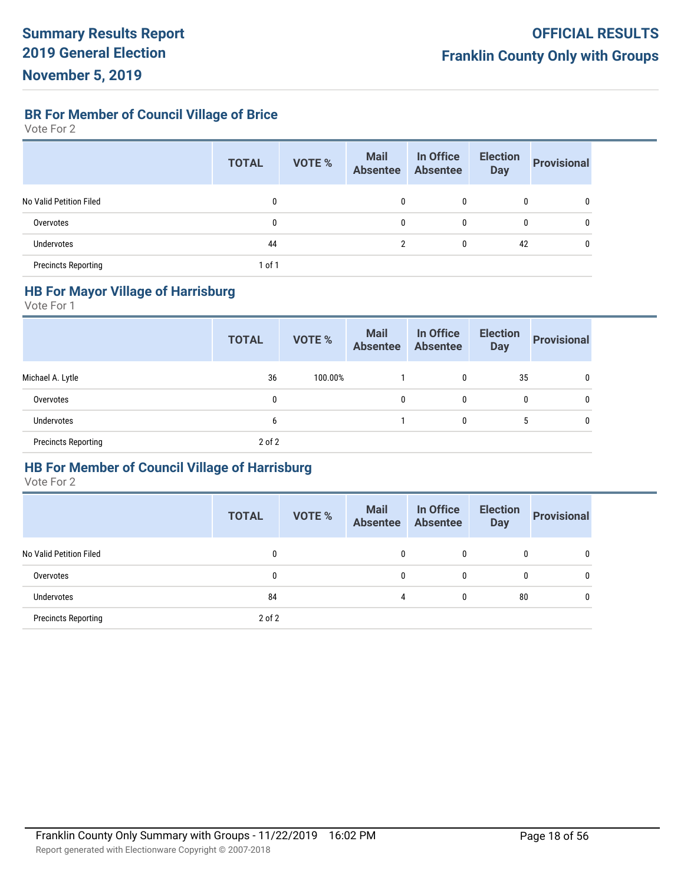**BR For Member of Council Village of Brice**

Vote For 2

|                            | <b>TOTAL</b> | <b>VOTE %</b> | <b>Mail</b><br><b>Absentee</b> | In Office<br><b>Absentee</b> | <b>Election</b><br><b>Day</b> | <b>Provisional</b> |
|----------------------------|--------------|---------------|--------------------------------|------------------------------|-------------------------------|--------------------|
| No Valid Petition Filed    | 0            |               | 0                              | 0                            | $\mathbf{0}$                  | 0                  |
| Overvotes                  | 0            |               | 0                              | 0                            | 0                             | 0                  |
| <b>Undervotes</b>          | 44           |               | $\overline{2}$                 | 0                            | 42                            |                    |
| <b>Precincts Reporting</b> | $1$ of $1$   |               |                                |                              |                               |                    |

# **HB For Mayor Village of Harrisburg**

Vote For 1

|                            | <b>TOTAL</b> | <b>VOTE %</b> | <b>Mail</b><br>Absentee | In Office<br><b>Absentee</b> | <b>Election</b><br><b>Day</b> | <b>Provisional</b> |
|----------------------------|--------------|---------------|-------------------------|------------------------------|-------------------------------|--------------------|
| Michael A. Lytle           | 36           | 100.00%       |                         | 0                            | 35                            | 0                  |
| Overvotes                  | 0            |               | 0                       | $\mathbf{0}$                 | 0                             | $\mathbf{0}$       |
| Undervotes                 | b            |               |                         | 0                            | 5                             | $\mathbf{0}$       |
| <b>Precincts Reporting</b> | $2$ of $2$   |               |                         |                              |                               |                    |

#### **HB For Member of Council Village of Harrisburg**

|                            | <b>TOTAL</b> | <b>VOTE %</b> | <b>Mail</b><br><b>Absentee</b> | In Office<br><b>Absentee</b> | <b>Election</b><br><b>Day</b> | <b>Provisional</b> |
|----------------------------|--------------|---------------|--------------------------------|------------------------------|-------------------------------|--------------------|
| No Valid Petition Filed    | 0            |               |                                | 0                            | 0                             | 0                  |
| Overvotes                  | 0            |               | $\mathbf{0}$                   | 0                            | 0                             | 0                  |
| <b>Undervotes</b>          | 84           |               | 4                              | 0                            | 80                            | 0                  |
| <b>Precincts Reporting</b> | $2$ of $2$   |               |                                |                              |                               |                    |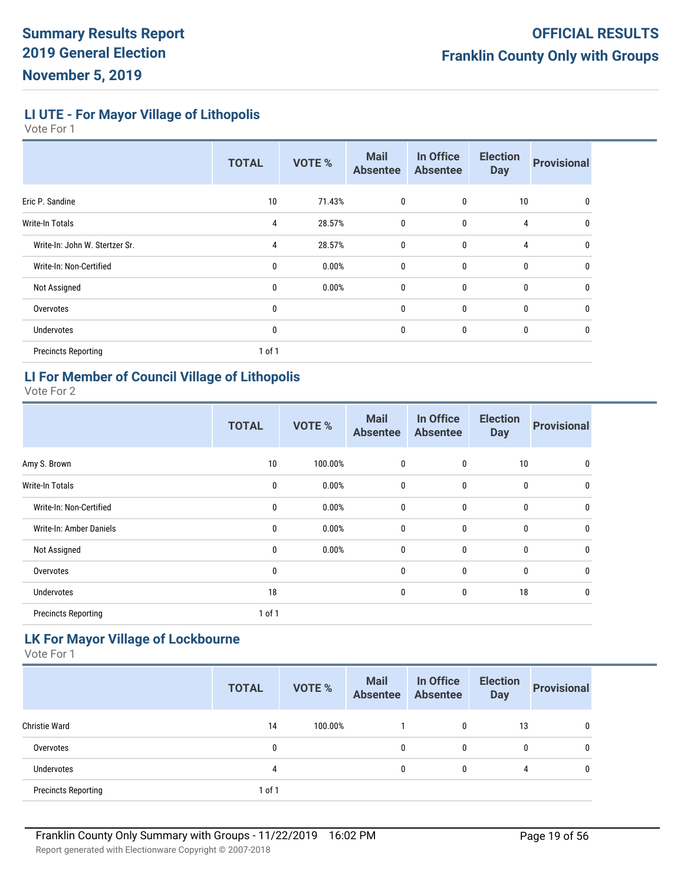**LI UTE - For Mayor Village of Lithopolis**

Vote For 1

|                                | <b>TOTAL</b> | <b>VOTE %</b> | <b>Mail</b><br><b>Absentee</b> | In Office<br><b>Absentee</b> | <b>Election</b><br><b>Day</b> | <b>Provisional</b> |
|--------------------------------|--------------|---------------|--------------------------------|------------------------------|-------------------------------|--------------------|
| Eric P. Sandine                | 10           | 71.43%        | 0                              | 0                            | 10                            | 0                  |
| Write-In Totals                | 4            | 28.57%        | 0                              | 0                            | 4                             | 0                  |
| Write-In: John W. Stertzer Sr. | 4            | 28.57%        | $\mathbf{0}$                   | 0                            | 4                             | 0                  |
| Write-In: Non-Certified        | 0            | 0.00%         | 0                              | 0                            | $\bf{0}$                      | 0                  |
| Not Assigned                   | 0            | 0.00%         | 0                              | 0                            | $\bf{0}$                      | 0                  |
| Overvotes                      | 0            |               | 0                              | 0                            | $\bf{0}$                      | 0                  |
| Undervotes                     | 0            |               | 0                              | 0                            | 0                             | 0                  |
| <b>Precincts Reporting</b>     | 1 of 1       |               |                                |                              |                               |                    |

# **LI For Member of Council Village of Lithopolis**

Vote For 2

|                            | <b>TOTAL</b> | <b>VOTE %</b> | <b>Mail</b><br><b>Absentee</b> | In Office<br><b>Absentee</b> | <b>Election</b><br><b>Day</b> | <b>Provisional</b> |
|----------------------------|--------------|---------------|--------------------------------|------------------------------|-------------------------------|--------------------|
| Amy S. Brown               | 10           | 100.00%       | 0                              | 0                            | 10                            | 0                  |
| <b>Write-In Totals</b>     | 0            | 0.00%         | $\boldsymbol{0}$               | $\bf{0}$                     | $\mathbf 0$                   | 0                  |
| Write-In: Non-Certified    | $\mathbf{0}$ | 0.00%         | 0                              | $\mathbf 0$                  | $\mathbf 0$                   | 0                  |
| Write-In: Amber Daniels    | 0            | 0.00%         | 0                              | $\mathbf 0$                  | $\mathbf 0$                   | 0                  |
| Not Assigned               | $\mathbf{0}$ | 0.00%         | 0                              | $\mathbf 0$                  | $\mathbf{0}$                  | 0                  |
| Overvotes                  | $\mathbf{0}$ |               | 0                              | $\mathbf 0$                  | $\mathbf 0$                   | $\mathbf 0$        |
| Undervotes                 | 18           |               | 0                              | $\mathbf 0$                  | 18                            | $\mathbf{0}$       |
| <b>Precincts Reporting</b> | 1 of 1       |               |                                |                              |                               |                    |

# **LK For Mayor Village of Lockbourne**

|                            | <b>TOTAL</b> | <b>VOTE %</b> | <b>Mail</b><br><b>Absentee</b> | In Office<br><b>Absentee</b> | <b>Election</b><br><b>Day</b> | <b>Provisional</b> |
|----------------------------|--------------|---------------|--------------------------------|------------------------------|-------------------------------|--------------------|
| <b>Christie Ward</b>       | 14           | 100.00%       |                                | 0                            | 13                            | 0                  |
| Overvotes                  | 0            |               | 0                              | 0                            | 0                             | 0                  |
| Undervotes                 | 4            |               | 0                              | 0                            | 4                             | 0                  |
| <b>Precincts Reporting</b> | 1 of 1       |               |                                |                              |                               |                    |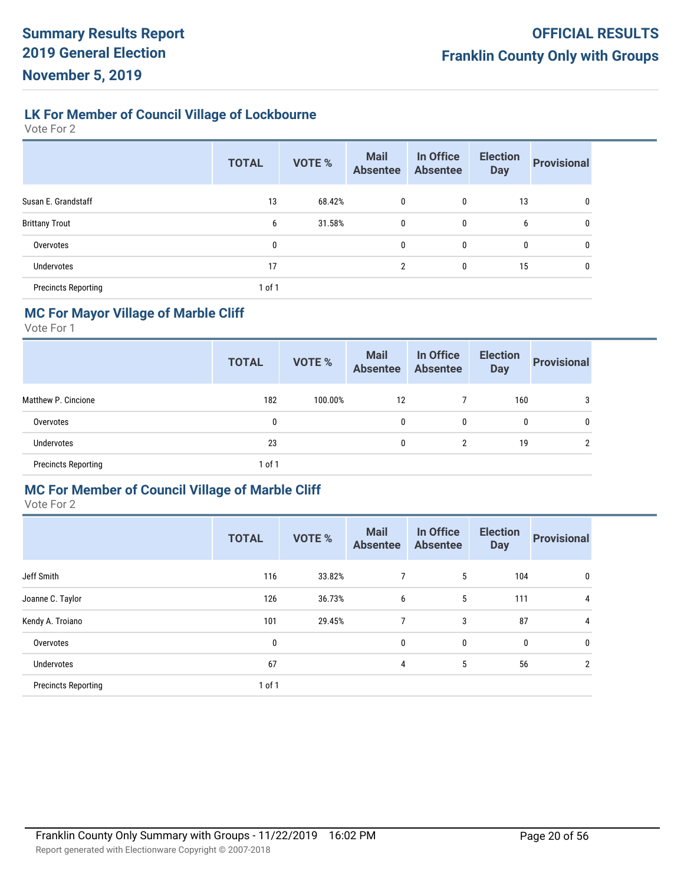# **LK For Member of Council Village of Lockbourne**

Vote For 2

|                            | <b>TOTAL</b> | <b>VOTE %</b> | <b>Mail</b><br><b>Absentee</b> | In Office<br><b>Absentee</b> | <b>Election</b><br><b>Day</b> | <b>Provisional</b> |
|----------------------------|--------------|---------------|--------------------------------|------------------------------|-------------------------------|--------------------|
| Susan E. Grandstaff        | 13           | 68.42%        | 0                              | 0                            | 13                            | 0                  |
| <b>Brittany Trout</b>      | 6            | 31.58%        | 0                              | $\mathbf 0$                  | 6                             | 0                  |
| Overvotes                  | 0            |               | 0                              | 0                            | $\mathbf{0}$                  | 0                  |
| Undervotes                 | 17           |               | $\overline{2}$                 | 0                            | 15                            | 0                  |
| <b>Precincts Reporting</b> | 1 of 1       |               |                                |                              |                               |                    |

#### **MC For Mayor Village of Marble Cliff**

Vote For 1

|                            | <b>TOTAL</b> | <b>VOTE %</b> | <b>Mail</b><br><b>Absentee</b> | In Office<br><b>Absentee</b> | <b>Election</b><br><b>Day</b> | <b>Provisional</b> |
|----------------------------|--------------|---------------|--------------------------------|------------------------------|-------------------------------|--------------------|
| Matthew P. Cincione        | 182          | 100.00%       | 12                             |                              | 160                           | 3                  |
| Overvotes                  | 0            |               | 0                              | 0                            | 0                             | 0                  |
| <b>Undervotes</b>          | 23           |               | 0                              | 2                            | 19                            | ົ                  |
| <b>Precincts Reporting</b> | 1 of 1       |               |                                |                              |                               |                    |

#### **MC For Member of Council Village of Marble Cliff**

|                            | <b>TOTAL</b> | <b>VOTE %</b> | <b>Mail</b><br><b>Absentee</b> | In Office<br><b>Absentee</b> | <b>Election</b><br><b>Day</b> | <b>Provisional</b> |
|----------------------------|--------------|---------------|--------------------------------|------------------------------|-------------------------------|--------------------|
| Jeff Smith                 | 116          | 33.82%        | 7                              | 5                            | 104                           | 0                  |
| Joanne C. Taylor           | 126          | 36.73%        | 6                              | 5                            | 111                           | 4                  |
| Kendy A. Troiano           | 101          | 29.45%        | $\overline{7}$                 | 3                            | 87                            | 4                  |
| Overvotes                  | 0            |               | 0                              | 0                            | $\mathbf 0$                   | 0                  |
| Undervotes                 | 67           |               | 4                              | 5                            | 56                            | $\overline{2}$     |
| <b>Precincts Reporting</b> | 1 of 1       |               |                                |                              |                               |                    |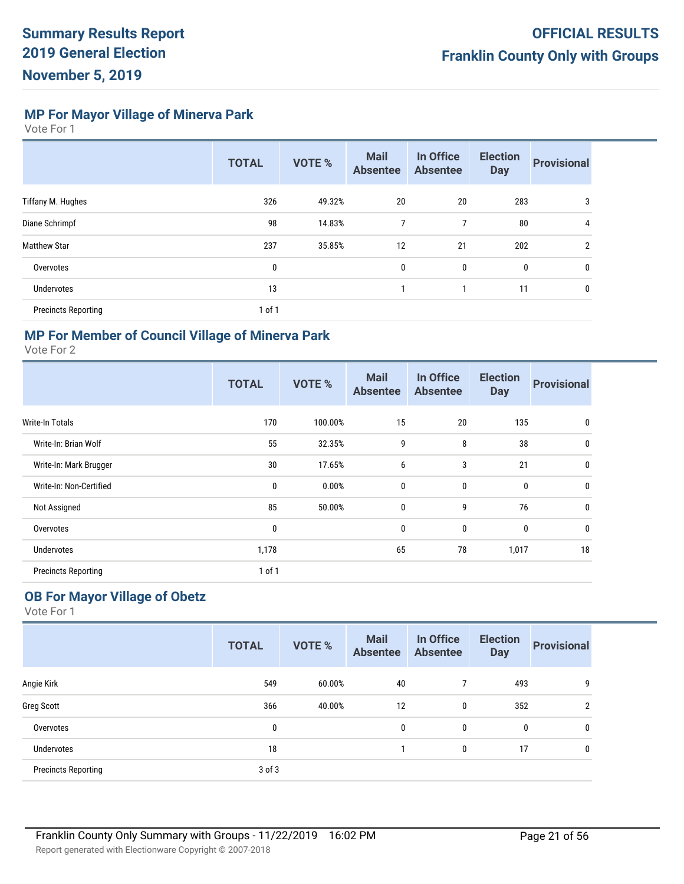**MP For Mayor Village of Minerva Park**

Vote For 1

|                            | <b>TOTAL</b> | <b>VOTE %</b> | <b>Mail</b><br><b>Absentee</b> | In Office<br><b>Absentee</b> | <b>Election</b><br><b>Day</b> | <b>Provisional</b> |
|----------------------------|--------------|---------------|--------------------------------|------------------------------|-------------------------------|--------------------|
| Tiffany M. Hughes          | 326          | 49.32%        | 20                             | 20                           | 283                           | 3                  |
| Diane Schrimpf             | 98           | 14.83%        | 7                              | 7                            | 80                            | 4                  |
| <b>Matthew Star</b>        | 237          | 35.85%        | 12                             | 21                           | 202                           | $\overline{2}$     |
| Overvotes                  | 0            |               | 0                              | 0                            | $\mathbf 0$                   | 0                  |
| <b>Undervotes</b>          | 13           |               | $\mathbf{1}$                   |                              | 11                            | 0                  |
| <b>Precincts Reporting</b> | 1 of 1       |               |                                |                              |                               |                    |

# **MP For Member of Council Village of Minerva Park**

Vote For 2

|                            | <b>TOTAL</b> | <b>VOTE %</b> | <b>Mail</b><br><b>Absentee</b> | In Office<br><b>Absentee</b> | <b>Election</b><br><b>Day</b> | <b>Provisional</b> |
|----------------------------|--------------|---------------|--------------------------------|------------------------------|-------------------------------|--------------------|
| Write-In Totals            | 170          | 100.00%       | 15                             | 20                           | 135                           | 0                  |
| Write-In: Brian Wolf       | 55           | 32.35%        | 9                              | 8                            | 38                            | 0                  |
| Write-In: Mark Brugger     | 30           | 17.65%        | 6                              | 3                            | 21                            | $\mathbf 0$        |
| Write-In: Non-Certified    | $\mathbf 0$  | 0.00%         | 0                              | $\mathbf 0$                  | $\mathbf 0$                   | $\mathbf 0$        |
| Not Assigned               | 85           | 50.00%        | $\mathbf 0$                    | 9                            | 76                            | $\mathbf{0}$       |
| Overvotes                  | 0            |               | 0                              | 0                            | $\bf{0}$                      | $\mathbf 0$        |
| Undervotes                 | 1,178        |               | 65                             | 78                           | 1,017                         | 18                 |
| <b>Precincts Reporting</b> | 1 of 1       |               |                                |                              |                               |                    |

# **OB For Mayor Village of Obetz**

|                            | <b>TOTAL</b> | <b>VOTE %</b> | <b>Mail</b><br><b>Absentee</b> | In Office<br><b>Absentee</b> | <b>Election</b><br><b>Day</b> | <b>Provisional</b> |
|----------------------------|--------------|---------------|--------------------------------|------------------------------|-------------------------------|--------------------|
| Angie Kirk                 | 549          | 60.00%        | 40                             |                              | 493                           | 9                  |
| <b>Greg Scott</b>          | 366          | 40.00%        | 12                             | 0                            | 352                           | $\overline{2}$     |
| Overvotes                  | 0            |               | 0                              | 0                            | 0                             | 0                  |
| <b>Undervotes</b>          | 18           |               |                                | 0                            | 17                            | 0                  |
| <b>Precincts Reporting</b> | $3$ of $3$   |               |                                |                              |                               |                    |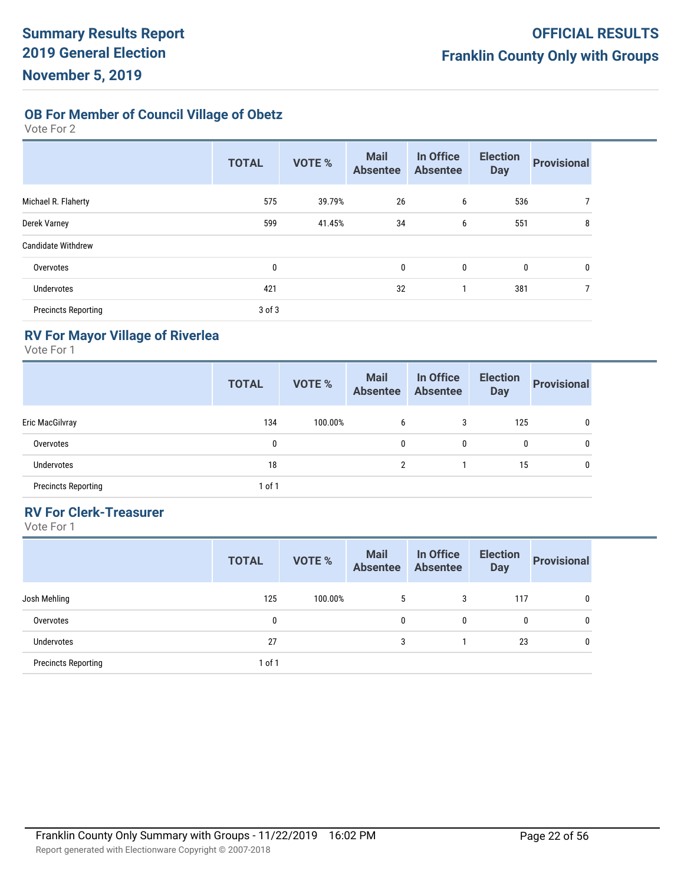**OB For Member of Council Village of Obetz**

Vote For 2

|                            | <b>TOTAL</b> | <b>VOTE %</b> | <b>Mail</b><br><b>Absentee</b> | In Office<br><b>Absentee</b> | <b>Election</b><br><b>Day</b> | <b>Provisional</b> |
|----------------------------|--------------|---------------|--------------------------------|------------------------------|-------------------------------|--------------------|
| Michael R. Flaherty        | 575          | 39.79%        | 26                             | 6                            | 536                           | 7                  |
| Derek Varney               | 599          | 41.45%        | 34                             | 6                            | 551                           | 8                  |
| <b>Candidate Withdrew</b>  |              |               |                                |                              |                               |                    |
| Overvotes                  | 0            |               | 0                              | $\mathbf{0}$                 | 0                             | 0                  |
| Undervotes                 | 421          |               | 32                             |                              | 381                           | 7                  |
| <b>Precincts Reporting</b> | $3$ of $3$   |               |                                |                              |                               |                    |

# **RV For Mayor Village of Riverlea**

Vote For 1

|                            | <b>TOTAL</b> | <b>VOTE %</b> | <b>Mail</b><br><b>Absentee</b> | In Office<br><b>Absentee</b> | <b>Election</b><br><b>Day</b> | <b>Provisional</b> |
|----------------------------|--------------|---------------|--------------------------------|------------------------------|-------------------------------|--------------------|
| Eric MacGilvray            | 134          | 100.00%       | 6                              | 3                            | 125                           |                    |
| Overvotes                  | 0            |               | 0                              | $\mathbf{0}$                 | 0                             | $\mathbf{0}$       |
| <b>Undervotes</b>          | 18           |               | $\overline{2}$                 |                              | 15                            | 0                  |
| <b>Precincts Reporting</b> | 1 of 1       |               |                                |                              |                               |                    |

# **RV For Clerk-Treasurer**

|                            | <b>TOTAL</b> | <b>VOTE %</b> | <b>Mail</b><br><b>Absentee</b> | In Office<br><b>Absentee</b> | <b>Election</b><br><b>Day</b> | <b>Provisional</b> |
|----------------------------|--------------|---------------|--------------------------------|------------------------------|-------------------------------|--------------------|
| Josh Mehling               | 125          | 100.00%       | 5                              | 3                            | 117                           | $\mathbf{0}$       |
| Overvotes                  | 0            |               | 0                              | 0                            | 0                             | 0                  |
| <b>Undervotes</b>          | 27           |               | 3                              |                              | 23                            | 0                  |
| <b>Precincts Reporting</b> | $1$ of $1$   |               |                                |                              |                               |                    |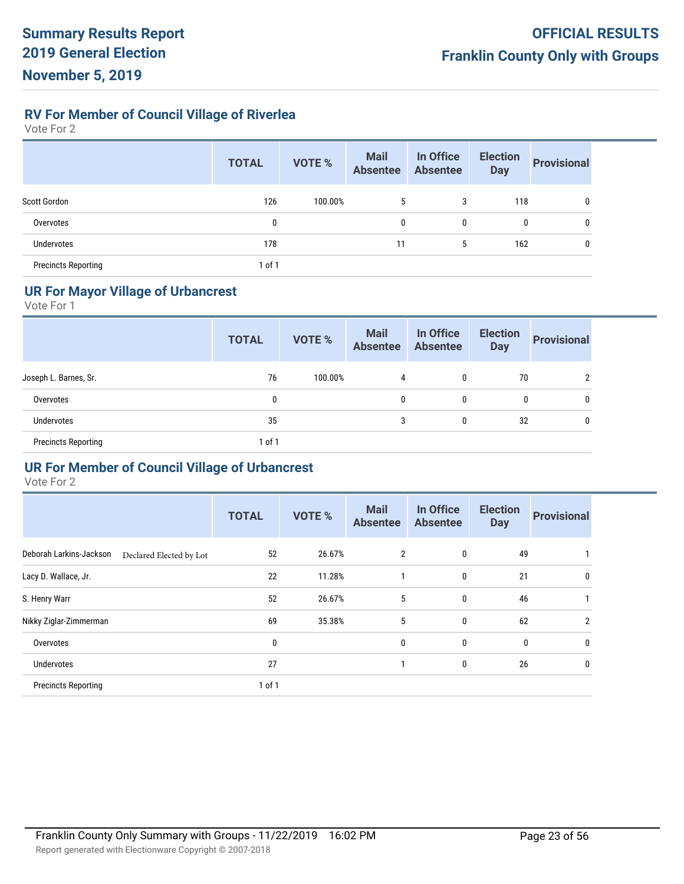**RV For Member of Council Village of Riverlea**

Vote For 2

|                            | <b>TOTAL</b> | <b>VOTE %</b> | <b>Mail</b><br><b>Absentee</b> | In Office<br><b>Absentee</b> | <b>Election</b><br><b>Day</b> | <b>Provisional</b> |
|----------------------------|--------------|---------------|--------------------------------|------------------------------|-------------------------------|--------------------|
| Scott Gordon               | 126          | 100.00%       | 5                              | 3                            | 118                           | 0                  |
| Overvotes                  | 0            |               | 0                              | 0                            | 0                             | 0                  |
| <b>Undervotes</b>          | 178          |               | 11                             | 5                            | 162                           |                    |
| <b>Precincts Reporting</b> | 1 of 1       |               |                                |                              |                               |                    |

# **UR For Mayor Village of Urbancrest**

Vote For 1

|                            | <b>TOTAL</b> | <b>VOTE %</b> | <b>Mail</b><br>Absentee Absentee | In Office | <b>Election</b><br><b>Day</b> | <b>Provisional</b> |
|----------------------------|--------------|---------------|----------------------------------|-----------|-------------------------------|--------------------|
| Joseph L. Barnes, Sr.      | 76           | 100.00%       | 4                                | 0         | 70                            | າ                  |
| Overvotes                  | 0            |               | 0                                | 0         | 0                             | 0                  |
| <b>Undervotes</b>          | 35           |               | 3                                | 0         | 32                            | 0                  |
| <b>Precincts Reporting</b> | 1 of 1       |               |                                  |           |                               |                    |

#### **UR For Member of Council Village of Urbancrest**

|                            |                         | <b>TOTAL</b> | <b>VOTE %</b> | <b>Mail</b><br><b>Absentee</b> | In Office<br><b>Absentee</b> | <b>Election</b><br><b>Day</b> | <b>Provisional</b> |
|----------------------------|-------------------------|--------------|---------------|--------------------------------|------------------------------|-------------------------------|--------------------|
| Deborah Larkins-Jackson    | Declared Elected by Lot | 52           | 26.67%        | $\overline{2}$                 | 0                            | 49                            |                    |
| Lacy D. Wallace, Jr.       |                         | 22           | 11.28%        |                                | 0                            | 21                            | 0                  |
| S. Henry Warr              |                         | 52           | 26.67%        | 5                              | 0                            | 46                            |                    |
| Nikky Ziglar-Zimmerman     |                         | 69           | 35.38%        | 5                              | 0                            | 62                            | $\overline{2}$     |
| Overvotes                  |                         | 0            |               | 0                              | 0                            | $\mathbf 0$                   | 0                  |
| Undervotes                 |                         | 27           |               |                                | 0                            | 26                            | 0                  |
| <b>Precincts Reporting</b> |                         | 1 of 1       |               |                                |                              |                               |                    |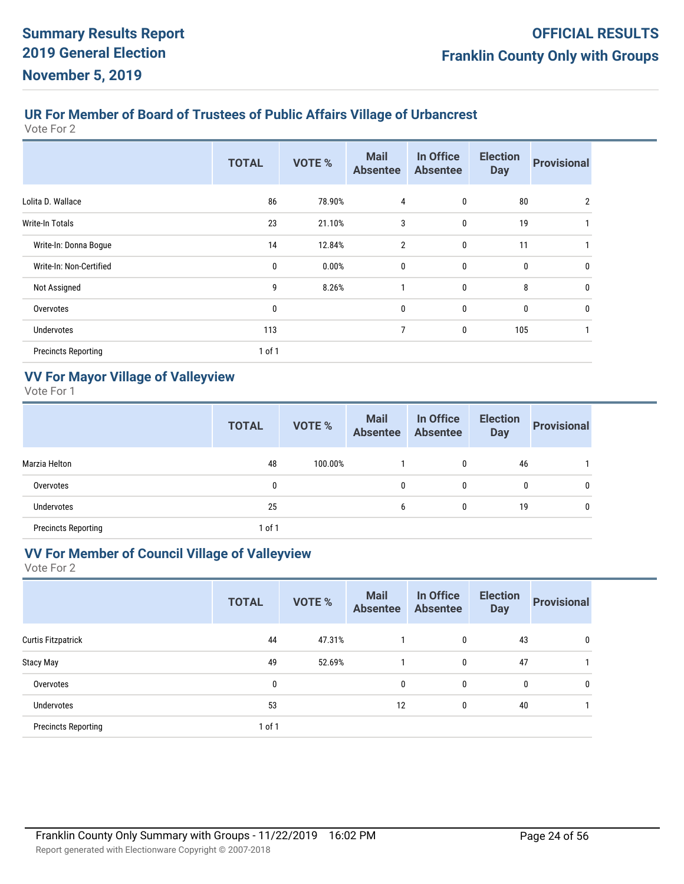# **UR For Member of Board of Trustees of Public Affairs Village of Urbancrest**

Vote For 2

|                            | <b>TOTAL</b> | <b>VOTE %</b> | <b>Mail</b><br><b>Absentee</b> | In Office<br><b>Absentee</b> | <b>Election</b><br><b>Day</b> | <b>Provisional</b> |
|----------------------------|--------------|---------------|--------------------------------|------------------------------|-------------------------------|--------------------|
| Lolita D. Wallace          | 86           | 78.90%        | 4                              | 0                            | 80                            | 2                  |
| <b>Write-In Totals</b>     | 23           | 21.10%        | 3                              | 0                            | 19                            |                    |
| Write-In: Donna Bogue      | 14           | 12.84%        | $\overline{2}$                 | $\mathbf 0$                  | 11                            |                    |
| Write-In: Non-Certified    | 0            | 0.00%         | 0                              | 0                            | $\mathbf{0}$                  | 0                  |
| Not Assigned               | 9            | 8.26%         |                                | $\mathbf 0$                  | 8                             | 0                  |
| Overvotes                  | 0            |               | 0                              | 0                            | $\mathbf 0$                   | 0                  |
| Undervotes                 | 113          |               | 7                              | 0                            | 105                           |                    |
| <b>Precincts Reporting</b> | 1 of 1       |               |                                |                              |                               |                    |

# **VV For Mayor Village of Valleyview**

Vote For 1

|                            | <b>TOTAL</b> | <b>VOTE %</b> | <b>Mail</b><br><b>Absentee</b> | In Office<br><b>Absentee</b> | <b>Election</b><br><b>Day</b> | <b>Provisional</b> |
|----------------------------|--------------|---------------|--------------------------------|------------------------------|-------------------------------|--------------------|
| Marzia Helton              | 48           | 100.00%       |                                | 0                            | 46                            |                    |
| Overvotes                  | 0            |               | $\mathbf{0}$                   | 0                            | 0                             |                    |
| <b>Undervotes</b>          | 25           |               | 6                              | 0                            | 19                            |                    |
| <b>Precincts Reporting</b> | 1 of 1       |               |                                |                              |                               |                    |

# **VV For Member of Council Village of Valleyview**

|                            | <b>TOTAL</b> | <b>VOTE %</b> | <b>Mail</b><br><b>Absentee</b> | In Office<br><b>Absentee</b> | <b>Election</b><br><b>Day</b> | <b>Provisional</b> |
|----------------------------|--------------|---------------|--------------------------------|------------------------------|-------------------------------|--------------------|
| <b>Curtis Fitzpatrick</b>  | 44           | 47.31%        |                                | 0                            | 43                            | 0                  |
| Stacy May                  | 49           | 52.69%        |                                | 0                            | 47                            |                    |
| Overvotes                  | 0            |               | 0                              | 0                            | 0                             | 0                  |
| <b>Undervotes</b>          | 53           |               | 12                             | 0                            | 40                            |                    |
| <b>Precincts Reporting</b> | 1 of 1       |               |                                |                              |                               |                    |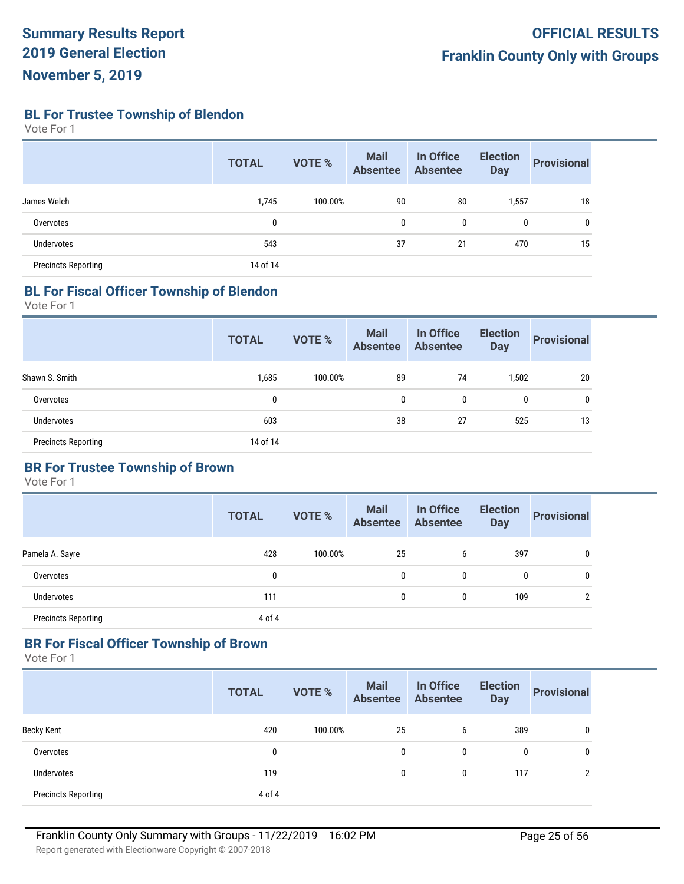**BL For Trustee Township of Blendon**

Vote For 1

|                            | <b>TOTAL</b> | <b>VOTE %</b> | <b>Mail</b><br><b>Absentee</b> | In Office<br><b>Absentee</b> | <b>Election</b><br><b>Day</b> | <b>Provisional</b> |
|----------------------------|--------------|---------------|--------------------------------|------------------------------|-------------------------------|--------------------|
| James Welch                | 1,745        | 100.00%       | 90                             | 80                           | 1,557                         | 18                 |
| Overvotes                  | 0            |               | 0                              | 0                            | 0                             | 0                  |
| <b>Undervotes</b>          | 543          |               | 37                             | 21                           | 470                           | 15                 |
| <b>Precincts Reporting</b> | 14 of 14     |               |                                |                              |                               |                    |

#### **BL For Fiscal Officer Township of Blendon**

Vote For 1

|                            | <b>TOTAL</b> | VOTE %  | <b>Mail</b><br><b>Absentee</b> | In Office<br><b>Absentee</b> | <b>Election</b><br><b>Day</b> | <b>Provisional</b> |
|----------------------------|--------------|---------|--------------------------------|------------------------------|-------------------------------|--------------------|
| Shawn S. Smith             | 1,685        | 100.00% | 89                             | 74                           | 1,502                         | 20                 |
| Overvotes                  | 0            |         | 0                              | 0                            | 0                             | 0                  |
| Undervotes                 | 603          |         | 38                             | 27                           | 525                           | 13                 |
| <b>Precincts Reporting</b> | 14 of 14     |         |                                |                              |                               |                    |

# **BR For Trustee Township of Brown**

Vote For 1

|                            | <b>TOTAL</b> | <b>VOTE %</b> | <b>Mail</b><br><b>Absentee</b> | In Office<br><b>Absentee</b> | <b>Election</b><br><b>Day</b> | <b>Provisional</b> |
|----------------------------|--------------|---------------|--------------------------------|------------------------------|-------------------------------|--------------------|
| Pamela A. Sayre            | 428          | 100.00%       | 25                             | 6                            | 397                           | 0                  |
| Overvotes                  | 0            |               | 0                              | 0                            | 0                             | 0                  |
| Undervotes                 | 111          |               | 0                              | 0                            | 109                           | ŋ                  |
| <b>Precincts Reporting</b> | 4 of 4       |               |                                |                              |                               |                    |

#### **BR For Fiscal Officer Township of Brown**

|                            | <b>TOTAL</b> | <b>VOTE %</b> | <b>Mail</b><br><b>Absentee</b> | In Office<br><b>Absentee</b> | <b>Election</b><br><b>Day</b> | <b>Provisional</b> |
|----------------------------|--------------|---------------|--------------------------------|------------------------------|-------------------------------|--------------------|
| <b>Becky Kent</b>          | 420          | 100.00%       | 25                             | 6                            | 389                           | 0                  |
| Overvotes                  | $\mathbf{0}$ |               | 0                              | 0                            | 0                             | 0                  |
| <b>Undervotes</b>          | 119          |               | 0                              | 0                            | 117                           | C                  |
| <b>Precincts Reporting</b> | 4 of 4       |               |                                |                              |                               |                    |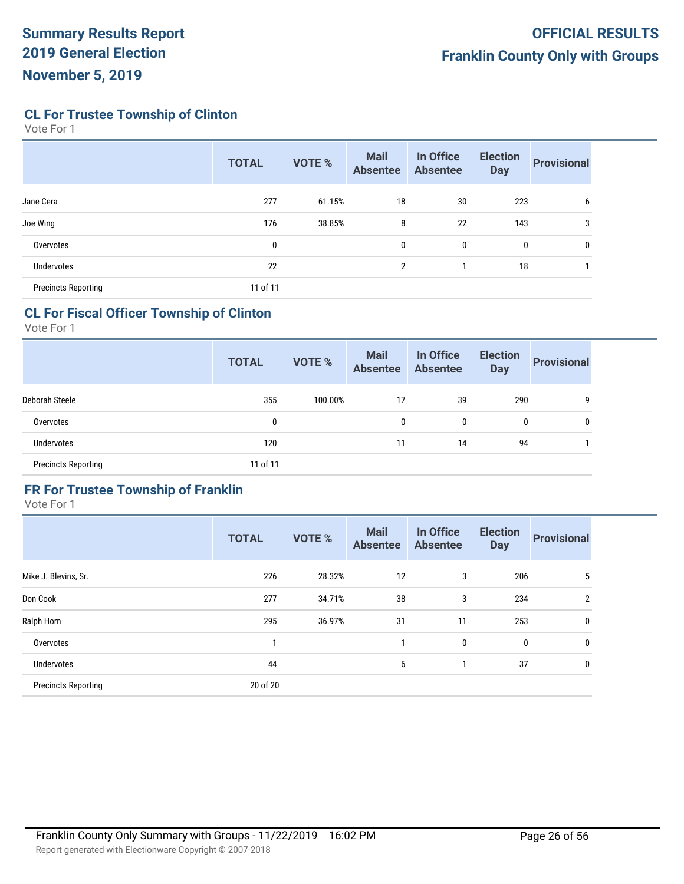**CL For Trustee Township of Clinton**

Vote For 1

|                            | <b>TOTAL</b> | <b>VOTE %</b> | <b>Mail</b><br><b>Absentee</b> | In Office<br><b>Absentee</b> | <b>Election</b><br><b>Day</b> | <b>Provisional</b> |
|----------------------------|--------------|---------------|--------------------------------|------------------------------|-------------------------------|--------------------|
| Jane Cera                  | 277          | 61.15%        | 18                             | 30                           | 223                           | 6                  |
| Joe Wing                   | 176          | 38.85%        | 8                              | 22                           | 143                           | 3                  |
| Overvotes                  | 0            |               | 0                              | 0                            | $\mathbf{0}$                  | 0                  |
| Undervotes                 | 22           |               | 2                              |                              | 18                            |                    |
| <b>Precincts Reporting</b> | 11 of 11     |               |                                |                              |                               |                    |

# **CL For Fiscal Officer Township of Clinton**

Vote For 1

|                            | <b>TOTAL</b> | <b>VOTE %</b> | <b>Mail</b><br><b>Absentee</b> | In Office<br><b>Absentee</b> | <b>Election</b><br><b>Day</b> | <b>Provisional</b> |
|----------------------------|--------------|---------------|--------------------------------|------------------------------|-------------------------------|--------------------|
| Deborah Steele             | 355          | 100.00%       | 17                             | 39                           | 290                           | 9                  |
| Overvotes                  | 0            |               | 0                              | 0                            | 0                             | 0                  |
| <b>Undervotes</b>          | 120          |               | 11                             | 14                           | 94                            |                    |
| <b>Precincts Reporting</b> | 11 of 11     |               |                                |                              |                               |                    |

# **FR For Trustee Township of Franklin**

|                            | <b>TOTAL</b> | <b>VOTE %</b> | <b>Mail</b><br><b>Absentee</b> | In Office<br><b>Absentee</b> | <b>Election</b><br><b>Day</b> | <b>Provisional</b> |
|----------------------------|--------------|---------------|--------------------------------|------------------------------|-------------------------------|--------------------|
| Mike J. Blevins, Sr.       | 226          | 28.32%        | 12                             | 3                            | 206                           | 5                  |
| Don Cook                   | 277          | 34.71%        | 38                             | 3                            | 234                           | 2                  |
| Ralph Horn                 | 295          | 36.97%        | 31                             | 11                           | 253                           | 0                  |
| Overvotes                  |              |               |                                | $\mathbf 0$                  | 0                             | 0                  |
| Undervotes                 | 44           |               | 6                              |                              | 37                            | 0                  |
| <b>Precincts Reporting</b> | 20 of 20     |               |                                |                              |                               |                    |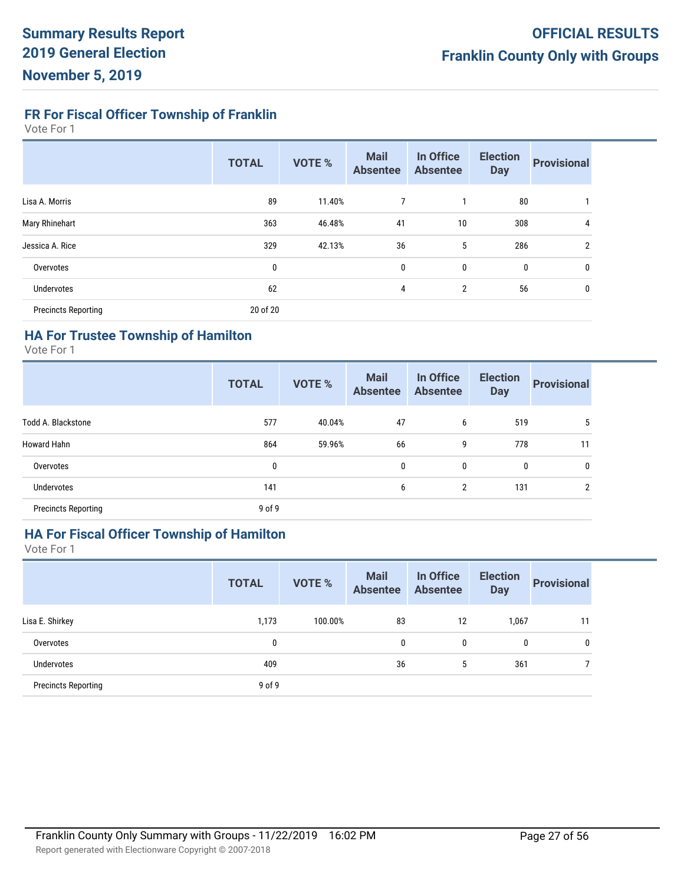**FR For Fiscal Officer Township of Franklin**

Vote For 1

|                            | <b>TOTAL</b> | <b>VOTE %</b> | <b>Mail</b><br><b>Absentee</b> | In Office<br><b>Absentee</b> | <b>Election</b><br><b>Day</b> | <b>Provisional</b> |
|----------------------------|--------------|---------------|--------------------------------|------------------------------|-------------------------------|--------------------|
| Lisa A. Morris             | 89           | 11.40%        | 7                              | $\mathbf{1}$                 | 80                            |                    |
| Mary Rhinehart             | 363          | 46.48%        | 41                             | 10                           | 308                           | 4                  |
| Jessica A. Rice            | 329          | 42.13%        | 36                             | 5                            | 286                           | 2                  |
| Overvotes                  | 0            |               | 0                              | 0                            | 0                             | 0                  |
| <b>Undervotes</b>          | 62           |               | 4                              | $\overline{2}$               | 56                            | 0                  |
| <b>Precincts Reporting</b> | 20 of 20     |               |                                |                              |                               |                    |

# **HA For Trustee Township of Hamilton**

Vote For 1

|                            | <b>TOTAL</b> | <b>VOTE %</b> | <b>Mail</b><br><b>Absentee</b> | In Office<br><b>Absentee</b> | <b>Election</b><br><b>Day</b> | <b>Provisional</b> |
|----------------------------|--------------|---------------|--------------------------------|------------------------------|-------------------------------|--------------------|
| <b>Todd A. Blackstone</b>  | 577          | 40.04%        | 47                             | 6                            | 519                           | 5                  |
| <b>Howard Hahn</b>         | 864          | 59.96%        | 66                             | 9                            | 778                           | 11                 |
| Overvotes                  | $\mathbf 0$  |               | $\mathbf{0}$                   | 0                            | 0                             | $\mathbf{0}$       |
| <b>Undervotes</b>          | 141          |               | 6                              | 2                            | 131                           | 2                  |
| <b>Precincts Reporting</b> | $9$ of $9$   |               |                                |                              |                               |                    |

# **HA For Fiscal Officer Township of Hamilton**

|                            | <b>TOTAL</b> | <b>VOTE %</b> | <b>Mail</b><br><b>Absentee</b> | In Office<br><b>Absentee</b> | <b>Election</b><br><b>Day</b> | <b>Provisional</b> |
|----------------------------|--------------|---------------|--------------------------------|------------------------------|-------------------------------|--------------------|
| Lisa E. Shirkey            | 1,173        | 100.00%       | 83                             | 12                           | 1,067                         | 11                 |
| Overvotes                  | 0            |               | 0                              | $\mathbf{0}$                 | $\mathbf{0}$                  | 0                  |
| Undervotes                 | 409          |               | 36                             | 5                            | 361                           |                    |
| <b>Precincts Reporting</b> | $9$ of $9$   |               |                                |                              |                               |                    |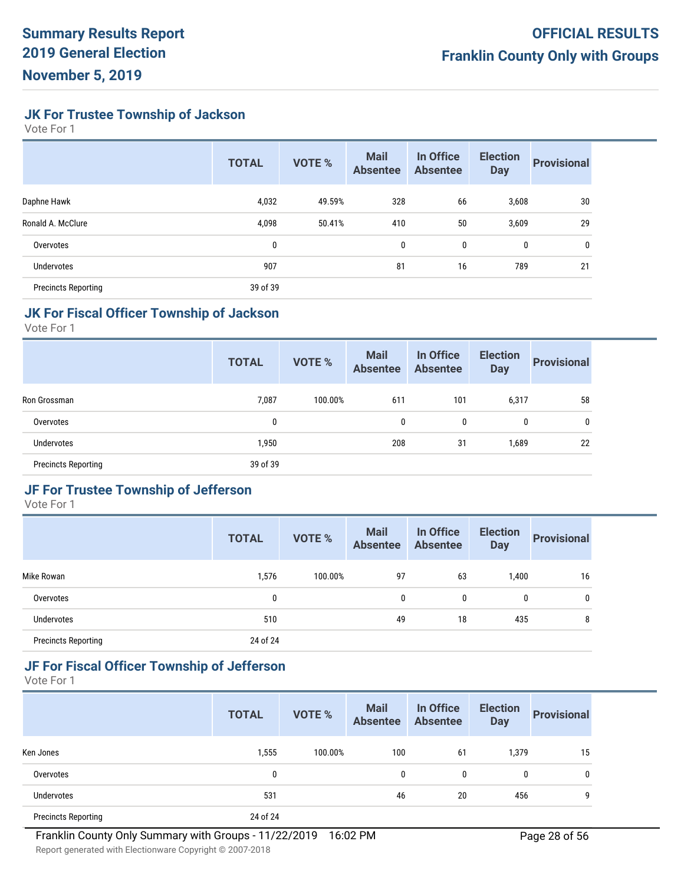**JK For Trustee Township of Jackson**

Vote For 1

|                            | <b>TOTAL</b> | <b>VOTE %</b> | <b>Mail</b><br><b>Absentee</b> | In Office<br><b>Absentee</b> | <b>Election</b><br><b>Day</b> | <b>Provisional</b> |
|----------------------------|--------------|---------------|--------------------------------|------------------------------|-------------------------------|--------------------|
| Daphne Hawk                | 4,032        | 49.59%        | 328                            | 66                           | 3,608                         | 30                 |
| Ronald A. McClure          | 4,098        | 50.41%        | 410                            | 50                           | 3,609                         | 29                 |
| Overvotes                  | 0            |               | 0                              | 0                            | 0                             | 0                  |
| <b>Undervotes</b>          | 907          |               | 81                             | 16                           | 789                           | 21                 |
| <b>Precincts Reporting</b> | 39 of 39     |               |                                |                              |                               |                    |

# **JK For Fiscal Officer Township of Jackson**

Vote For 1

|                            | <b>TOTAL</b> | <b>VOTE %</b> | <b>Mail</b><br><b>Absentee</b> | In Office<br><b>Absentee</b> | <b>Election</b><br><b>Day</b> | <b>Provisional</b> |
|----------------------------|--------------|---------------|--------------------------------|------------------------------|-------------------------------|--------------------|
| Ron Grossman               | 7,087        | 100.00%       | 611                            | 101                          | 6,317                         | 58                 |
| Overvotes                  | 0            |               | 0                              | 0                            | 0                             | 0                  |
| <b>Undervotes</b>          | 1,950        |               | 208                            | 31                           | 1,689                         | 22                 |
| <b>Precincts Reporting</b> | 39 of 39     |               |                                |                              |                               |                    |

# **JF For Trustee Township of Jefferson**

Vote For 1

|                            | <b>TOTAL</b> | <b>VOTE %</b> | <b>Mail</b><br><b>Absentee</b> | In Office<br><b>Absentee</b> | <b>Election</b><br><b>Day</b> | <b>Provisional</b> |
|----------------------------|--------------|---------------|--------------------------------|------------------------------|-------------------------------|--------------------|
| Mike Rowan                 | 1,576        | 100.00%       | 97                             | 63                           | 1,400                         | 16                 |
| Overvotes                  | 0            |               | 0                              | 0                            | 0                             | 0                  |
| <b>Undervotes</b>          | 510          |               | 49                             | 18                           | 435                           | 8                  |
| <b>Precincts Reporting</b> | 24 of 24     |               |                                |                              |                               |                    |

# **JF For Fiscal Officer Township of Jefferson**

|                            | <b>TOTAL</b> | <b>VOTE %</b> | <b>Mail</b><br><b>Absentee</b> | In Office<br><b>Absentee</b> | <b>Election</b><br><b>Day</b> | <b>Provisional</b> |
|----------------------------|--------------|---------------|--------------------------------|------------------------------|-------------------------------|--------------------|
| Ken Jones                  | 1,555        | 100.00%       | 100                            | 61                           | 1,379                         | 15                 |
| Overvotes                  | 0            |               | 0                              | 0                            | 0                             | 0                  |
| <b>Undervotes</b>          | 531          |               | 46                             | 20                           | 456                           | 9                  |
| <b>Precincts Reporting</b> | 24 of 24     |               |                                |                              |                               |                    |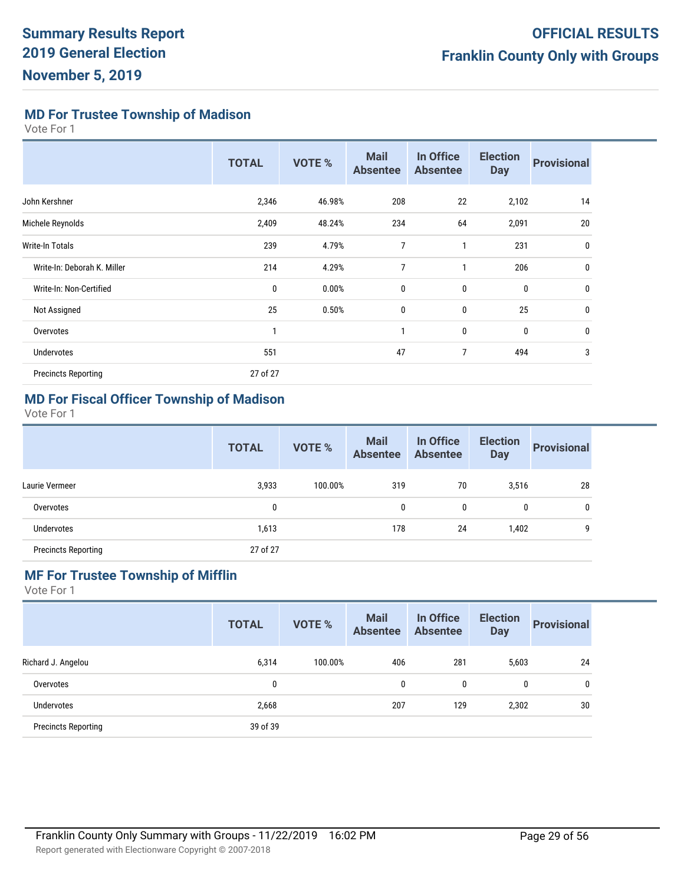**MD For Trustee Township of Madison**

Vote For 1

|                             | <b>TOTAL</b> | <b>VOTE %</b> | <b>Mail</b><br><b>Absentee</b> | In Office<br><b>Absentee</b> | <b>Election</b><br><b>Day</b> | <b>Provisional</b> |
|-----------------------------|--------------|---------------|--------------------------------|------------------------------|-------------------------------|--------------------|
| John Kershner               | 2,346        | 46.98%        | 208                            | 22                           | 2,102                         | 14                 |
| Michele Reynolds            | 2,409        | 48.24%        | 234                            | 64                           | 2,091                         | 20                 |
| Write-In Totals             | 239          | 4.79%         | 7                              | 1                            | 231                           | 0                  |
| Write-In: Deborah K. Miller | 214          | 4.29%         | $\overline{7}$                 | 1                            | 206                           | 0                  |
| Write-In: Non-Certified     | 0            | 0.00%         | 0                              | 0                            | $\mathbf 0$                   | 0                  |
| Not Assigned                | 25           | 0.50%         | $\mathbf 0$                    | 0                            | 25                            | 0                  |
| Overvotes                   |              |               | 1                              | 0                            | $\mathbf 0$                   | 0                  |
| <b>Undervotes</b>           | 551          |               | 47                             | 7                            | 494                           | 3                  |
| <b>Precincts Reporting</b>  | 27 of 27     |               |                                |                              |                               |                    |

#### **MD For Fiscal Officer Township of Madison**

Vote For 1

|                            | <b>TOTAL</b> | <b>VOTE %</b> | <b>Mail</b><br><b>Absentee</b> | In Office<br><b>Absentee</b> | <b>Election</b><br><b>Day</b> | <b>Provisional</b> |
|----------------------------|--------------|---------------|--------------------------------|------------------------------|-------------------------------|--------------------|
| Laurie Vermeer             | 3,933        | 100.00%       | 319                            | 70                           | 3,516                         | 28                 |
| Overvotes                  | 0            |               | 0                              | 0                            | $\mathbf{0}$                  | $\mathbf{0}$       |
| <b>Undervotes</b>          | 1,613        |               | 178                            | 24                           | 1,402                         | 9                  |
| <b>Precincts Reporting</b> | 27 of 27     |               |                                |                              |                               |                    |

# **MF For Trustee Township of Mifflin**

|                            | <b>TOTAL</b> | VOTE %  | <b>Mail</b><br><b>Absentee</b> | In Office<br><b>Absentee</b> | <b>Election</b><br><b>Day</b> | <b>Provisional</b> |
|----------------------------|--------------|---------|--------------------------------|------------------------------|-------------------------------|--------------------|
| Richard J. Angelou         | 6,314        | 100.00% | 406                            | 281                          | 5,603                         | 24                 |
| Overvotes                  | 0            |         | 0                              | 0                            | 0                             | 0                  |
| <b>Undervotes</b>          | 2,668        |         | 207                            | 129                          | 2,302                         | 30                 |
| <b>Precincts Reporting</b> | 39 of 39     |         |                                |                              |                               |                    |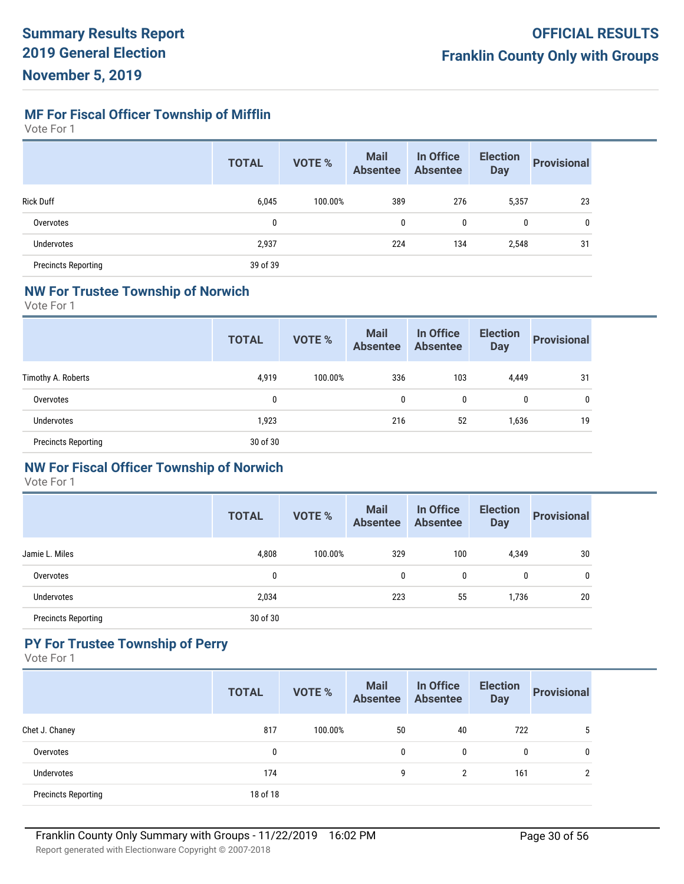**MF For Fiscal Officer Township of Mifflin**

Vote For 1

|                            | <b>TOTAL</b> | <b>VOTE %</b> | <b>Mail</b><br><b>Absentee</b> | In Office<br><b>Absentee</b> | <b>Election</b><br><b>Day</b> | <b>Provisional</b> |
|----------------------------|--------------|---------------|--------------------------------|------------------------------|-------------------------------|--------------------|
| <b>Rick Duff</b>           | 6,045        | 100.00%       | 389                            | 276                          | 5,357                         | 23                 |
| Overvotes                  | 0            |               | 0                              | 0                            | 0                             | 0                  |
| <b>Undervotes</b>          | 2,937        |               | 224                            | 134                          | 2,548                         | 31                 |
| <b>Precincts Reporting</b> | 39 of 39     |               |                                |                              |                               |                    |

#### **NW For Trustee Township of Norwich**

Vote For 1

|                            | <b>TOTAL</b> | <b>VOTE %</b> | <b>Mail</b><br><b>Absentee</b> | In Office<br><b>Absentee</b> | <b>Election</b><br><b>Day</b> | <b>Provisional</b> |
|----------------------------|--------------|---------------|--------------------------------|------------------------------|-------------------------------|--------------------|
| Timothy A. Roberts         | 4,919        | 100.00%       | 336                            | 103                          | 4,449                         | 31                 |
| Overvotes                  | 0            |               | $\mathbf{0}$                   | 0                            | 0                             | $\mathbf{0}$       |
| Undervotes                 | 1,923        |               | 216                            | 52                           | 1,636                         | 19                 |
| <b>Precincts Reporting</b> | 30 of 30     |               |                                |                              |                               |                    |

#### **NW For Fiscal Officer Township of Norwich**

Vote For 1

|                            | <b>TOTAL</b> | <b>VOTE %</b> | <b>Mail</b><br><b>Absentee</b> | In Office<br><b>Absentee</b> | <b>Election</b><br><b>Day</b> | <b>Provisional</b> |
|----------------------------|--------------|---------------|--------------------------------|------------------------------|-------------------------------|--------------------|
| Jamie L. Miles             | 4,808        | 100.00%       | 329                            | 100                          | 4,349                         | 30                 |
| Overvotes                  | 0            |               | 0                              | 0                            | 0                             | 0                  |
| <b>Undervotes</b>          | 2,034        |               | 223                            | 55                           | 1,736                         | 20                 |
| <b>Precincts Reporting</b> | 30 of 30     |               |                                |                              |                               |                    |

# **PY For Trustee Township of Perry**

|                            | <b>TOTAL</b> | <b>VOTE %</b> | <b>Mail</b><br><b>Absentee</b> | In Office<br><b>Absentee</b> | <b>Election</b><br><b>Day</b> | <b>Provisional</b> |
|----------------------------|--------------|---------------|--------------------------------|------------------------------|-------------------------------|--------------------|
| Chet J. Chaney             | 817          | 100.00%       | 50                             | 40                           | 722                           | <sub>5</sub>       |
| Overvotes                  | 0            |               | 0                              | 0                            | 0                             | 0                  |
| Undervotes                 | 174          |               | 9                              | 2                            | 161                           | C                  |
| <b>Precincts Reporting</b> | 18 of 18     |               |                                |                              |                               |                    |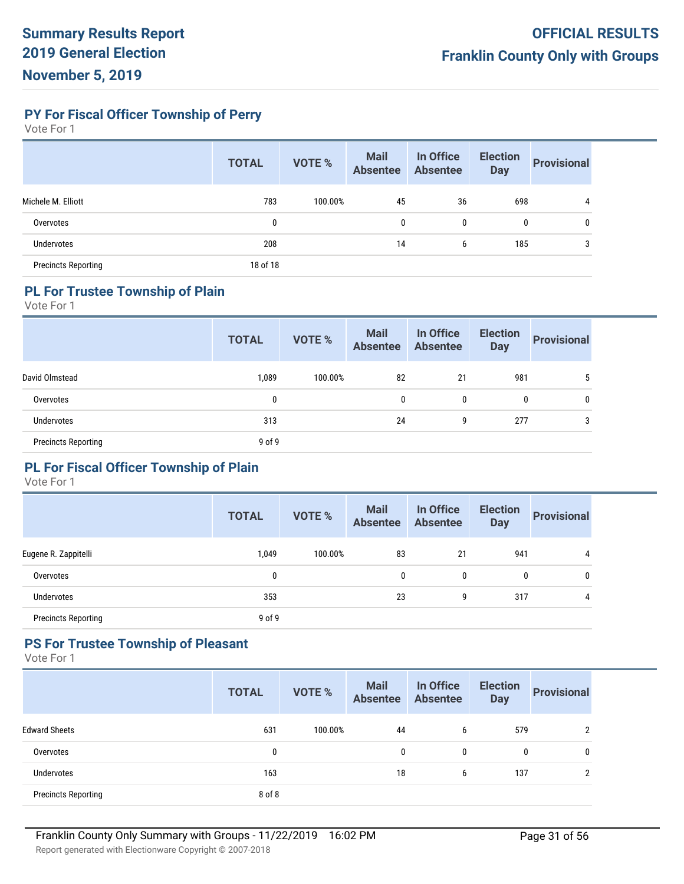**PY For Fiscal Officer Township of Perry**

Vote For 1

|                            | <b>TOTAL</b> | <b>VOTE %</b> | <b>Mail</b><br><b>Absentee</b> | In Office<br><b>Absentee</b> | <b>Election</b><br><b>Day</b> | <b>Provisional</b> |
|----------------------------|--------------|---------------|--------------------------------|------------------------------|-------------------------------|--------------------|
| Michele M. Elliott         | 783          | 100.00%       | 45                             | 36                           | 698                           | 4                  |
| Overvotes                  | 0            |               | 0                              | 0                            | 0                             | 0                  |
| <b>Undervotes</b>          | 208          |               | 14                             | 6                            | 185                           | 3                  |
| <b>Precincts Reporting</b> | 18 of 18     |               |                                |                              |                               |                    |

# **PL For Trustee Township of Plain**

Vote For 1

|                            | <b>TOTAL</b> | <b>VOTE %</b> | <b>Mail</b><br><b>Absentee</b> | In Office<br><b>Absentee</b> | <b>Election</b><br><b>Day</b> | <b>Provisional</b> |
|----------------------------|--------------|---------------|--------------------------------|------------------------------|-------------------------------|--------------------|
| David Olmstead             | 1,089        | 100.00%       | 82                             | 21                           | 981                           | $\mathbf b$        |
| Overvotes                  | 0            |               | $\mathbf{0}$                   | 0                            | 0                             | $\mathbf{0}$       |
| Undervotes                 | 313          |               | 24                             | 9                            | 277                           | 3                  |
| <b>Precincts Reporting</b> | 9 of 9       |               |                                |                              |                               |                    |

### **PL For Fiscal Officer Township of Plain**

Vote For 1

|                            | <b>TOTAL</b> | <b>VOTE %</b> | <b>Mail</b><br><b>Absentee</b> | In Office<br><b>Absentee</b> | <b>Election</b><br><b>Day</b> | <b>Provisional</b> |
|----------------------------|--------------|---------------|--------------------------------|------------------------------|-------------------------------|--------------------|
| Eugene R. Zappitelli       | 1,049        | 100.00%       | 83                             | 21                           | 941                           | 4                  |
| Overvotes                  | 0            |               | 0                              | 0                            | 0                             | 0                  |
| Undervotes                 | 353          |               | 23                             | 9                            | 317                           | 4                  |
| <b>Precincts Reporting</b> | 9 of 9       |               |                                |                              |                               |                    |

#### **PS For Trustee Township of Pleasant**

|                            | <b>TOTAL</b> | <b>VOTE %</b> | <b>Mail</b><br><b>Absentee</b> | In Office<br><b>Absentee</b> | <b>Election</b><br><b>Day</b> | <b>Provisional</b> |
|----------------------------|--------------|---------------|--------------------------------|------------------------------|-------------------------------|--------------------|
| <b>Edward Sheets</b>       | 631          | 100.00%       | 44                             | 6                            | 579                           | 2                  |
| Overvotes                  | 0            |               | 0                              | 0                            | 0                             | 0                  |
| <b>Undervotes</b>          | 163          |               | 18                             | 6                            | 137                           | າ                  |
| <b>Precincts Reporting</b> | 8 of 8       |               |                                |                              |                               |                    |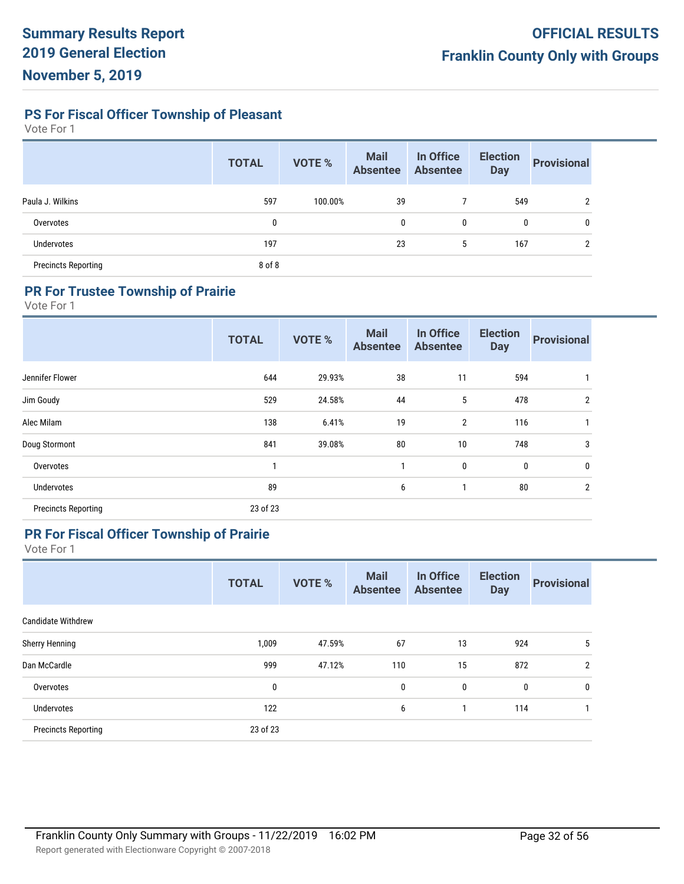**PS For Fiscal Officer Township of Pleasant**

Vote For 1

|                            | <b>TOTAL</b> | <b>VOTE %</b> | <b>Mail</b><br><b>Absentee</b> | In Office<br><b>Absentee</b> | <b>Election</b><br><b>Day</b> | <b>Provisional</b> |
|----------------------------|--------------|---------------|--------------------------------|------------------------------|-------------------------------|--------------------|
| Paula J. Wilkins           | 597          | 100.00%       | 39                             |                              | 549                           | າ                  |
| Overvotes                  | 0            |               | 0                              | 0                            | 0                             | 0                  |
| <b>Undervotes</b>          | 197          |               | 23                             | 5                            | 167                           | ŋ                  |
| <b>Precincts Reporting</b> | 8 of 8       |               |                                |                              |                               |                    |

## **PR For Trustee Township of Prairie**

Vote For 1

|                            | <b>TOTAL</b> | <b>VOTE %</b> | <b>Mail</b><br><b>Absentee</b> | In Office<br><b>Absentee</b> | <b>Election</b><br><b>Day</b> | <b>Provisional</b> |
|----------------------------|--------------|---------------|--------------------------------|------------------------------|-------------------------------|--------------------|
| Jennifer Flower            | 644          | 29.93%        | 38                             | 11                           | 594                           |                    |
| Jim Goudy                  | 529          | 24.58%        | 44                             | 5                            | 478                           | 2                  |
| Alec Milam                 | 138          | 6.41%         | 19                             | $\overline{2}$               | 116                           |                    |
| Doug Stormont              | 841          | 39.08%        | 80                             | 10                           | 748                           | 3                  |
| Overvotes                  |              |               |                                | 0                            | $\mathbf 0$                   | 0                  |
| <b>Undervotes</b>          | 89           |               | 6                              |                              | 80                            | $\overline{2}$     |
| <b>Precincts Reporting</b> | 23 of 23     |               |                                |                              |                               |                    |

#### **PR For Fiscal Officer Township of Prairie**

|                            | <b>TOTAL</b> | <b>VOTE %</b> | <b>Mail</b><br><b>Absentee</b> | In Office<br><b>Absentee</b> | <b>Election</b><br><b>Day</b> | <b>Provisional</b> |
|----------------------------|--------------|---------------|--------------------------------|------------------------------|-------------------------------|--------------------|
| <b>Candidate Withdrew</b>  |              |               |                                |                              |                               |                    |
| Sherry Henning             | 1,009        | 47.59%        | 67                             | 13                           | 924                           | 5                  |
| Dan McCardle               | 999          | 47.12%        | 110                            | 15                           | 872                           | $\overline{2}$     |
| Overvotes                  | 0            |               | 0                              | $\bf{0}$                     | 0                             | 0                  |
| <b>Undervotes</b>          | 122          |               | 6                              |                              | 114                           |                    |
| <b>Precincts Reporting</b> | 23 of 23     |               |                                |                              |                               |                    |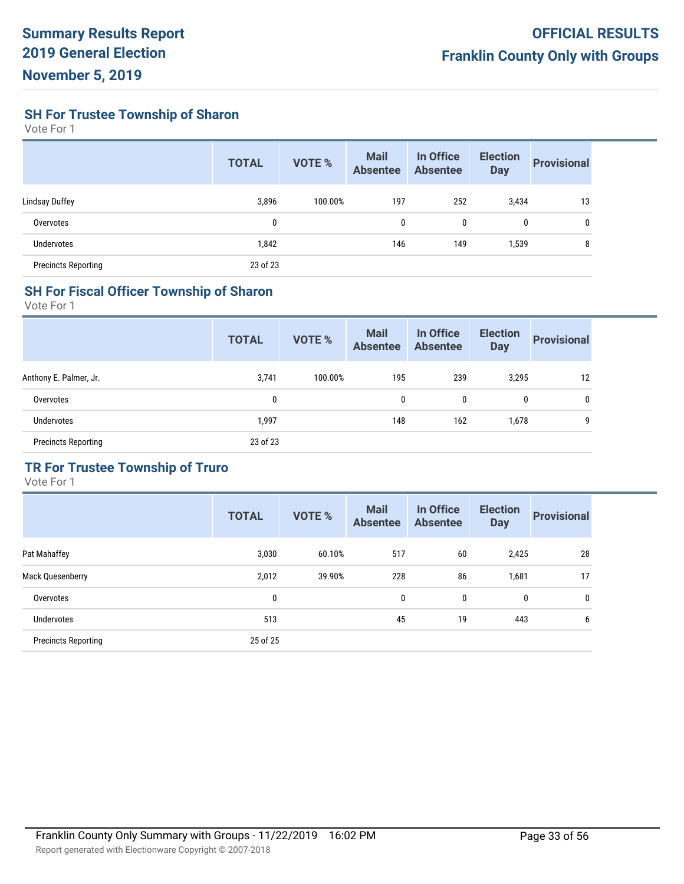**SH For Trustee Township of Sharon**

Vote For 1

|                            | <b>TOTAL</b> | <b>VOTE %</b> | <b>Mail</b><br><b>Absentee</b> | In Office<br><b>Absentee</b> | <b>Election</b><br><b>Day</b> | <b>Provisional</b> |
|----------------------------|--------------|---------------|--------------------------------|------------------------------|-------------------------------|--------------------|
| Lindsay Duffey             | 3,896        | 100.00%       | 197                            | 252                          | 3,434                         | 13                 |
| Overvotes                  | 0            |               | 0                              | 0                            | 0                             | 0                  |
| Undervotes                 | 1,842        |               | 146                            | 149                          | 1,539                         | 8                  |
| <b>Precincts Reporting</b> | 23 of 23     |               |                                |                              |                               |                    |

#### **SH For Fiscal Officer Township of Sharon**

Vote For 1

|                            | <b>TOTAL</b> | <b>VOTE %</b> | <b>Mail</b><br><b>Absentee</b> | In Office<br><b>Absentee</b> | <b>Election</b><br><b>Day</b> | <b>Provisional</b> |
|----------------------------|--------------|---------------|--------------------------------|------------------------------|-------------------------------|--------------------|
| Anthony E. Palmer, Jr.     | 3,741        | 100.00%       | 195                            | 239                          | 3,295                         | 12                 |
| Overvotes                  | 0            |               | 0                              | 0                            | 0                             | 0                  |
| Undervotes                 | 1,997        |               | 148                            | 162                          | 1,678                         | 9                  |
| <b>Precincts Reporting</b> | 23 of 23     |               |                                |                              |                               |                    |

# **TR For Trustee Township of Truro**

|                            | <b>TOTAL</b> | <b>VOTE %</b> | <b>Mail</b><br><b>Absentee</b> | In Office<br><b>Absentee</b> | <b>Election</b><br><b>Day</b> | <b>Provisional</b> |
|----------------------------|--------------|---------------|--------------------------------|------------------------------|-------------------------------|--------------------|
| Pat Mahaffey               | 3,030        | 60.10%        | 517                            | 60                           | 2,425                         | 28                 |
| Mack Quesenberry           | 2,012        | 39.90%        | 228                            | 86                           | 1,681                         | 17                 |
| Overvotes                  | 0            |               | $\mathbf 0$                    | 0                            | 0                             | 0                  |
| Undervotes                 | 513          |               | 45                             | 19                           | 443                           | 6                  |
| <b>Precincts Reporting</b> | 25 of 25     |               |                                |                              |                               |                    |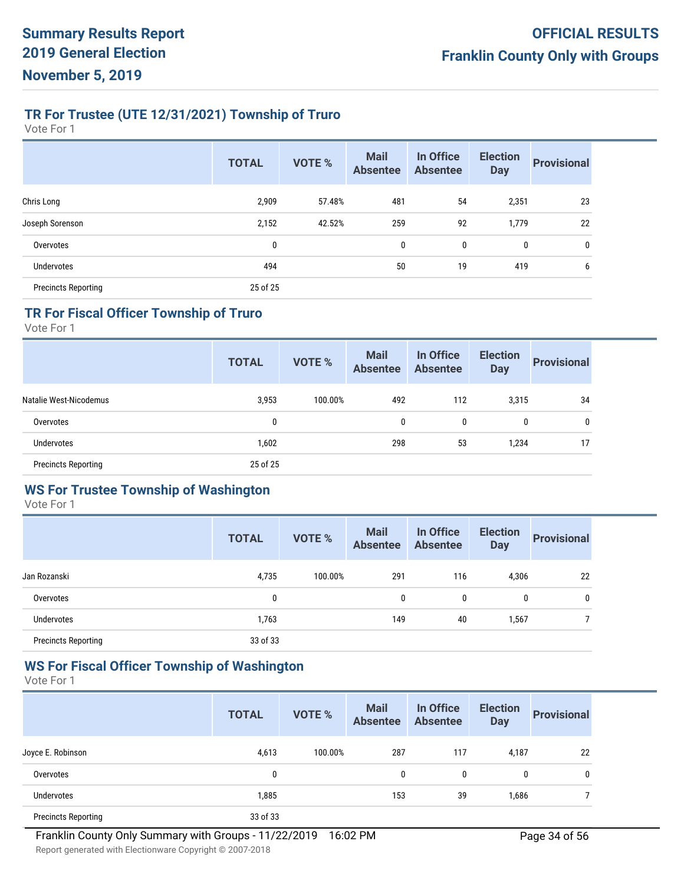# **TR For Trustee (UTE 12/31/2021) Township of Truro**

Vote For 1

|                            | <b>TOTAL</b> | <b>VOTE %</b> | <b>Mail</b><br><b>Absentee</b> | In Office<br><b>Absentee</b> | <b>Election</b><br><b>Day</b> | <b>Provisional</b> |
|----------------------------|--------------|---------------|--------------------------------|------------------------------|-------------------------------|--------------------|
| Chris Long                 | 2,909        | 57.48%        | 481                            | 54                           | 2,351                         | 23                 |
| Joseph Sorenson            | 2,152        | 42.52%        | 259                            | 92                           | 1,779                         | 22                 |
| Overvotes                  | 0            |               | 0                              | 0                            | $\bf{0}$                      | 0                  |
| <b>Undervotes</b>          | 494          |               | 50                             | 19                           | 419                           | 6                  |
| <b>Precincts Reporting</b> | 25 of 25     |               |                                |                              |                               |                    |

# **TR For Fiscal Officer Township of Truro**

Vote For 1

|                            | <b>TOTAL</b> | <b>VOTE %</b> | <b>Mail</b><br><b>Absentee</b> | In Office<br><b>Absentee</b> | <b>Election</b><br><b>Day</b> | <b>Provisional</b> |
|----------------------------|--------------|---------------|--------------------------------|------------------------------|-------------------------------|--------------------|
| Natalie West-Nicodemus     | 3,953        | 100.00%       | 492                            | 112                          | 3,315                         | 34                 |
| Overvotes                  | 0            |               | 0                              | 0                            | 0                             | 0                  |
| <b>Undervotes</b>          | 1,602        |               | 298                            | 53                           | 1,234                         | 17                 |
| <b>Precincts Reporting</b> | 25 of 25     |               |                                |                              |                               |                    |

#### **WS For Trustee Township of Washington**

Vote For 1

|                            | <b>TOTAL</b> | <b>VOTE %</b> | <b>Mail</b><br><b>Absentee</b> | In Office<br><b>Absentee</b> | <b>Election</b><br><b>Day</b> | <b>Provisional</b> |
|----------------------------|--------------|---------------|--------------------------------|------------------------------|-------------------------------|--------------------|
| Jan Rozanski               | 4,735        | 100.00%       | 291                            | 116                          | 4,306                         | 22                 |
| Overvotes                  | 0            |               | 0                              | 0                            | 0                             | 0                  |
| Undervotes                 | 1,763        |               | 149                            | 40                           | 1,567                         |                    |
| <b>Precincts Reporting</b> | 33 of 33     |               |                                |                              |                               |                    |

# **WS For Fiscal Officer Township of Washington**

|                            | <b>TOTAL</b> | <b>VOTE %</b> | <b>Mail</b><br><b>Absentee</b> | In Office<br><b>Absentee</b> | <b>Election</b><br><b>Day</b> | <b>Provisional</b> |
|----------------------------|--------------|---------------|--------------------------------|------------------------------|-------------------------------|--------------------|
| Joyce E. Robinson          | 4,613        | 100.00%       | 287                            | 117                          | 4,187                         | 22                 |
| Overvotes                  | 0            |               | 0                              | 0                            | 0                             | 0                  |
| Undervotes                 | 1,885        |               | 153                            | 39                           | 1,686                         |                    |
| <b>Precincts Reporting</b> | 33 of 33     |               |                                |                              |                               |                    |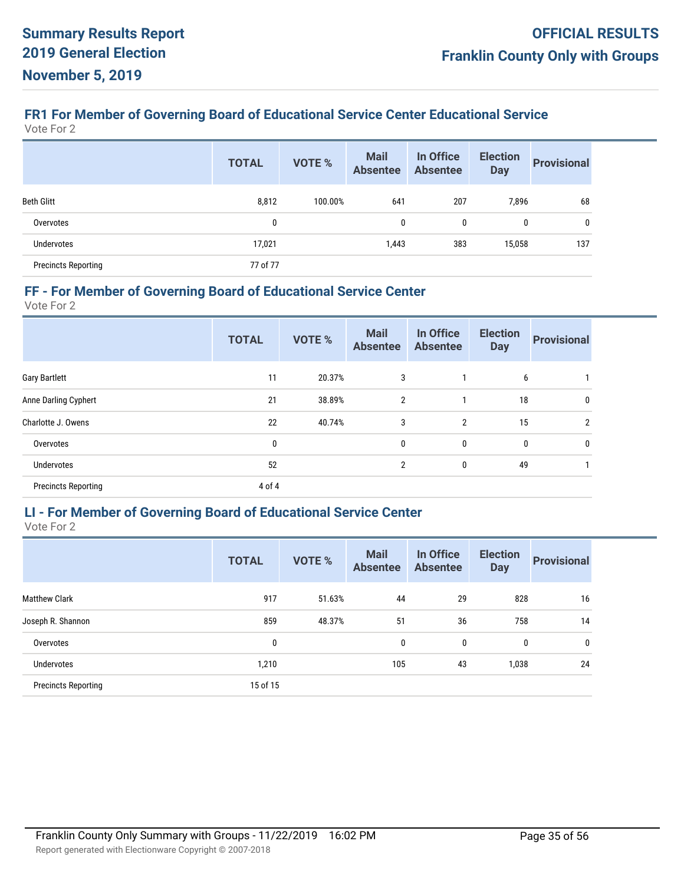# **FR1 For Member of Governing Board of Educational Service Center Educational Service**

Vote For 2

|                            | <b>TOTAL</b> | <b>VOTE %</b> | <b>Mail</b><br><b>Absentee</b> | In Office<br><b>Absentee</b> | <b>Election</b><br><b>Day</b> | <b>Provisional</b> |
|----------------------------|--------------|---------------|--------------------------------|------------------------------|-------------------------------|--------------------|
| <b>Beth Glitt</b>          | 8,812        | 100.00%       | 641                            | 207                          | 7,896                         | 68                 |
| Overvotes                  | 0            |               | 0                              | 0                            | 0                             | $\mathbf{0}$       |
| Undervotes                 | 17,021       |               | 1,443                          | 383                          | 15,058                        | 137                |
| <b>Precincts Reporting</b> | 77 of 77     |               |                                |                              |                               |                    |

#### **FF - For Member of Governing Board of Educational Service Center**

Vote For 2

|                            | <b>TOTAL</b> | <b>VOTE %</b> | <b>Mail</b><br><b>Absentee</b> | In Office<br><b>Absentee</b> | <b>Election</b><br><b>Day</b> | <b>Provisional</b> |
|----------------------------|--------------|---------------|--------------------------------|------------------------------|-------------------------------|--------------------|
| <b>Gary Bartlett</b>       | 11           | 20.37%        | 3                              |                              | 6                             |                    |
| Anne Darling Cyphert       | 21           | 38.89%        | 2                              |                              | 18                            | 0                  |
| Charlotte J. Owens         | 22           | 40.74%        | 3                              | $\overline{2}$               | 15                            | 2                  |
| Overvotes                  | $\bf{0}$     |               | $\mathbf{0}$                   | 0                            | $\bf{0}$                      | $\mathbf{0}$       |
| <b>Undervotes</b>          | 52           |               | 2                              | 0                            | 49                            |                    |
| <b>Precincts Reporting</b> | 4 of 4       |               |                                |                              |                               |                    |
|                            |              |               |                                |                              |                               |                    |

#### **LI - For Member of Governing Board of Educational Service Center**

|                            | <b>TOTAL</b> | <b>VOTE %</b> | <b>Mail</b><br><b>Absentee</b> | In Office<br><b>Absentee</b> | <b>Election</b><br><b>Day</b> | <b>Provisional</b> |
|----------------------------|--------------|---------------|--------------------------------|------------------------------|-------------------------------|--------------------|
| <b>Matthew Clark</b>       | 917          | 51.63%        | 44                             | 29                           | 828                           | 16                 |
| Joseph R. Shannon          | 859          | 48.37%        | 51                             | 36                           | 758                           | 14                 |
| Overvotes                  | 0            |               | 0                              | 0                            | 0                             | $\mathbf{0}$       |
| <b>Undervotes</b>          | 1,210        |               | 105                            | 43                           | 1,038                         | 24                 |
| <b>Precincts Reporting</b> | 15 of 15     |               |                                |                              |                               |                    |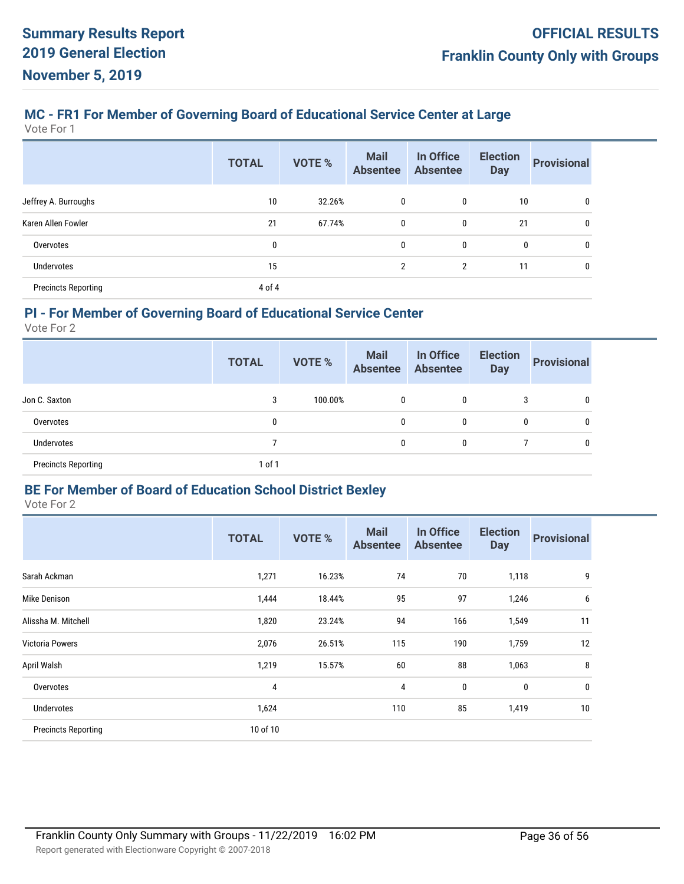# **MC - FR1 For Member of Governing Board of Educational Service Center at Large**

Vote For 1

|                            | <b>TOTAL</b> | <b>VOTE %</b> | <b>Mail</b><br><b>Absentee</b> | In Office<br><b>Absentee</b> | <b>Election</b><br><b>Day</b> | <b>Provisional</b> |
|----------------------------|--------------|---------------|--------------------------------|------------------------------|-------------------------------|--------------------|
| Jeffrey A. Burroughs       | 10           | 32.26%        | 0                              | 0                            | 10                            | 0                  |
| Karen Allen Fowler         | 21           | 67.74%        | 0                              | 0                            | 21                            | 0                  |
| Overvotes                  | 0            |               | $\mathbf{0}$                   | 0                            | 0                             | 0                  |
| Undervotes                 | 15           |               | 2                              | $\overline{2}$               | 11                            | 0                  |
| <b>Precincts Reporting</b> | 4 of 4       |               |                                |                              |                               |                    |

#### **PI - For Member of Governing Board of Educational Service Center**

Vote For 2

|                            | <b>TOTAL</b> | <b>VOTE %</b> | <b>Mail</b><br><b>Absentee</b> | In Office<br><b>Absentee</b> | <b>Election</b><br><b>Day</b> | <b>Provisional</b> |
|----------------------------|--------------|---------------|--------------------------------|------------------------------|-------------------------------|--------------------|
| Jon C. Saxton              | 3            | 100.00%       | 0                              | 0                            | 3                             | 0                  |
| Overvotes                  | 0            |               | 0                              | 0                            | 0                             | 0                  |
| <b>Undervotes</b>          |              |               | 0                              | 0                            |                               | 0                  |
| <b>Precincts Reporting</b> | $1$ of $1$   |               |                                |                              |                               |                    |

#### **BE For Member of Board of Education School District Bexley**

|                            | <b>TOTAL</b> | <b>VOTE %</b> | <b>Mail</b><br><b>Absentee</b> | In Office<br><b>Absentee</b> | <b>Election</b><br><b>Day</b> | <b>Provisional</b> |
|----------------------------|--------------|---------------|--------------------------------|------------------------------|-------------------------------|--------------------|
| Sarah Ackman               | 1,271        | 16.23%        | 74                             | 70                           | 1,118                         | 9                  |
| Mike Denison               | 1,444        | 18.44%        | 95                             | 97                           | 1,246                         | 6                  |
| Alissha M. Mitchell        | 1,820        | 23.24%        | 94                             | 166                          | 1,549                         | 11                 |
| <b>Victoria Powers</b>     | 2,076        | 26.51%        | 115                            | 190                          | 1,759                         | 12                 |
| April Walsh                | 1,219        | 15.57%        | 60                             | 88                           | 1,063                         | 8                  |
| Overvotes                  | 4            |               | $\overline{4}$                 | 0                            | 0                             | $\mathbf 0$        |
| Undervotes                 | 1,624        |               | 110                            | 85                           | 1,419                         | 10                 |
| <b>Precincts Reporting</b> | 10 of 10     |               |                                |                              |                               |                    |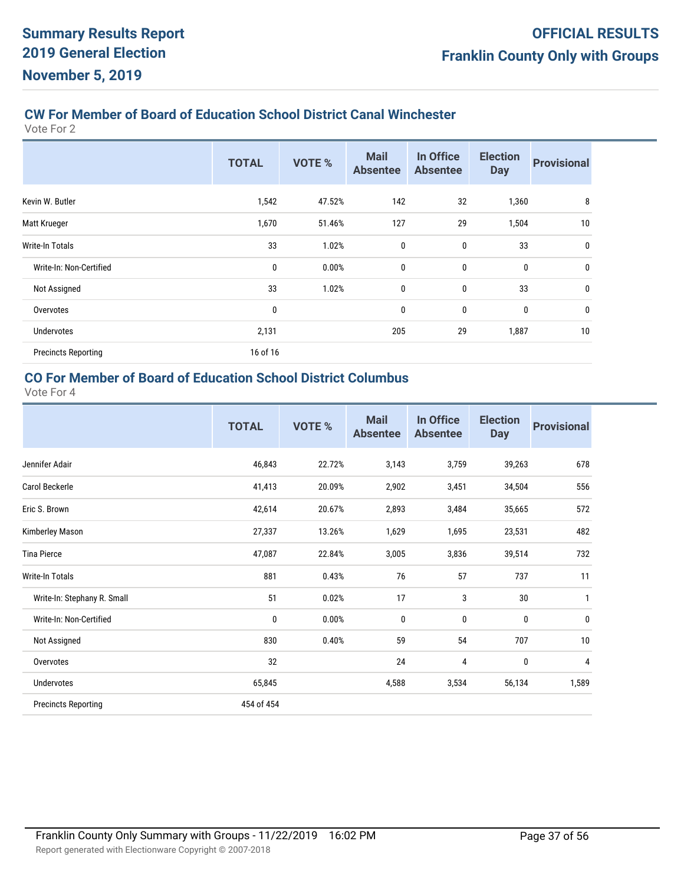# **CW For Member of Board of Education School District Canal Winchester**

Vote For 2

|                            | <b>TOTAL</b> | <b>VOTE %</b> | <b>Mail</b><br><b>Absentee</b> | In Office<br><b>Absentee</b> | <b>Election</b><br><b>Day</b> | <b>Provisional</b> |
|----------------------------|--------------|---------------|--------------------------------|------------------------------|-------------------------------|--------------------|
| Kevin W. Butler            | 1,542        | 47.52%        | 142                            | 32                           | 1,360                         | 8                  |
| Matt Krueger               | 1,670        | 51.46%        | 127                            | 29                           | 1,504                         | 10                 |
| Write-In Totals            | 33           | 1.02%         | 0                              | $\mathbf 0$                  | 33                            | 0                  |
| Write-In: Non-Certified    | 0            | 0.00%         | $\mathbf 0$                    | 0                            | $\mathbf{0}$                  | $\mathbf 0$        |
| Not Assigned               | 33           | 1.02%         | $\mathbf 0$                    | 0                            | 33                            | 0                  |
| Overvotes                  | $\bf{0}$     |               | $\mathbf 0$                    | 0                            | $\mathbf{0}$                  | $\boldsymbol{0}$   |
| <b>Undervotes</b>          | 2,131        |               | 205                            | 29                           | 1,887                         | 10                 |
| <b>Precincts Reporting</b> | 16 of 16     |               |                                |                              |                               |                    |

# **CO For Member of Board of Education School District Columbus**

|                             | <b>TOTAL</b> | <b>VOTE %</b> | <b>Mail</b><br><b>Absentee</b> | In Office<br><b>Absentee</b> | <b>Election</b><br><b>Day</b> | <b>Provisional</b> |
|-----------------------------|--------------|---------------|--------------------------------|------------------------------|-------------------------------|--------------------|
| Jennifer Adair              | 46,843       | 22.72%        | 3,143                          | 3,759                        | 39,263                        | 678                |
| Carol Beckerle              | 41,413       | 20.09%        | 2,902                          | 3,451                        | 34,504                        | 556                |
| Eric S. Brown               | 42,614       | 20.67%        | 2,893                          | 3,484                        | 35,665                        | 572                |
| Kimberley Mason             | 27,337       | 13.26%        | 1,629                          | 1,695                        | 23,531                        | 482                |
| <b>Tina Pierce</b>          | 47,087       | 22.84%        | 3,005                          | 3,836                        | 39,514                        | 732                |
| Write-In Totals             | 881          | 0.43%         | 76                             | 57                           | 737                           | 11                 |
| Write-In: Stephany R. Small | 51           | 0.02%         | 17                             | 3                            | 30                            | 1                  |
| Write-In: Non-Certified     | 0            | 0.00%         | $\mathbf{0}$                   | 0                            | 0                             | 0                  |
| Not Assigned                | 830          | 0.40%         | 59                             | 54                           | 707                           | 10                 |
| Overvotes                   | 32           |               | 24                             | 4                            | 0                             | 4                  |
| Undervotes                  | 65,845       |               | 4,588                          | 3,534                        | 56,134                        | 1,589              |
| <b>Precincts Reporting</b>  | 454 of 454   |               |                                |                              |                               |                    |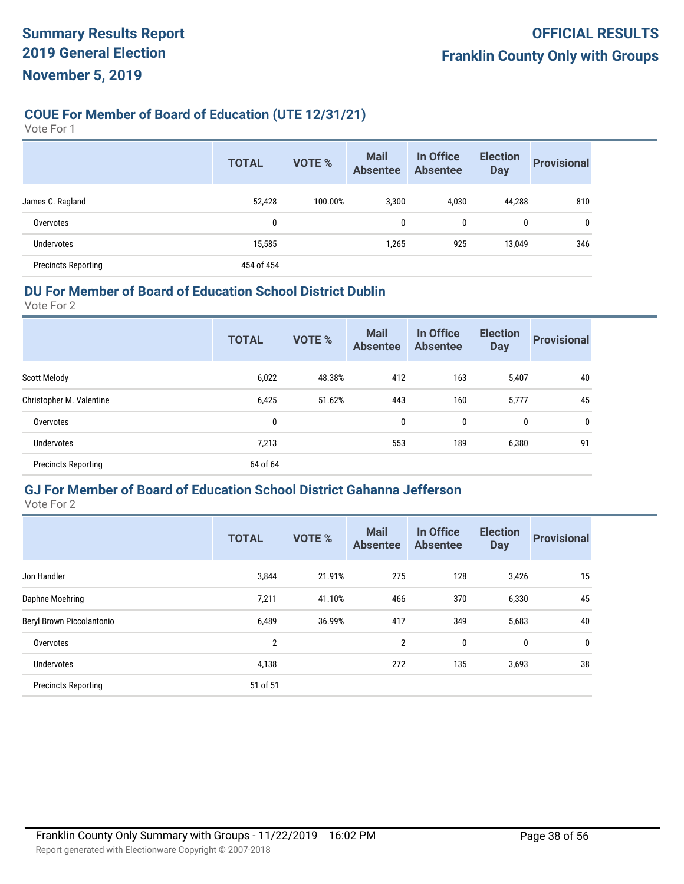# **COUE For Member of Board of Education (UTE 12/31/21)**

Vote For 1

|                            | <b>TOTAL</b> | <b>VOTE %</b> | <b>Mail</b><br><b>Absentee</b> | In Office<br><b>Absentee</b> | <b>Election</b><br><b>Day</b> | <b>Provisional</b> |
|----------------------------|--------------|---------------|--------------------------------|------------------------------|-------------------------------|--------------------|
| James C. Ragland           | 52,428       | 100.00%       | 3,300                          | 4,030                        | 44,288                        | 810                |
| Overvotes                  | 0            |               | 0                              | 0                            | 0                             | 0                  |
| <b>Undervotes</b>          | 15,585       |               | 1,265                          | 925                          | 13,049                        | 346                |
| <b>Precincts Reporting</b> | 454 of 454   |               |                                |                              |                               |                    |

#### **DU For Member of Board of Education School District Dublin**

Vote For 2

|                            | <b>TOTAL</b> | <b>VOTE %</b> | <b>Mail</b><br><b>Absentee</b> | In Office<br><b>Absentee</b> | <b>Election</b><br><b>Day</b> | <b>Provisional</b> |
|----------------------------|--------------|---------------|--------------------------------|------------------------------|-------------------------------|--------------------|
| <b>Scott Melody</b>        | 6,022        | 48.38%        | 412                            | 163                          | 5,407                         | 40                 |
| Christopher M. Valentine   | 6,425        | 51.62%        | 443                            | 160                          | 5,777                         | 45                 |
| Overvotes                  | $\mathbf{0}$ |               | 0                              | 0                            | 0                             | 0                  |
| Undervotes                 | 7,213        |               | 553                            | 189                          | 6,380                         | 91                 |
| <b>Precincts Reporting</b> | 64 of 64     |               |                                |                              |                               |                    |
|                            |              |               |                                |                              |                               |                    |

#### **GJ For Member of Board of Education School District Gahanna Jefferson**

|                            | <b>TOTAL</b>   | <b>VOTE %</b> | <b>Mail</b><br><b>Absentee</b> | In Office<br><b>Absentee</b> | <b>Election</b><br><b>Day</b> | <b>Provisional</b> |
|----------------------------|----------------|---------------|--------------------------------|------------------------------|-------------------------------|--------------------|
| Jon Handler                | 3,844          | 21.91%        | 275                            | 128                          | 3,426                         | 15                 |
| Daphne Moehring            | 7,211          | 41.10%        | 466                            | 370                          | 6,330                         | 45                 |
| Beryl Brown Piccolantonio  | 6,489          | 36.99%        | 417                            | 349                          | 5,683                         | 40                 |
| Overvotes                  | $\overline{2}$ |               | $\overline{2}$                 | 0                            | 0                             | 0                  |
| Undervotes                 | 4,138          |               | 272                            | 135                          | 3,693                         | 38                 |
| <b>Precincts Reporting</b> | 51 of 51       |               |                                |                              |                               |                    |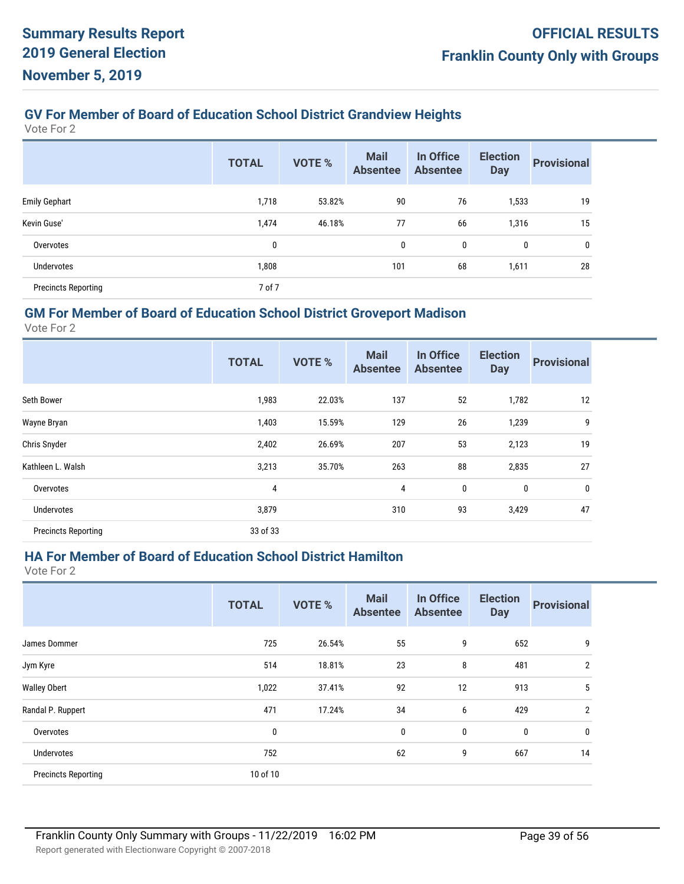# **GV For Member of Board of Education School District Grandview Heights**

Vote For 2

|                            | <b>TOTAL</b> | <b>VOTE %</b> | <b>Mail</b><br><b>Absentee</b> | In Office<br><b>Absentee</b> | <b>Election</b><br><b>Day</b> | <b>Provisional</b> |
|----------------------------|--------------|---------------|--------------------------------|------------------------------|-------------------------------|--------------------|
| <b>Emily Gephart</b>       | 1,718        | 53.82%        | 90                             | 76                           | 1,533                         | 19                 |
| Kevin Guse'                | 1,474        | 46.18%        | 77                             | 66                           | 1,316                         | 15                 |
| Overvotes                  | 0            |               | 0                              | 0                            | 0                             | $\mathbf 0$        |
| Undervotes                 | 1,808        |               | 101                            | 68                           | 1,611                         | 28                 |
| <b>Precincts Reporting</b> | 7 of 7       |               |                                |                              |                               |                    |

#### **GM For Member of Board of Education School District Groveport Madison**

Vote For 2

|                            | <b>TOTAL</b> | <b>VOTE %</b> | <b>Mail</b><br><b>Absentee</b> | In Office<br><b>Absentee</b> | <b>Election</b><br><b>Day</b> | <b>Provisional</b> |
|----------------------------|--------------|---------------|--------------------------------|------------------------------|-------------------------------|--------------------|
| Seth Bower                 | 1,983        | 22.03%        | 137                            | 52                           | 1,782                         | 12                 |
| Wayne Bryan                | 1,403        | 15.59%        | 129                            | 26                           | 1,239                         | 9                  |
| Chris Snyder               | 2,402        | 26.69%        | 207                            | 53                           | 2,123                         | 19                 |
| Kathleen L. Walsh          | 3,213        | 35.70%        | 263                            | 88                           | 2,835                         | 27                 |
| Overvotes                  | 4            |               | 4                              | 0                            | 0                             | $\bf{0}$           |
| Undervotes                 | 3,879        |               | 310                            | 93                           | 3,429                         | 47                 |
| <b>Precincts Reporting</b> | 33 of 33     |               |                                |                              |                               |                    |

#### **HA For Member of Board of Education School District Hamilton**

|                            | <b>TOTAL</b> | <b>VOTE %</b> | <b>Mail</b><br><b>Absentee</b> | In Office<br><b>Absentee</b> | <b>Election</b><br><b>Day</b> | <b>Provisional</b> |
|----------------------------|--------------|---------------|--------------------------------|------------------------------|-------------------------------|--------------------|
| James Dommer               | 725          | 26.54%        | 55                             | 9                            | 652                           | 9                  |
| Jym Kyre                   | 514          | 18.81%        | 23                             | 8                            | 481                           | $\overline{2}$     |
| <b>Walley Obert</b>        | 1,022        | 37.41%        | 92                             | 12                           | 913                           | 5                  |
| Randal P. Ruppert          | 471          | 17.24%        | 34                             | 6                            | 429                           | $\overline{2}$     |
| Overvotes                  | 0            |               | $\mathbf 0$                    | $\mathbf 0$                  | 0                             | $\mathbf 0$        |
| <b>Undervotes</b>          | 752          |               | 62                             | 9                            | 667                           | 14                 |
| <b>Precincts Reporting</b> | 10 of 10     |               |                                |                              |                               |                    |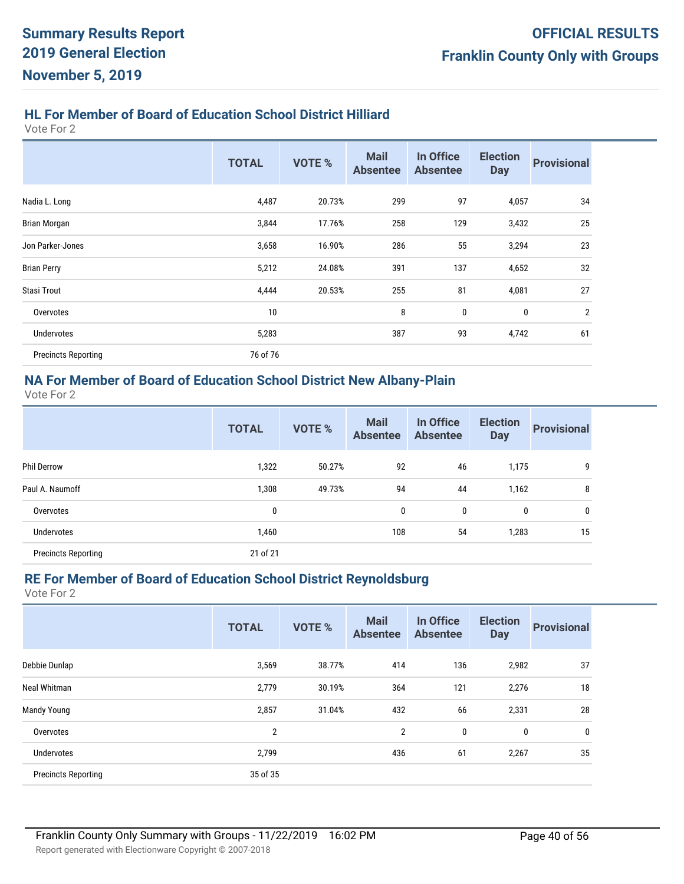# **HL For Member of Board of Education School District Hilliard**

Vote For 2

|                            | <b>TOTAL</b> | <b>VOTE %</b> | <b>Mail</b><br><b>Absentee</b> | In Office<br><b>Absentee</b> | <b>Election</b><br><b>Day</b> | <b>Provisional</b> |
|----------------------------|--------------|---------------|--------------------------------|------------------------------|-------------------------------|--------------------|
| Nadia L. Long              | 4,487        | 20.73%        | 299                            | 97                           | 4,057                         | 34                 |
| Brian Morgan               | 3,844        | 17.76%        | 258                            | 129                          | 3,432                         | 25                 |
| Jon Parker-Jones           | 3,658        | 16.90%        | 286                            | 55                           | 3,294                         | 23                 |
| <b>Brian Perry</b>         | 5,212        | 24.08%        | 391                            | 137                          | 4,652                         | 32                 |
| <b>Stasi Trout</b>         | 4,444        | 20.53%        | 255                            | 81                           | 4,081                         | 27                 |
| Overvotes                  | 10           |               | 8                              | 0                            | 0                             | $\overline{2}$     |
| <b>Undervotes</b>          | 5,283        |               | 387                            | 93                           | 4,742                         | 61                 |
| <b>Precincts Reporting</b> | 76 of 76     |               |                                |                              |                               |                    |

## **NA For Member of Board of Education School District New Albany-Plain**

Vote For 2

|                            | <b>TOTAL</b> | <b>VOTE %</b> | <b>Mail</b><br><b>Absentee</b> | In Office<br><b>Absentee</b> | <b>Election</b><br><b>Day</b> | <b>Provisional</b> |
|----------------------------|--------------|---------------|--------------------------------|------------------------------|-------------------------------|--------------------|
| <b>Phil Derrow</b>         | 1,322        | 50.27%        | 92                             | 46                           | 1,175                         | 9                  |
| Paul A. Naumoff            | 1,308        | 49.73%        | 94                             | 44                           | 1,162                         | 8                  |
| Overvotes                  | $\mathbf{0}$ |               | 0                              | 0                            | 0                             | $\mathbf{0}$       |
| <b>Undervotes</b>          | 1,460        |               | 108                            | 54                           | 1,283                         | 15                 |
| <b>Precincts Reporting</b> | 21 of 21     |               |                                |                              |                               |                    |

#### **RE For Member of Board of Education School District Reynoldsburg**

| <b>TOTAL</b>   | <b>VOTE %</b> | <b>Mail</b><br><b>Absentee</b> | In Office<br><b>Absentee</b> | <b>Election</b><br><b>Day</b> | <b>Provisional</b> |
|----------------|---------------|--------------------------------|------------------------------|-------------------------------|--------------------|
| 3,569          | 38.77%        | 414                            | 136                          | 2,982                         | 37                 |
| 2,779          | 30.19%        | 364                            | 121                          | 2,276                         | 18                 |
| 2,857          | 31.04%        | 432                            | 66                           | 2,331                         | 28                 |
| $\overline{2}$ |               | $\overline{2}$                 | 0                            | $\mathbf 0$                   | 0                  |
| 2,799          |               | 436                            | 61                           | 2,267                         | 35                 |
|                |               |                                |                              |                               |                    |
|                |               | 35 of 35                       |                              |                               |                    |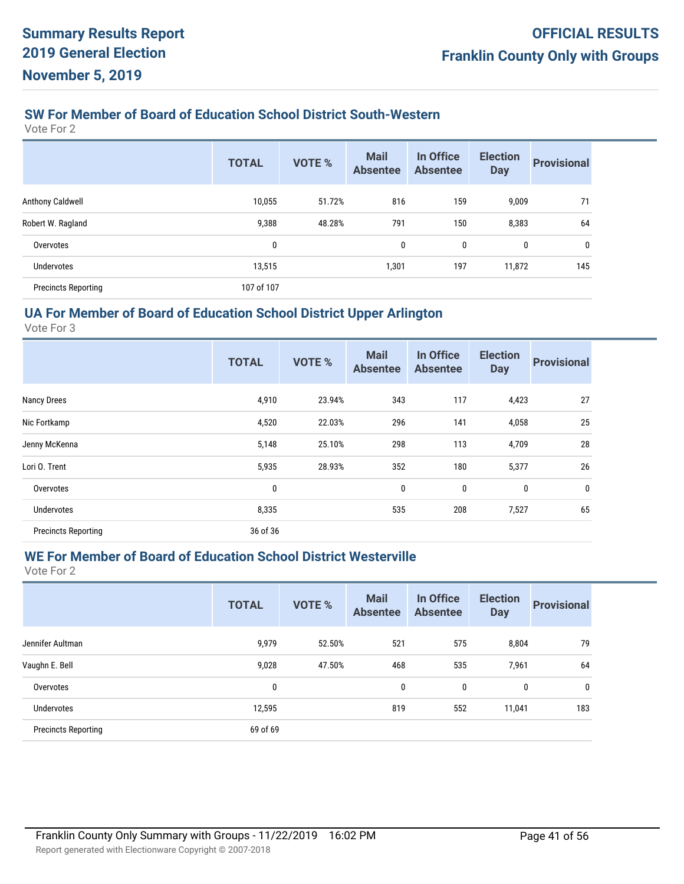#### **SW For Member of Board of Education School District South-Western**

Vote For 2

|                            | <b>TOTAL</b> | <b>VOTE %</b> | <b>Mail</b><br><b>Absentee</b> | In Office<br><b>Absentee</b> | <b>Election</b><br><b>Day</b> | <b>Provisional</b> |
|----------------------------|--------------|---------------|--------------------------------|------------------------------|-------------------------------|--------------------|
| Anthony Caldwell           | 10,055       | 51.72%        | 816                            | 159                          | 9,009                         | 71                 |
| Robert W. Ragland          | 9,388        | 48.28%        | 791                            | 150                          | 8,383                         | 64                 |
| Overvotes                  | 0            |               | 0                              | 0                            | 0                             | 0                  |
| <b>Undervotes</b>          | 13,515       |               | 1,301                          | 197                          | 11,872                        | 145                |
| <b>Precincts Reporting</b> | 107 of 107   |               |                                |                              |                               |                    |

#### **UA For Member of Board of Education School District Upper Arlington**

Vote For 3

|                            | <b>TOTAL</b> | <b>VOTE %</b> | <b>Mail</b><br><b>Absentee</b> | In Office<br><b>Absentee</b> | <b>Election</b><br><b>Day</b> | <b>Provisional</b> |
|----------------------------|--------------|---------------|--------------------------------|------------------------------|-------------------------------|--------------------|
| <b>Nancy Drees</b>         | 4,910        | 23.94%        | 343                            | 117                          | 4,423                         | 27                 |
| Nic Fortkamp               | 4,520        | 22.03%        | 296                            | 141                          | 4,058                         | 25                 |
| Jenny McKenna              | 5,148        | 25.10%        | 298                            | 113                          | 4,709                         | 28                 |
| Lori O. Trent              | 5,935        | 28.93%        | 352                            | 180                          | 5,377                         | 26                 |
| Overvotes                  | 0            |               | 0                              | 0                            | 0                             | 0                  |
| Undervotes                 | 8,335        |               | 535                            | 208                          | 7,527                         | 65                 |
| <b>Precincts Reporting</b> | 36 of 36     |               |                                |                              |                               |                    |

#### **WE For Member of Board of Education School District Westerville**

|                            | <b>TOTAL</b> | <b>VOTE %</b> | <b>Mail</b><br><b>Absentee</b> | In Office<br><b>Absentee</b> | <b>Election</b><br><b>Day</b> | <b>Provisional</b> |
|----------------------------|--------------|---------------|--------------------------------|------------------------------|-------------------------------|--------------------|
| Jennifer Aultman           | 9,979        | 52.50%        | 521                            | 575                          | 8,804                         | 79                 |
| Vaughn E. Bell             | 9,028        | 47.50%        | 468                            | 535                          | 7,961                         | 64                 |
| Overvotes                  | 0            |               | 0                              | 0                            | 0                             | 0                  |
| Undervotes                 | 12,595       |               | 819                            | 552                          | 11,041                        | 183                |
| <b>Precincts Reporting</b> | 69 of 69     |               |                                |                              |                               |                    |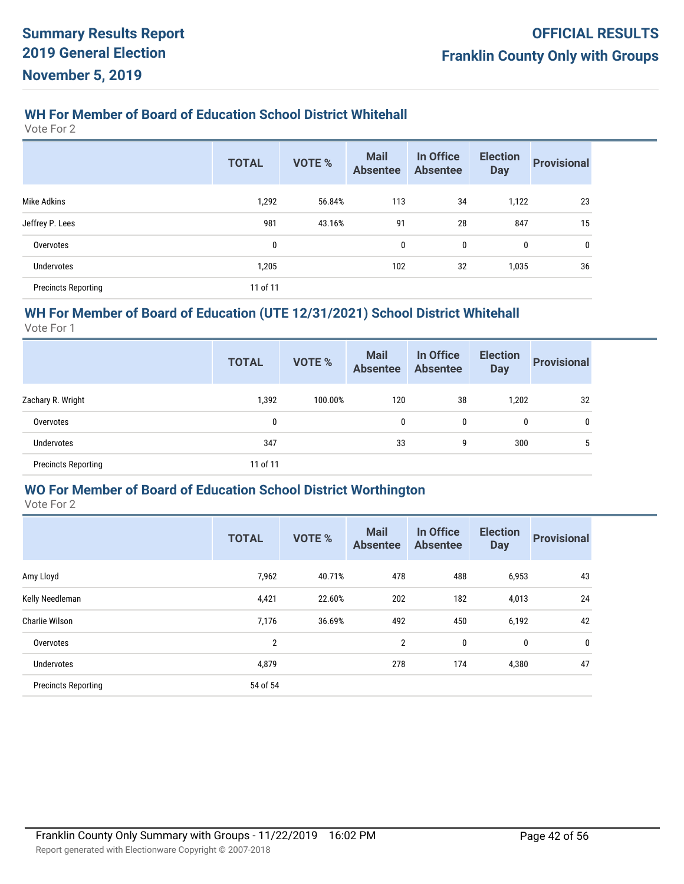# **WH For Member of Board of Education School District Whitehall**

Vote For 2

|                            | <b>TOTAL</b> | <b>VOTE %</b> | <b>Mail</b><br><b>Absentee</b> | In Office<br><b>Absentee</b> | <b>Election</b><br><b>Day</b> | <b>Provisional</b> |
|----------------------------|--------------|---------------|--------------------------------|------------------------------|-------------------------------|--------------------|
| Mike Adkins                | 1,292        | 56.84%        | 113                            | 34                           | 1,122                         | 23                 |
| Jeffrey P. Lees            | 981          | 43.16%        | 91                             | 28                           | 847                           | 15                 |
| Overvotes                  | 0            |               | 0                              | 0                            | 0                             | 0                  |
| Undervotes                 | 1,205        |               | 102                            | 32                           | 1,035                         | 36                 |
| <b>Precincts Reporting</b> | 11 of 11     |               |                                |                              |                               |                    |

#### **WH For Member of Board of Education (UTE 12/31/2021) School District Whitehall**

Vote For 1

|                            | <b>TOTAL</b> | <b>VOTE %</b> | <b>Mail</b><br><b>Absentee</b> | In Office<br><b>Absentee</b> | <b>Election</b><br><b>Day</b> | <b>Provisional</b> |
|----------------------------|--------------|---------------|--------------------------------|------------------------------|-------------------------------|--------------------|
| Zachary R. Wright          | 1,392        | 100.00%       | 120                            | 38                           | 1,202                         | 32                 |
| Overvotes                  | 0            |               | 0                              | 0                            | 0                             | 0                  |
| <b>Undervotes</b>          | 347          |               | 33                             | 9                            | 300                           |                    |
| <b>Precincts Reporting</b> | 11 of 11     |               |                                |                              |                               |                    |

#### **WO For Member of Board of Education School District Worthington**

|                            | <b>TOTAL</b>   | <b>VOTE %</b> | <b>Mail</b><br><b>Absentee</b> | In Office<br><b>Absentee</b> | <b>Election</b><br><b>Day</b> | <b>Provisional</b> |
|----------------------------|----------------|---------------|--------------------------------|------------------------------|-------------------------------|--------------------|
| Amy Lloyd                  | 7,962          | 40.71%        | 478                            | 488                          | 6,953                         | 43                 |
| Kelly Needleman            | 4,421          | 22.60%        | 202                            | 182                          | 4,013                         | 24                 |
| Charlie Wilson             | 7,176          | 36.69%        | 492                            | 450                          | 6,192                         | 42                 |
| Overvotes                  | $\overline{2}$ |               | $\overline{2}$                 | 0                            | $\bf{0}$                      | $\mathbf{0}$       |
| Undervotes                 | 4,879          |               | 278                            | 174                          | 4,380                         | 47                 |
| <b>Precincts Reporting</b> | 54 of 54       |               |                                |                              |                               |                    |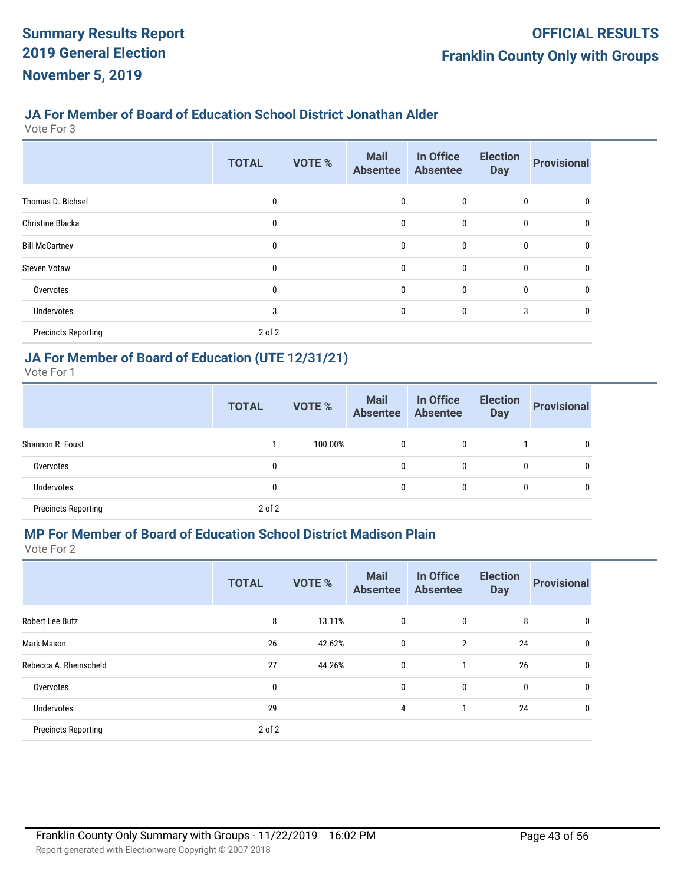#### **JA For Member of Board of Education School District Jonathan Alder**

Vote For 3

|                            | <b>TOTAL</b> | <b>VOTE %</b> | <b>Mail</b><br><b>Absentee</b> | In Office<br><b>Absentee</b> | <b>Election</b><br><b>Day</b> | <b>Provisional</b> |
|----------------------------|--------------|---------------|--------------------------------|------------------------------|-------------------------------|--------------------|
| Thomas D. Bichsel          | 0            |               | 0                              | $\mathbf 0$                  | 0                             | $\mathbf{0}$       |
| <b>Christine Blacka</b>    | 0            |               | 0                              | 0                            | 0                             | 0                  |
| <b>Bill McCartney</b>      | 0            |               | $\mathbf 0$                    | $\mathbf 0$                  | $\bf{0}$                      | 0                  |
| <b>Steven Votaw</b>        | 0            |               | $\mathbf 0$                    | 0                            | 0                             | 0                  |
| Overvotes                  | 0            |               | 0                              | 0                            | 0                             | 0                  |
| Undervotes                 | 3            |               | 0                              | 0                            | 3                             | 0                  |
| <b>Precincts Reporting</b> | 2 of 2       |               |                                |                              |                               |                    |

# **JA For Member of Board of Education (UTE 12/31/21)**

Vote For 1

|                            | <b>TOTAL</b> | <b>VOTE %</b> | <b>Mail</b><br><b>Absentee</b> | In Office<br><b>Absentee</b> | <b>Election</b><br><b>Day</b> | <b>Provisional</b> |
|----------------------------|--------------|---------------|--------------------------------|------------------------------|-------------------------------|--------------------|
| Shannon R. Foust           |              | 100.00%       | $\mathbf{0}$                   | 0                            |                               | 0                  |
| Overvotes                  | 0            |               | $\mathbf{0}$                   | 0                            | $\mathbf{0}$                  | 0                  |
| Undervotes                 | 0            |               | 0                              | 0                            | 0                             | 0                  |
| <b>Precincts Reporting</b> | $2$ of $2$   |               |                                |                              |                               |                    |

#### **MP For Member of Board of Education School District Madison Plain**

|                            | <b>TOTAL</b> | <b>VOTE %</b> | <b>Mail</b><br><b>Absentee</b> | In Office<br><b>Absentee</b> | <b>Election</b><br><b>Day</b> | <b>Provisional</b> |
|----------------------------|--------------|---------------|--------------------------------|------------------------------|-------------------------------|--------------------|
| Robert Lee Butz            | 8            | 13.11%        | 0                              | 0                            | 8                             | 0                  |
| Mark Mason                 | 26           | 42.62%        | 0                              | $\overline{2}$               | 24                            | 0                  |
| Rebecca A. Rheinscheld     | 27           | 44.26%        | $\bf{0}$                       |                              | 26                            | 0                  |
| Overvotes                  | 0            |               | $\bf{0}$                       | 0                            | $\mathbf{0}$                  | 0                  |
| Undervotes                 | 29           |               | 4                              |                              | 24                            | 0                  |
| <b>Precincts Reporting</b> | 2 of 2       |               |                                |                              |                               |                    |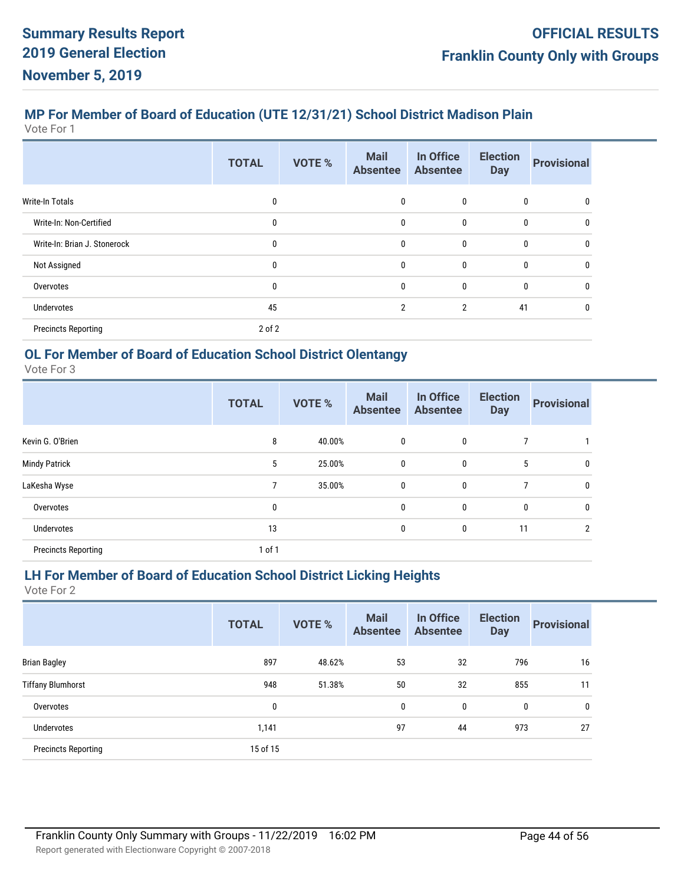# **MP For Member of Board of Education (UTE 12/31/21) School District Madison Plain**

Vote For 1

|                              | <b>TOTAL</b> | <b>VOTE %</b> | <b>Mail</b><br><b>Absentee</b> | In Office<br><b>Absentee</b> | <b>Election</b><br><b>Day</b> | <b>Provisional</b> |
|------------------------------|--------------|---------------|--------------------------------|------------------------------|-------------------------------|--------------------|
| Write-In Totals              | $\mathbf{0}$ |               | $\mathbf{0}$                   | 0                            | 0                             | 0                  |
| Write-In: Non-Certified      | $\mathbf{0}$ |               | 0                              | $\mathbf{0}$                 | $\mathbf 0$                   | 0                  |
| Write-In: Brian J. Stonerock | $\mathbf{0}$ |               | 0                              | $\mathbf 0$                  | $\bf{0}$                      | 0                  |
| Not Assigned                 | $\mathbf{0}$ |               | 0                              | $\mathbf{0}$                 | $\bf{0}$                      | 0                  |
| Overvotes                    | $\mathbf{0}$ |               | 0                              | $\mathbf{0}$                 | $\bf{0}$                      | $\mathbf{0}$       |
| Undervotes                   | 45           |               | $\overline{2}$                 | $\overline{2}$               | 41                            | 0                  |
| <b>Precincts Reporting</b>   | 2 of 2       |               |                                |                              |                               |                    |

# **OL For Member of Board of Education School District Olentangy**

Vote For 3

|                            | <b>TOTAL</b> | <b>VOTE %</b> | <b>Mail</b><br><b>Absentee</b> | In Office<br><b>Absentee</b> | <b>Election</b><br><b>Day</b> | <b>Provisional</b> |
|----------------------------|--------------|---------------|--------------------------------|------------------------------|-------------------------------|--------------------|
| Kevin G. O'Brien           | 8            | 40.00%        | 0                              | $\mathbf 0$                  | 7                             |                    |
| <b>Mindy Patrick</b>       | 5            | 25.00%        | 0                              | $\mathbf 0$                  | 5                             | 0                  |
| LaKesha Wyse               | 7            | 35.00%        | 0                              | $\mathbf 0$                  | 7                             | $\mathbf{0}$       |
| Overvotes                  | 0            |               | 0                              | $\mathbf 0$                  | 0                             | $\mathbf{0}$       |
| <b>Undervotes</b>          | 13           |               | 0                              | $\mathbf 0$                  | 11                            | 2                  |
| <b>Precincts Reporting</b> | 1 of 1       |               |                                |                              |                               |                    |

#### **LH For Member of Board of Education School District Licking Heights**

|                            | <b>TOTAL</b> | <b>VOTE %</b> | <b>Mail</b><br><b>Absentee</b> | In Office<br><b>Absentee</b> | <b>Election</b><br><b>Day</b> | <b>Provisional</b> |
|----------------------------|--------------|---------------|--------------------------------|------------------------------|-------------------------------|--------------------|
| <b>Brian Bagley</b>        | 897          | 48.62%        | 53                             | 32                           | 796                           | 16                 |
| <b>Tiffany Blumhorst</b>   | 948          | 51.38%        | 50                             | 32                           | 855                           | 11                 |
| Overvotes                  | 0            |               | 0                              | 0                            | 0                             | 0                  |
| <b>Undervotes</b>          | 1,141        |               | 97                             | 44                           | 973                           | 27                 |
| <b>Precincts Reporting</b> | 15 of 15     |               |                                |                              |                               |                    |
|                            |              |               |                                |                              |                               |                    |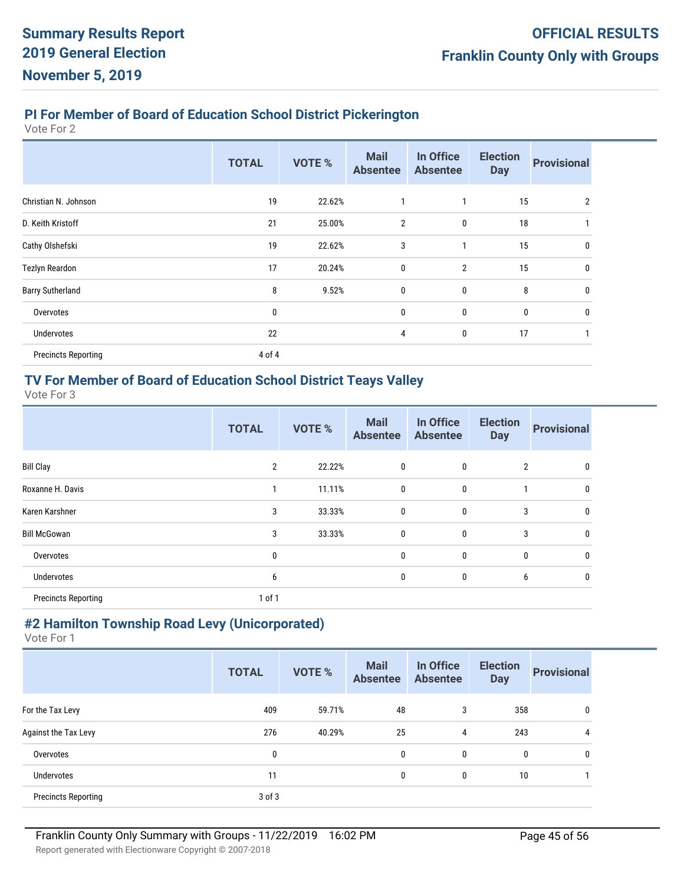#### **PI For Member of Board of Education School District Pickerington**

Vote For 2

|                            | <b>TOTAL</b> | <b>VOTE %</b> | <b>Mail</b><br><b>Absentee</b> | In Office<br><b>Absentee</b> | <b>Election</b><br><b>Day</b> | <b>Provisional</b> |
|----------------------------|--------------|---------------|--------------------------------|------------------------------|-------------------------------|--------------------|
| Christian N. Johnson       | 19           | 22.62%        | 1                              | $\mathbf{1}$                 | 15                            | $\overline{2}$     |
| D. Keith Kristoff          | 21           | 25.00%        | $\overline{2}$                 | $\mathbf 0$                  | 18                            |                    |
| Cathy Olshefski            | 19           | 22.62%        | 3                              | 1                            | 15                            | 0                  |
| Tezlyn Reardon             | 17           | 20.24%        | 0                              | $\overline{2}$               | 15                            | 0                  |
| <b>Barry Sutherland</b>    | 8            | 9.52%         | $\pmb{0}$                      | 0                            | 8                             | $\mathbf{0}$       |
| Overvotes                  | 0            |               | 0                              | 0                            | 0                             | 0                  |
| Undervotes                 | 22           |               | 4                              | 0                            | 17                            |                    |
| <b>Precincts Reporting</b> | 4 of 4       |               |                                |                              |                               |                    |

#### **TV For Member of Board of Education School District Teays Valley**

Vote For 3

|                            | <b>TOTAL</b>   | <b>VOTE %</b> | <b>Mail</b><br><b>Absentee</b> | In Office<br><b>Absentee</b> | <b>Election</b><br><b>Day</b> | <b>Provisional</b> |
|----------------------------|----------------|---------------|--------------------------------|------------------------------|-------------------------------|--------------------|
| <b>Bill Clay</b>           | $\overline{2}$ | 22.22%        | 0                              | 0                            | $\overline{2}$                | 0                  |
| Roxanne H. Davis           |                | 11.11%        | $\mathbf{0}$                   | 0                            | 1                             | 0                  |
| Karen Karshner             | 3              | 33.33%        | 0                              | 0                            | 3                             | 0                  |
| <b>Bill McGowan</b>        | 3              | 33.33%        | 0                              | 0                            | 3                             | 0                  |
| Overvotes                  | 0              |               | 0                              | 0                            | 0                             | 0                  |
| Undervotes                 | 6              |               | 0                              | 0                            | 6                             | 0                  |
| <b>Precincts Reporting</b> | 1 of 1         |               |                                |                              |                               |                    |

# **#2 Hamilton Township Road Levy (Unicorporated)**

|                            | <b>TOTAL</b> | <b>VOTE %</b> | <b>Mail</b><br><b>Absentee</b> | In Office<br><b>Absentee</b> | <b>Election</b><br><b>Day</b> | <b>Provisional</b> |
|----------------------------|--------------|---------------|--------------------------------|------------------------------|-------------------------------|--------------------|
| For the Tax Levy           | 409          | 59.71%        | 48                             | 3                            | 358                           | 0                  |
| Against the Tax Levy       | 276          | 40.29%        | 25                             | 4                            | 243                           | 4                  |
| Overvotes                  | 0            |               | 0                              | $\mathbf{0}$                 | $\mathbf{0}$                  | 0                  |
| <b>Undervotes</b>          | 11           |               | 0                              | 0                            | 10                            |                    |
| <b>Precincts Reporting</b> | $3$ of $3$   |               |                                |                              |                               |                    |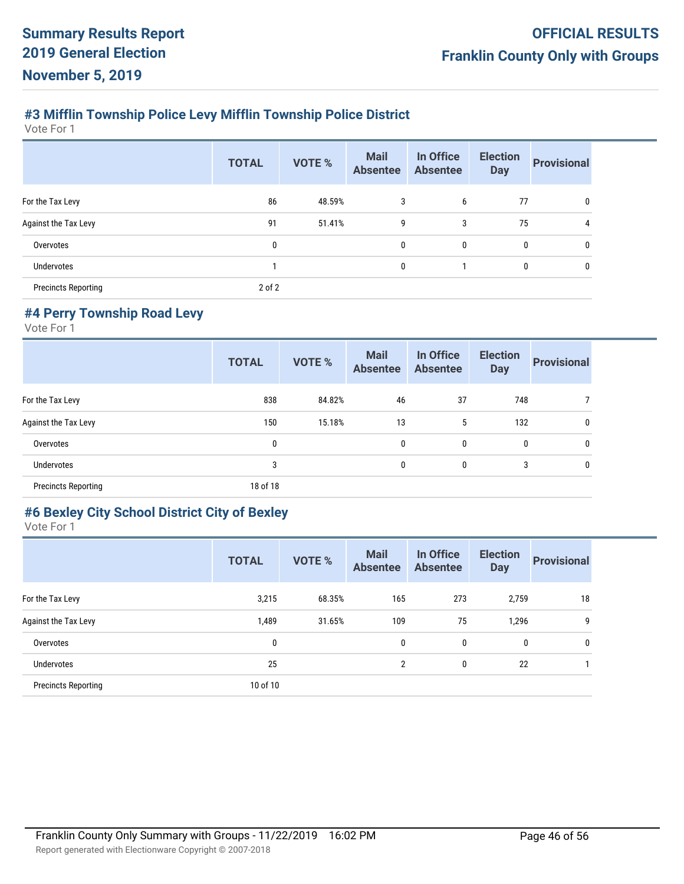## **#3 Mifflin Township Police Levy Mifflin Township Police District**

Vote For 1

|                            | <b>TOTAL</b> | <b>VOTE %</b> | <b>Mail</b><br><b>Absentee</b> | In Office<br><b>Absentee</b> | <b>Election</b><br><b>Day</b> | <b>Provisional</b> |
|----------------------------|--------------|---------------|--------------------------------|------------------------------|-------------------------------|--------------------|
| For the Tax Levy           | 86           | 48.59%        | 3                              | 6                            | 77                            | 0                  |
| Against the Tax Levy       | 91           | 51.41%        | 9                              | 3                            | 75                            | 4                  |
| Overvotes                  | $\mathbf{0}$ |               | $\mathbf{0}$                   | $\mathbf{0}$                 | 0                             | 0                  |
| Undervotes                 |              |               | $\mathbf{0}$                   |                              | 0                             | 0                  |
| <b>Precincts Reporting</b> | 2 of 2       |               |                                |                              |                               |                    |

#### **#4 Perry Township Road Levy**

Vote For 1

|                            | <b>TOTAL</b> | <b>VOTE %</b> | <b>Mail</b><br><b>Absentee</b> | In Office<br><b>Absentee</b> | <b>Election</b><br><b>Day</b> | <b>Provisional</b> |
|----------------------------|--------------|---------------|--------------------------------|------------------------------|-------------------------------|--------------------|
| For the Tax Levy           | 838          | 84.82%        | 46                             | 37                           | 748                           |                    |
| Against the Tax Levy       | 150          | 15.18%        | 13                             | 5                            | 132                           | 0                  |
| Overvotes                  | 0            |               | 0                              | 0                            | 0                             | $\mathbf{0}$       |
| Undervotes                 | 3            |               | 0                              | 0                            | 3                             | $\mathbf{0}$       |
| <b>Precincts Reporting</b> | 18 of 18     |               |                                |                              |                               |                    |

#### **#6 Bexley City School District City of Bexley**

|                            | <b>TOTAL</b> | <b>VOTE %</b> | <b>Mail</b><br><b>Absentee</b> | In Office<br><b>Absentee</b> | <b>Election</b><br><b>Day</b> | <b>Provisional</b> |
|----------------------------|--------------|---------------|--------------------------------|------------------------------|-------------------------------|--------------------|
| For the Tax Levy           | 3,215        | 68.35%        | 165                            | 273                          | 2,759                         | 18                 |
| Against the Tax Levy       | 1,489        | 31.65%        | 109                            | 75                           | 1,296                         | 9                  |
| Overvotes                  | 0            |               | 0                              | 0                            | 0                             | 0                  |
| <b>Undervotes</b>          | 25           |               | $\overline{2}$                 | 0                            | 22                            |                    |
| <b>Precincts Reporting</b> | 10 of 10     |               |                                |                              |                               |                    |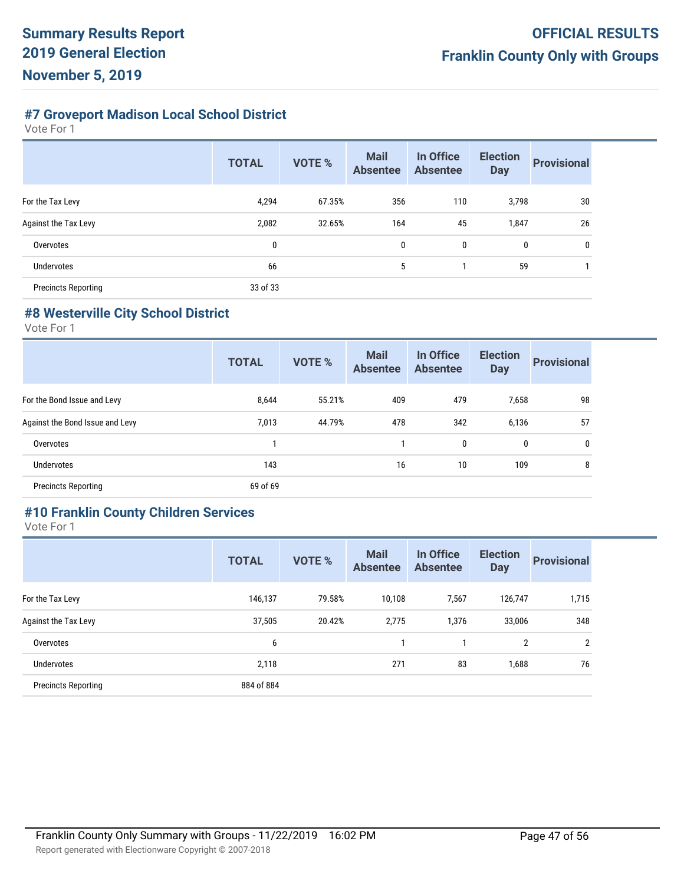# **#7 Groveport Madison Local School District**

Vote For 1

|                            | <b>TOTAL</b> | <b>VOTE %</b> | <b>Mail</b><br><b>Absentee</b> | In Office<br><b>Absentee</b> | <b>Election</b><br><b>Day</b> | <b>Provisional</b> |
|----------------------------|--------------|---------------|--------------------------------|------------------------------|-------------------------------|--------------------|
| For the Tax Levy           | 4,294        | 67.35%        | 356                            | 110                          | 3,798                         | 30                 |
| Against the Tax Levy       | 2,082        | 32.65%        | 164                            | 45                           | 1,847                         | 26                 |
| Overvotes                  | $\mathbf{0}$ |               | 0                              | 0                            | 0                             | 0                  |
| <b>Undervotes</b>          | 66           |               | 5                              |                              | 59                            |                    |
| <b>Precincts Reporting</b> | 33 of 33     |               |                                |                              |                               |                    |

#### **#8 Westerville City School District**

Vote For 1

|                                 | <b>TOTAL</b> | <b>VOTE %</b> | <b>Mail</b><br><b>Absentee</b> | In Office<br><b>Absentee</b> | <b>Election</b><br><b>Day</b> | <b>Provisional</b> |
|---------------------------------|--------------|---------------|--------------------------------|------------------------------|-------------------------------|--------------------|
| For the Bond Issue and Levy     | 8,644        | 55.21%        | 409                            | 479                          | 7,658                         | 98                 |
| Against the Bond Issue and Levy | 7,013        | 44.79%        | 478                            | 342                          | 6,136                         | 57                 |
| Overvotes                       |              |               |                                | 0                            | 0                             | 0                  |
| <b>Undervotes</b>               | 143          |               | 16                             | 10                           | 109                           | 8                  |
| <b>Precincts Reporting</b>      | 69 of 69     |               |                                |                              |                               |                    |

## **#10 Franklin County Children Services**

|                            | <b>TOTAL</b> | <b>VOTE %</b> | <b>Mail</b><br><b>Absentee</b> | In Office<br><b>Absentee</b> | <b>Election</b><br><b>Day</b> | <b>Provisional</b> |
|----------------------------|--------------|---------------|--------------------------------|------------------------------|-------------------------------|--------------------|
| For the Tax Levy           | 146,137      | 79.58%        | 10,108                         | 7,567                        | 126,747                       | 1,715              |
| Against the Tax Levy       | 37,505       | 20.42%        | 2,775                          | 1,376                        | 33,006                        | 348                |
| Overvotes                  | 6            |               |                                |                              | 2                             | $\overline{2}$     |
| Undervotes                 | 2,118        |               | 271                            | 83                           | 1,688                         | 76                 |
| <b>Precincts Reporting</b> | 884 of 884   |               |                                |                              |                               |                    |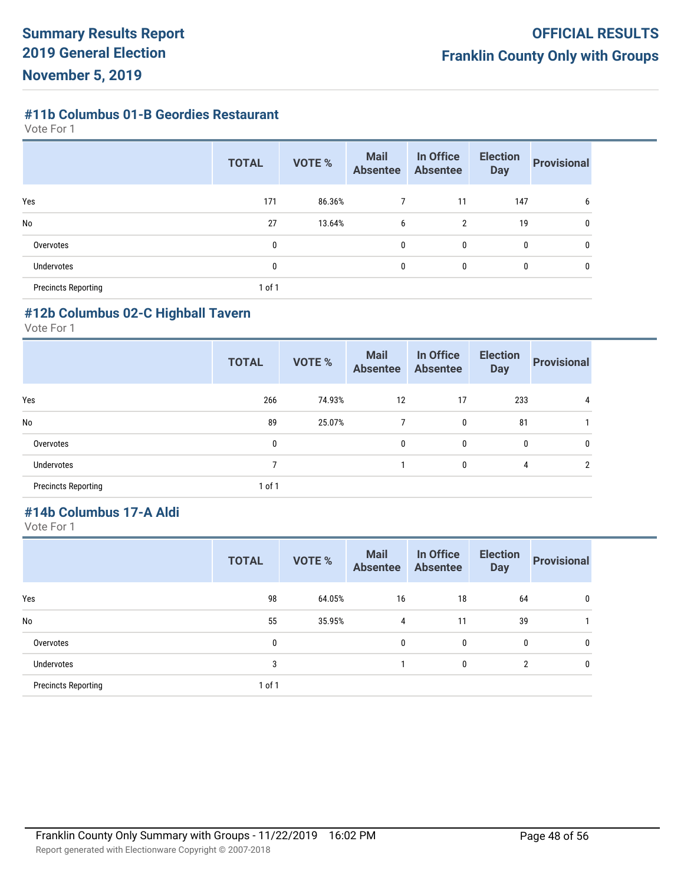#### **#11b Columbus 01-B Geordies Restaurant**

Vote For 1

|                            | <b>TOTAL</b> | <b>VOTE %</b> | <b>Mail</b><br><b>Absentee</b> | In Office<br><b>Absentee</b> | <b>Election</b><br><b>Day</b> | <b>Provisional</b> |
|----------------------------|--------------|---------------|--------------------------------|------------------------------|-------------------------------|--------------------|
| Yes                        | 171          | 86.36%        |                                | 11                           | 147                           | 6                  |
| <b>No</b>                  | 27           | 13.64%        | 6                              | $\overline{2}$               | 19                            | 0                  |
| Overvotes                  | 0            |               | 0                              | 0                            | 0                             | 0                  |
| Undervotes                 | 0            |               | 0                              | 0                            | 0                             | 0                  |
| <b>Precincts Reporting</b> | 1 of 1       |               |                                |                              |                               |                    |

#### **#12b Columbus 02-C Highball Tavern**

Vote For 1

|                            | <b>TOTAL</b> | <b>VOTE %</b> | <b>Mail</b><br><b>Absentee</b> | In Office<br><b>Absentee</b> | <b>Election</b><br><b>Day</b> | <b>Provisional</b> |
|----------------------------|--------------|---------------|--------------------------------|------------------------------|-------------------------------|--------------------|
| Yes                        | 266          | 74.93%        | 12                             | 17                           | 233                           |                    |
| No                         | 89           | 25.07%        | 7                              | 0                            | 81                            |                    |
| Overvotes                  | 0            |               | 0                              | 0                            | 0                             | 0                  |
| Undervotes                 | ℸ            |               |                                | 0                            | 4                             | C.                 |
| <b>Precincts Reporting</b> | 1 of 1       |               |                                |                              |                               |                    |

# **#14b Columbus 17-A Aldi**

|                            | <b>TOTAL</b> | <b>VOTE %</b> | <b>Mail</b><br><b>Absentee</b> | In Office<br><b>Absentee</b> | <b>Election</b><br><b>Day</b> | <b>Provisional</b> |
|----------------------------|--------------|---------------|--------------------------------|------------------------------|-------------------------------|--------------------|
| Yes                        | 98           | 64.05%        | 16                             | 18                           | 64                            | 0                  |
| No                         | 55           | 35.95%        | 4                              | 11                           | 39                            |                    |
| Overvotes                  | 0            |               | 0                              | 0                            | 0                             | 0                  |
| Undervotes                 | 3            |               |                                | 0                            | $\overline{2}$                | 0                  |
| <b>Precincts Reporting</b> | 1 of 1       |               |                                |                              |                               |                    |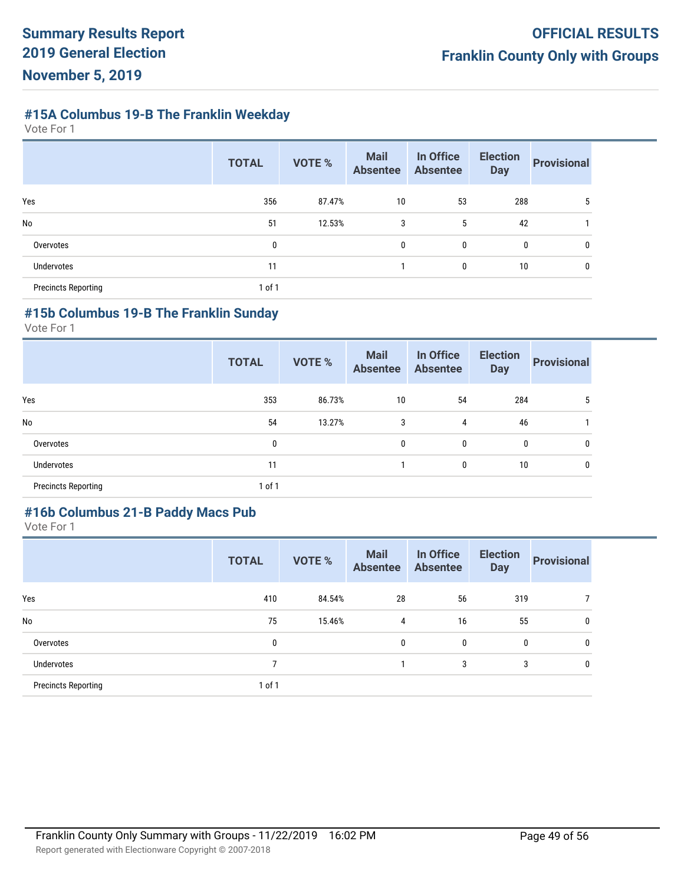# **#15A Columbus 19-B The Franklin Weekday**

Vote For 1

|                            | <b>TOTAL</b> | <b>VOTE %</b> | <b>Mail</b><br><b>Absentee</b> | In Office<br><b>Absentee</b> | <b>Election</b><br><b>Day</b> | <b>Provisional</b> |
|----------------------------|--------------|---------------|--------------------------------|------------------------------|-------------------------------|--------------------|
| Yes                        | 356          | 87.47%        | 10                             | 53                           | 288                           | 5                  |
| <b>No</b>                  | 51           | 12.53%        | 3                              | 5                            | 42                            |                    |
| Overvotes                  | 0            |               | 0                              | 0                            | 0                             | 0                  |
| <b>Undervotes</b>          | 11           |               |                                | 0                            | 10                            | 0                  |
| <b>Precincts Reporting</b> | 1 of 1       |               |                                |                              |                               |                    |

# **#15b Columbus 19-B The Franklin Sunday**

Vote For 1

|                            | <b>TOTAL</b> | <b>VOTE %</b> | <b>Mail</b><br><b>Absentee</b> | In Office<br><b>Absentee</b> | <b>Election</b><br><b>Day</b> | <b>Provisional</b> |
|----------------------------|--------------|---------------|--------------------------------|------------------------------|-------------------------------|--------------------|
| Yes                        | 353          | 86.73%        | 10                             | 54                           | 284                           | 5                  |
| No                         | 54           | 13.27%        | 3                              | 4                            | 46                            |                    |
| Overvotes                  | 0            |               | 0                              | 0                            | 0                             | 0                  |
| Undervotes                 | 11           |               |                                | 0                            | 10                            | 0                  |
| <b>Precincts Reporting</b> | 1 of 1       |               |                                |                              |                               |                    |

## **#16b Columbus 21-B Paddy Macs Pub**

|                            | <b>TOTAL</b> | <b>VOTE %</b> | <b>Mail</b><br><b>Absentee</b> | In Office<br><b>Absentee</b> | <b>Election</b><br><b>Day</b> | <b>Provisional</b> |
|----------------------------|--------------|---------------|--------------------------------|------------------------------|-------------------------------|--------------------|
| Yes                        | 410          | 84.54%        | 28                             | 56                           | 319                           |                    |
| No                         | 75           | 15.46%        | 4                              | 16                           | 55                            | 0                  |
| Overvotes                  | $\mathbf 0$  |               | 0                              | $\bf{0}$                     | 0                             | 0                  |
| Undervotes                 | 7            |               |                                | 3                            | 3                             | 0                  |
| <b>Precincts Reporting</b> | 1 of 1       |               |                                |                              |                               |                    |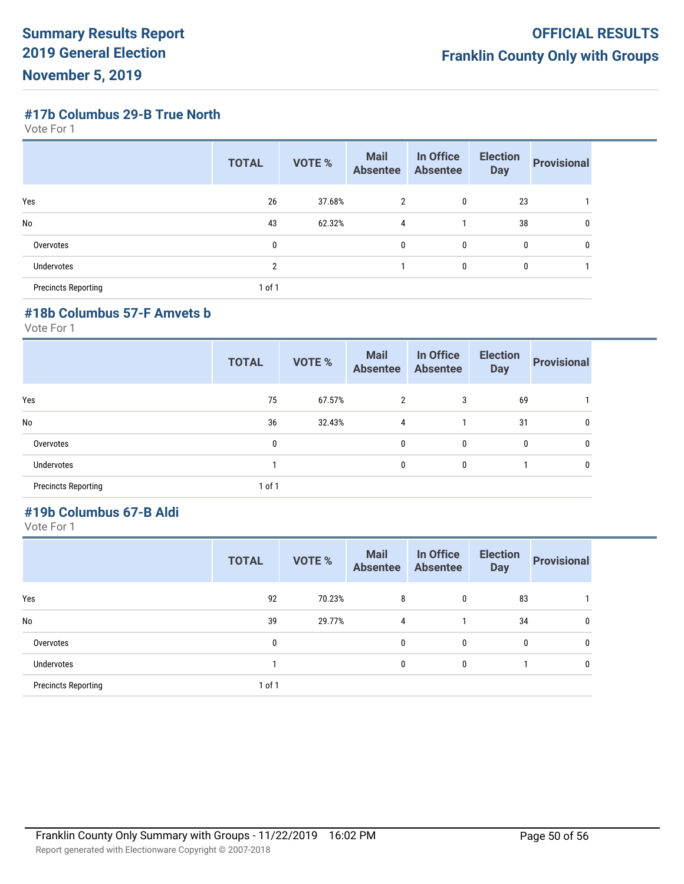**#17b Columbus 29-B True North**

Vote For 1

|                            | <b>TOTAL</b>  | <b>VOTE %</b> | <b>Mail</b><br><b>Absentee</b> | In Office<br><b>Absentee</b> | <b>Election</b><br><b>Day</b> | <b>Provisional</b> |
|----------------------------|---------------|---------------|--------------------------------|------------------------------|-------------------------------|--------------------|
| Yes                        | 26            | 37.68%        | 2                              | 0                            | 23                            |                    |
| <b>No</b>                  | 43            | 62.32%        | $\overline{4}$                 |                              | 38                            | 0                  |
| Overvotes                  | 0             |               | 0                              | 0                            | $\mathbf{0}$                  | 0                  |
| Undervotes                 | $\mathcal{P}$ |               |                                | 0                            | 0                             |                    |
| <b>Precincts Reporting</b> | 1 of 1        |               |                                |                              |                               |                    |

#### **#18b Columbus 57-F Amvets b**

Vote For 1

|                            | <b>TOTAL</b> | <b>VOTE %</b> | <b>Mail</b><br><b>Absentee</b> | In Office<br><b>Absentee</b> | <b>Election</b><br><b>Day</b> | <b>Provisional</b> |
|----------------------------|--------------|---------------|--------------------------------|------------------------------|-------------------------------|--------------------|
| Yes                        | 75           | 67.57%        | 2                              | 3                            | 69                            |                    |
| No                         | 36           | 32.43%        | 4                              |                              | 31                            | 0                  |
| Overvotes                  | 0            |               | 0                              | 0                            | 0                             | 0                  |
| Undervotes                 |              |               | 0                              | 0                            |                               | 0                  |
| <b>Precincts Reporting</b> | 1 of 1       |               |                                |                              |                               |                    |

# **#19b Columbus 67-B Aldi**

|                            | <b>TOTAL</b> | <b>VOTE %</b> | <b>Mail</b><br><b>Absentee</b> | In Office<br><b>Absentee</b> | <b>Election</b><br><b>Day</b> | <b>Provisional</b> |
|----------------------------|--------------|---------------|--------------------------------|------------------------------|-------------------------------|--------------------|
| Yes                        | 92           | 70.23%        | 8                              | 0                            | 83                            |                    |
| No                         | 39           | 29.77%        | 4                              |                              | 34                            | 0                  |
| Overvotes                  | 0            |               | $\mathbf{0}$                   | 0                            | 0                             | 0                  |
| Undervotes                 |              |               | 0                              | 0                            |                               | 0                  |
| <b>Precincts Reporting</b> | 1 of 1       |               |                                |                              |                               |                    |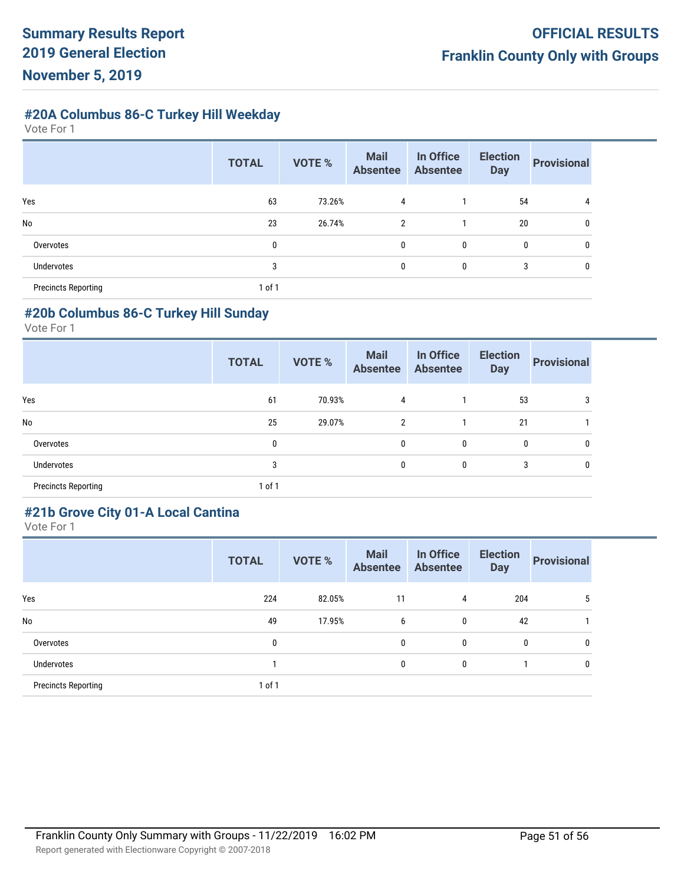**#20A Columbus 86-C Turkey Hill Weekday**

Vote For 1

|                            | <b>TOTAL</b> | <b>VOTE %</b> | <b>Mail</b><br><b>Absentee</b> | In Office<br>Absentee | <b>Election</b><br><b>Day</b> | <b>Provisional</b> |
|----------------------------|--------------|---------------|--------------------------------|-----------------------|-------------------------------|--------------------|
| Yes                        | 63           | 73.26%        | 4                              |                       | 54                            | 4                  |
| No                         | 23           | 26.74%        | 2                              |                       | 20                            | 0                  |
| Overvotes                  | 0            |               | 0                              | 0                     | 0                             | 0                  |
| Undervotes                 | 3            |               | 0                              | 0                     | 3                             | 0                  |
| <b>Precincts Reporting</b> | 1 of 1       |               |                                |                       |                               |                    |

#### **#20b Columbus 86-C Turkey Hill Sunday**

Vote For 1

|                            | <b>TOTAL</b> | <b>VOTE %</b> | <b>Mail</b><br><b>Absentee</b> | In Office<br><b>Absentee</b> | <b>Election</b><br><b>Day</b> | <b>Provisional</b> |
|----------------------------|--------------|---------------|--------------------------------|------------------------------|-------------------------------|--------------------|
| Yes                        | 61           | 70.93%        | 4                              |                              | 53                            |                    |
| No                         | 25           | 29.07%        | $\overline{2}$                 |                              | 21                            |                    |
| Overvotes                  | 0            |               | 0                              | 0                            | 0                             | 0                  |
| Undervotes                 | 3            |               | 0                              | 0                            | 3                             |                    |
| <b>Precincts Reporting</b> | 1 of 1       |               |                                |                              |                               |                    |

# **#21b Grove City 01-A Local Cantina**

|                            | <b>TOTAL</b> | <b>VOTE %</b> | <b>Mail</b><br><b>Absentee</b> | In Office<br><b>Absentee</b> | <b>Election</b><br><b>Day</b> | <b>Provisional</b> |
|----------------------------|--------------|---------------|--------------------------------|------------------------------|-------------------------------|--------------------|
| Yes                        | 224          | 82.05%        | 11                             | 4                            | 204                           | 5                  |
| No                         | 49           | 17.95%        | 6                              | 0                            | 42                            |                    |
| Overvotes                  | 0            |               | 0                              | 0                            | 0                             | 0                  |
| <b>Undervotes</b>          | 1            |               | 0                              | 0                            |                               | 0                  |
| <b>Precincts Reporting</b> | 1 of 1       |               |                                |                              |                               |                    |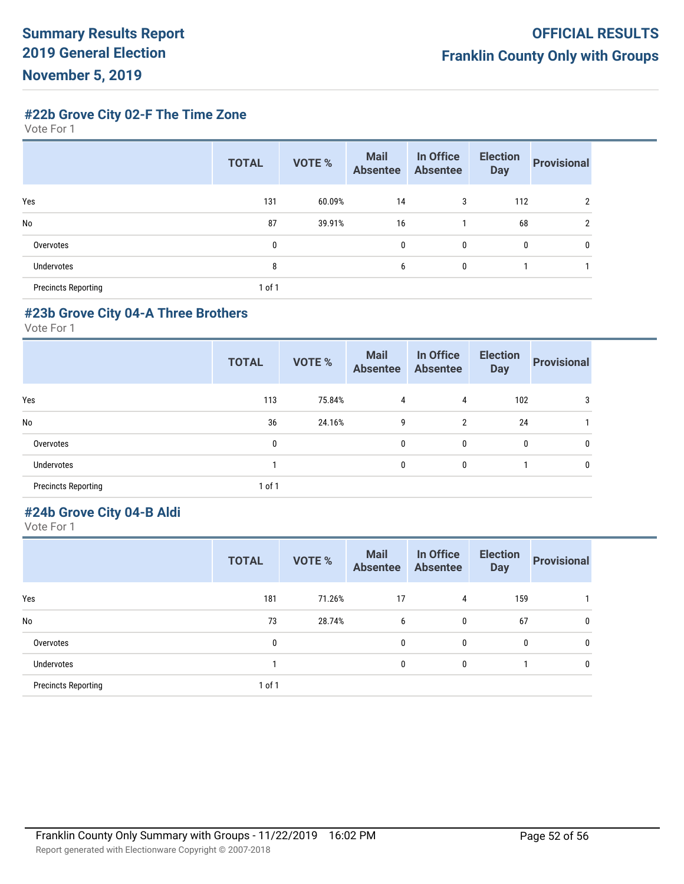**#22b Grove City 02-F The Time Zone**

Vote For 1

|                            | <b>TOTAL</b> | VOTE % | <b>Mail</b><br><b>Absentee</b> | In Office<br><b>Absentee</b> | <b>Election</b><br><b>Day</b> | <b>Provisional</b> |
|----------------------------|--------------|--------|--------------------------------|------------------------------|-------------------------------|--------------------|
| Yes                        | 131          | 60.09% | 14                             | 3                            | 112                           | $\overline{2}$     |
| <b>No</b>                  | 87           | 39.91% | 16                             |                              | 68                            | $\overline{2}$     |
| Overvotes                  | $\mathbf{0}$ |        | 0                              | 0                            | 0                             | 0                  |
| Undervotes                 | 8            |        | 6                              | 0                            |                               |                    |
| <b>Precincts Reporting</b> | of 1         |        |                                |                              |                               |                    |

#### **#23b Grove City 04-A Three Brothers**

Vote For 1

|                            | <b>TOTAL</b> | <b>VOTE %</b> | <b>Mail</b><br><b>Absentee</b> | In Office<br><b>Absentee</b> | <b>Election</b><br><b>Day</b> | <b>Provisional</b> |
|----------------------------|--------------|---------------|--------------------------------|------------------------------|-------------------------------|--------------------|
| Yes                        | 113          | 75.84%        | 4                              | 4                            | 102                           | 3                  |
| No                         | 36           | 24.16%        | 9                              | 2                            | 24                            |                    |
| Overvotes                  | 0            |               | 0                              | 0                            | 0                             | 0                  |
| Undervotes                 |              |               | 0                              | 0                            |                               | 0                  |
| <b>Precincts Reporting</b> | 1 of 1       |               |                                |                              |                               |                    |

## **#24b Grove City 04-B Aldi**

|                            | <b>TOTAL</b> | <b>VOTE %</b> | <b>Mail</b><br><b>Absentee</b> | In Office<br><b>Absentee</b> | <b>Election</b><br><b>Day</b> | <b>Provisional</b> |
|----------------------------|--------------|---------------|--------------------------------|------------------------------|-------------------------------|--------------------|
| Yes                        | 181          | 71.26%        | 17                             | 4                            | 159                           |                    |
| No                         | 73           | 28.74%        | 6                              | 0                            | 67                            | 0                  |
| Overvotes                  | 0            |               | 0                              | 0                            | 0                             | 0                  |
| Undervotes                 |              |               | 0                              | 0                            |                               | 0                  |
| <b>Precincts Reporting</b> | 1 of 1       |               |                                |                              |                               |                    |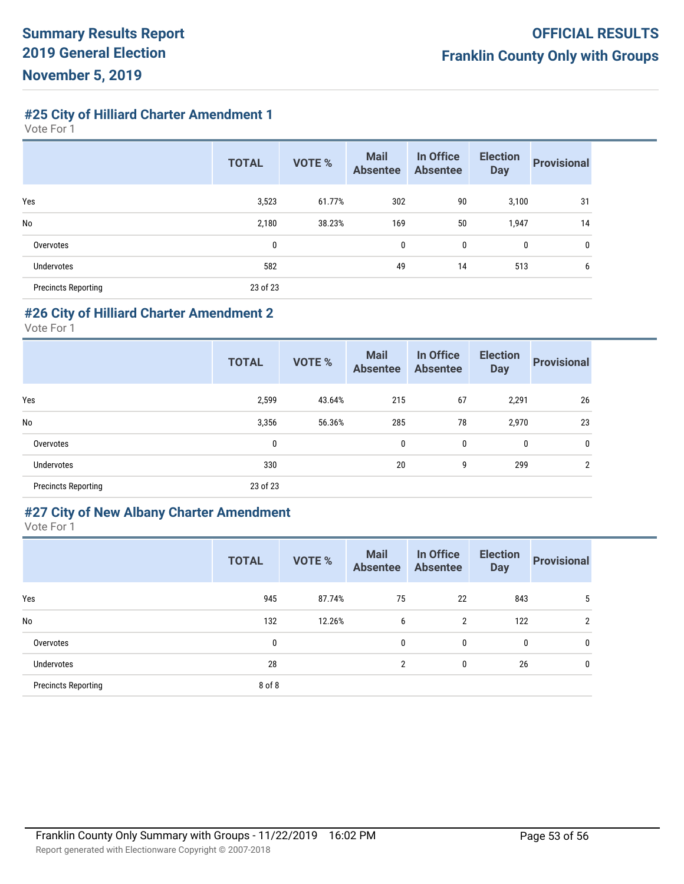**#25 City of Hilliard Charter Amendment 1**

Vote For 1

|                            | <b>TOTAL</b> | <b>VOTE %</b> | <b>Mail</b><br><b>Absentee</b> | In Office<br><b>Absentee</b> | <b>Election</b><br><b>Day</b> | <b>Provisional</b> |
|----------------------------|--------------|---------------|--------------------------------|------------------------------|-------------------------------|--------------------|
| Yes                        | 3,523        | 61.77%        | 302                            | 90                           | 3,100                         | 31                 |
| No                         | 2,180        | 38.23%        | 169                            | 50                           | 1,947                         | 14                 |
| Overvotes                  | 0            |               | 0                              | 0                            | 0                             | 0                  |
| Undervotes                 | 582          |               | 49                             | 14                           | 513                           | 6                  |
| <b>Precincts Reporting</b> | 23 of 23     |               |                                |                              |                               |                    |

#### **#26 City of Hilliard Charter Amendment 2**

Vote For 1

|                            | <b>TOTAL</b> | <b>VOTE %</b> | <b>Mail</b><br><b>Absentee</b> | In Office<br><b>Absentee</b> | <b>Election</b><br><b>Day</b> | <b>Provisional</b> |
|----------------------------|--------------|---------------|--------------------------------|------------------------------|-------------------------------|--------------------|
| Yes                        | 2,599        | 43.64%        | 215                            | 67                           | 2,291                         | 26                 |
| No                         | 3,356        | 56.36%        | 285                            | 78                           | 2,970                         | 23                 |
| Overvotes                  | 0            |               | 0                              | 0                            | 0                             | 0                  |
| Undervotes                 | 330          |               | 20                             | 9                            | 299                           | <sup>2</sup>       |
| <b>Precincts Reporting</b> | 23 of 23     |               |                                |                              |                               |                    |

#### **#27 City of New Albany Charter Amendment**

|                            | <b>TOTAL</b> | <b>VOTE %</b> | <b>Mail</b><br><b>Absentee</b> | In Office<br><b>Absentee</b> | <b>Election</b><br><b>Day</b> | <b>Provisional</b> |
|----------------------------|--------------|---------------|--------------------------------|------------------------------|-------------------------------|--------------------|
| Yes                        | 945          | 87.74%        | 75                             | 22                           | 843                           | 5                  |
| No                         | 132          | 12.26%        | 6                              | 2                            | 122                           | $\overline{2}$     |
| Overvotes                  | $\mathbf 0$  |               | 0                              | 0                            | 0                             | 0                  |
| Undervotes                 | 28           |               | $\overline{2}$                 | 0                            | 26                            | 0                  |
| <b>Precincts Reporting</b> | 8 of 8       |               |                                |                              |                               |                    |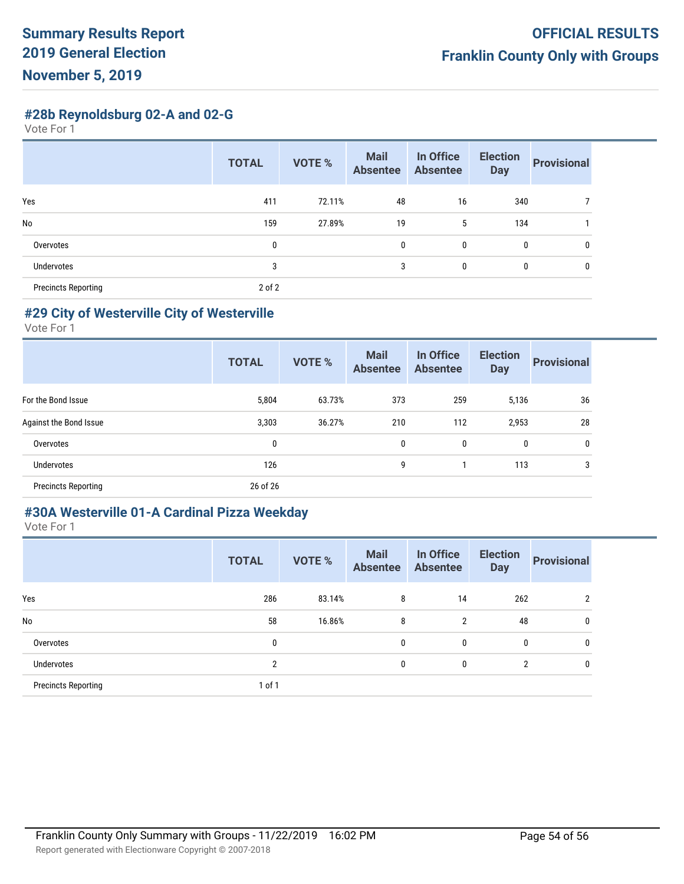**#28b Reynoldsburg 02-A and 02-G**

Vote For 1

|                            | <b>TOTAL</b> | <b>VOTE %</b> | <b>Mail</b><br><b>Absentee</b> | In Office<br><b>Absentee</b> | <b>Election</b><br><b>Day</b> | <b>Provisional</b> |
|----------------------------|--------------|---------------|--------------------------------|------------------------------|-------------------------------|--------------------|
| Yes                        | 411          | 72.11%        | 48                             | 16                           | 340                           |                    |
| <b>No</b>                  | 159          | 27.89%        | 19                             | 5                            | 134                           |                    |
| Overvotes                  | 0            |               | $\mathbf{0}$                   | $\mathbf 0$                  | 0                             | 0                  |
| Undervotes                 | 3            |               | 3                              | 0                            | 0                             | 0                  |
| <b>Precincts Reporting</b> | $2$ of $2$   |               |                                |                              |                               |                    |

#### **#29 City of Westerville City of Westerville**

Vote For 1

|                            | <b>TOTAL</b> | <b>VOTE %</b> | <b>Mail</b><br><b>Absentee</b> | In Office<br><b>Absentee</b> | <b>Election</b><br><b>Day</b> | <b>Provisional</b> |
|----------------------------|--------------|---------------|--------------------------------|------------------------------|-------------------------------|--------------------|
| For the Bond Issue         | 5,804        | 63.73%        | 373                            | 259                          | 5,136                         | 36                 |
| Against the Bond Issue     | 3,303        | 36.27%        | 210                            | 112                          | 2,953                         | 28                 |
| Overvotes                  | 0            |               | 0                              | 0                            | 0                             | 0                  |
| Undervotes                 | 126          |               | 9                              |                              | 113                           | 3                  |
| <b>Precincts Reporting</b> | 26 of 26     |               |                                |                              |                               |                    |

## **#30A Westerville 01-A Cardinal Pizza Weekday**

|                            | <b>TOTAL</b> | <b>VOTE %</b> | <b>Mail</b><br><b>Absentee</b> | In Office<br><b>Absentee</b> | <b>Election</b><br><b>Day</b> | <b>Provisional</b> |
|----------------------------|--------------|---------------|--------------------------------|------------------------------|-------------------------------|--------------------|
| Yes                        | 286          | 83.14%        | 8                              | 14                           | 262                           | 2                  |
| No                         | 58           | 16.86%        | 8                              | $\overline{2}$               | 48                            | 0                  |
| Overvotes                  | 0            |               | 0                              | 0                            | 0                             | 0                  |
| <b>Undervotes</b>          | 2            |               | 0                              | 0                            | $\overline{2}$                | 0                  |
| <b>Precincts Reporting</b> | 1 of 1       |               |                                |                              |                               |                    |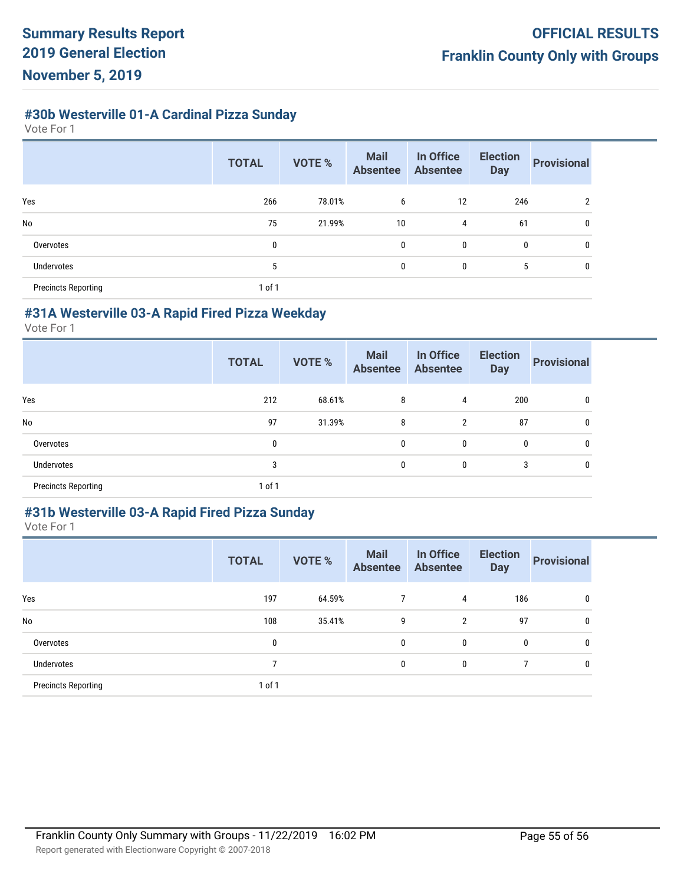# **#30b Westerville 01-A Cardinal Pizza Sunday**

Vote For 1

|                            | <b>TOTAL</b> | <b>VOTE %</b> | <b>Mail</b><br><b>Absentee</b> | In Office<br><b>Absentee</b> | <b>Election</b><br><b>Day</b> | <b>Provisional</b> |
|----------------------------|--------------|---------------|--------------------------------|------------------------------|-------------------------------|--------------------|
| Yes                        | 266          | 78.01%        | 6                              | 12                           | 246                           | 2                  |
| No                         | 75           | 21.99%        | 10                             | 4                            | 61                            | 0                  |
| Overvotes                  | 0            |               | $\mathbf 0$                    | $\mathbf 0$                  | 0                             | 0                  |
| Undervotes                 | 5            |               | 0                              | 0                            | 5                             | 0                  |
| <b>Precincts Reporting</b> | 1 of 1       |               |                                |                              |                               |                    |

#### **#31A Westerville 03-A Rapid Fired Pizza Weekday**

Vote For 1

|                            | <b>TOTAL</b> | <b>VOTE %</b> | <b>Mail</b><br><b>Absentee</b> | In Office<br><b>Absentee</b> | <b>Election</b><br><b>Day</b> | <b>Provisional</b> |
|----------------------------|--------------|---------------|--------------------------------|------------------------------|-------------------------------|--------------------|
| Yes                        | 212          | 68.61%        | 8                              | 4                            | 200                           | 0                  |
| No                         | 97           | 31.39%        | 8                              | 2                            | 87                            | 0                  |
| Overvotes                  | 0            |               | $\mathbf{0}$                   | 0                            | 0                             | 0                  |
| Undervotes                 | 3            |               | 0                              | 0                            | 3                             | 0                  |
| <b>Precincts Reporting</b> | $1$ of $1$   |               |                                |                              |                               |                    |

#### **#31b Westerville 03-A Rapid Fired Pizza Sunday**

|                            | <b>TOTAL</b> | <b>VOTE %</b> | <b>Mail</b><br><b>Absentee</b> | In Office<br><b>Absentee</b> | <b>Election</b><br><b>Day</b> | <b>Provisional</b> |
|----------------------------|--------------|---------------|--------------------------------|------------------------------|-------------------------------|--------------------|
| Yes                        | 197          | 64.59%        | 7                              | 4                            | 186                           | 0                  |
| <b>No</b>                  | 108          | 35.41%        | 9                              | $\overline{2}$               | 97                            | $\mathbf{0}$       |
| Overvotes                  | 0            |               | 0                              | 0                            | 0                             | 0                  |
| Undervotes                 | 7            |               | 0                              | 0                            | 7                             | $\mathbf{0}$       |
| <b>Precincts Reporting</b> | $1$ of $1$   |               |                                |                              |                               |                    |